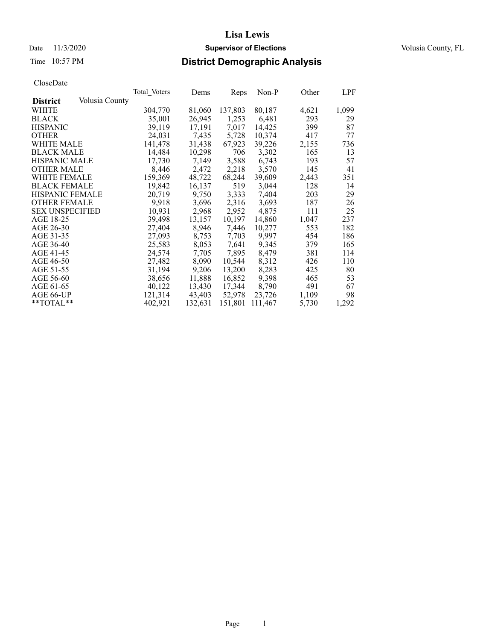### Date 11/3/2020 **Supervisor of Elections** Volusia County, FL

# Time 10:57 PM **District Demographic Analysis**

|                        |                | Total Voters | <u>Dems</u> | Reps    | $Non-P$ | Other | <b>LPF</b> |
|------------------------|----------------|--------------|-------------|---------|---------|-------|------------|
| <b>District</b>        | Volusia County |              |             |         |         |       |            |
| WHITE                  |                | 304,770      | 81,060      | 137,803 | 80,187  | 4,621 | 1,099      |
| <b>BLACK</b>           |                | 35,001       | 26,945      | 1,253   | 6,481   | 293   | 29         |
| <b>HISPANIC</b>        |                | 39,119       | 17,191      | 7,017   | 14,425  | 399   | 87         |
| <b>OTHER</b>           |                | 24,031       | 7,435       | 5,728   | 10,374  | 417   | 77         |
| WHITE MALE             |                | 141.478      | 31,438      | 67,923  | 39,226  | 2,155 | 736        |
| <b>BLACK MALE</b>      |                | 14,484       | 10,298      | 706     | 3,302   | 165   | 13         |
| <b>HISPANIC MALE</b>   |                | 17,730       | 7,149       | 3,588   | 6,743   | 193   | 57         |
| <b>OTHER MALE</b>      |                | 8,446        | 2,472       | 2,218   | 3,570   | 145   | 41         |
| <b>WHITE FEMALE</b>    |                | 159,369      | 48,722      | 68,244  | 39,609  | 2,443 | 351        |
| <b>BLACK FEMALE</b>    |                | 19,842       | 16,137      | 519     | 3,044   | 128   | 14         |
| HISPANIC FEMALE        |                | 20,719       | 9,750       | 3,333   | 7,404   | 203   | 29         |
| <b>OTHER FEMALE</b>    |                | 9.918        | 3,696       | 2,316   | 3.693   | 187   | 26         |
| <b>SEX UNSPECIFIED</b> |                | 10,931       | 2,968       | 2,952   | 4,875   | 111   | 25         |
| AGE 18-25              |                | 39,498       | 13,157      | 10,197  | 14,860  | 1,047 | 237        |
| AGE 26-30              |                | 27,404       | 8,946       | 7,446   | 10,277  | 553   | 182        |
| AGE 31-35              |                | 27,093       | 8,753       | 7,703   | 9.997   | 454   | 186        |
| AGE 36-40              |                | 25,583       | 8,053       | 7,641   | 9,345   | 379   | 165        |
| AGE 41-45              |                | 24,574       | 7,705       | 7,895   | 8,479   | 381   | 114        |
| AGE 46-50              |                | 27,482       | 8,090       | 10,544  | 8,312   | 426   | 110        |
| AGE 51-55              |                | 31,194       | 9,206       | 13,200  | 8,283   | 425   | 80         |
| AGE 56-60              |                | 38,656       | 11,888      | 16,852  | 9,398   | 465   | 53         |
| AGE 61-65              |                | 40,122       | 13,430      | 17,344  | 8,790   | 491   | 67         |
| AGE 66-UP              |                | 121,314      | 43,403      | 52,978  | 23,726  | 1,109 | 98         |
| $*$ TOTAL $*$          |                | 402.921      | 132,631     | 151,801 | 111,467 | 5,730 | 1,292      |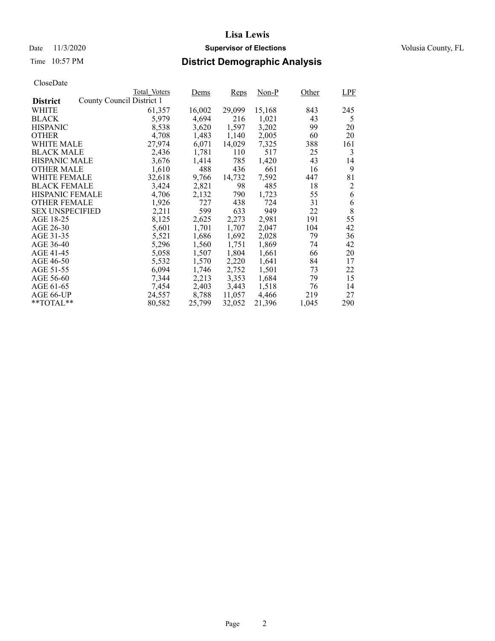### Date 11/3/2020 **Supervisor of Elections** Volusia County, FL

# Time 10:57 PM **District Demographic Analysis**

|                        |                           | Total Voters | Dems   | Reps   | Non-P  | Other | <b>LPF</b> |
|------------------------|---------------------------|--------------|--------|--------|--------|-------|------------|
| <b>District</b>        | County Council District 1 |              |        |        |        |       |            |
| WHITE                  |                           | 61,357       | 16,002 | 29,099 | 15,168 | 843   | 245        |
| <b>BLACK</b>           |                           | 5,979        | 4,694  | 216    | 1,021  | 43    | 5          |
| <b>HISPANIC</b>        |                           | 8,538        | 3,620  | 1,597  | 3,202  | 99    | 20         |
| <b>OTHER</b>           |                           | 4,708        | 1,483  | 1,140  | 2,005  | 60    | 20         |
| WHITE MALE             |                           | 27.974       | 6,071  | 14,029 | 7,325  | 388   | 161        |
| <b>BLACK MALE</b>      |                           | 2,436        | 1,781  | 110    | 517    | 25    | 3          |
| <b>HISPANIC MALE</b>   |                           | 3,676        | 1,414  | 785    | 1,420  | 43    | 14         |
| <b>OTHER MALE</b>      |                           | 1,610        | 488    | 436    | 661    | 16    | 9          |
| <b>WHITE FEMALE</b>    |                           | 32,618       | 9,766  | 14,732 | 7,592  | 447   | 81         |
| <b>BLACK FEMALE</b>    |                           | 3,424        | 2,821  | 98     | 485    | 18    | 2          |
| <b>HISPANIC FEMALE</b> |                           | 4,706        | 2,132  | 790    | 1,723  | 55    | 6          |
| <b>OTHER FEMALE</b>    |                           | 1,926        | 727    | 438    | 724    | 31    | 6          |
| <b>SEX UNSPECIFIED</b> |                           | 2,211        | 599    | 633    | 949    | 22    | 8          |
| AGE 18-25              |                           | 8,125        | 2,625  | 2,273  | 2,981  | 191   | 55         |
| AGE 26-30              |                           | 5,601        | 1,701  | 1,707  | 2.047  | 104   | 42         |
| AGE 31-35              |                           | 5,521        | 1,686  | 1,692  | 2,028  | 79    | 36         |
| AGE 36-40              |                           | 5,296        | 1,560  | 1,751  | 1,869  | 74    | 42         |
| AGE 41-45              |                           | 5,058        | 1,507  | 1,804  | 1,661  | 66    | 20         |
| AGE 46-50              |                           | 5,532        | 1,570  | 2,220  | 1,641  | 84    | 17         |
| AGE 51-55              |                           | 6,094        | 1,746  | 2,752  | 1,501  | 73    | 22         |
| AGE 56-60              |                           | 7,344        | 2,213  | 3,353  | 1,684  | 79    | 15         |
| AGE 61-65              |                           | 7,454        | 2,403  | 3,443  | 1,518  | 76    | 14         |
| AGE 66-UP              |                           | 24,557       | 8,788  | 11,057 | 4,466  | 219   | 27         |
| $*$ $TOTAL**$          |                           | 80,582       | 25,799 | 32,052 | 21,396 | 1,045 | 290        |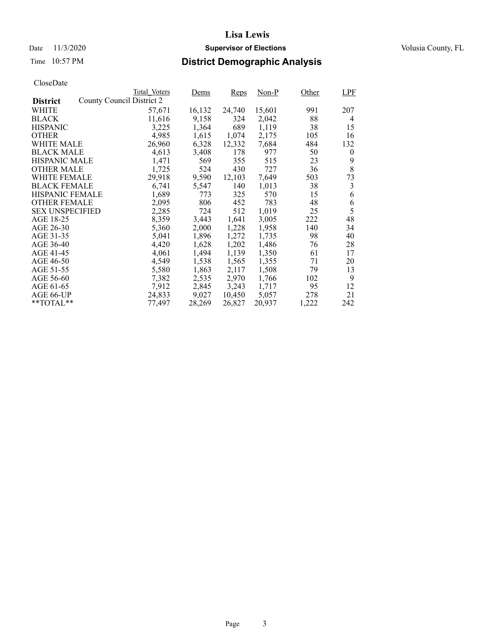### Date 11/3/2020 **Supervisor of Elections** Volusia County, FL

# Time 10:57 PM **District Demographic Analysis**

|                        |                           | Total Voters | Dems   | <b>Reps</b> | Non-P  | Other | LPF      |
|------------------------|---------------------------|--------------|--------|-------------|--------|-------|----------|
| <b>District</b>        | County Council District 2 |              |        |             |        |       |          |
| WHITE                  |                           | 57,671       | 16,132 | 24,740      | 15,601 | 991   | 207      |
| <b>BLACK</b>           |                           | 11,616       | 9,158  | 324         | 2,042  | 88    | 4        |
| <b>HISPANIC</b>        |                           | 3,225        | 1,364  | 689         | 1,119  | 38    | 15       |
| <b>OTHER</b>           |                           | 4,985        | 1,615  | 1,074       | 2,175  | 105   | 16       |
| WHITE MALE             |                           | 26,960       | 6,328  | 12,332      | 7,684  | 484   | 132      |
| <b>BLACK MALE</b>      |                           | 4,613        | 3,408  | 178         | 977    | 50    | $\theta$ |
| <b>HISPANIC MALE</b>   |                           | 1,471        | 569    | 355         | 515    | 23    | 9        |
| <b>OTHER MALE</b>      |                           | 1,725        | 524    | 430         | 727    | 36    | 8        |
| <b>WHITE FEMALE</b>    |                           | 29,918       | 9,590  | 12,103      | 7,649  | 503   | 73       |
| <b>BLACK FEMALE</b>    |                           | 6,741        | 5,547  | 140         | 1,013  | 38    | 3        |
| <b>HISPANIC FEMALE</b> |                           | 1,689        | 773    | 325         | 570    | 15    | 6        |
| <b>OTHER FEMALE</b>    |                           | 2,095        | 806    | 452         | 783    | 48    | 6        |
| <b>SEX UNSPECIFIED</b> |                           | 2,285        | 724    | 512         | 1,019  | 25    | 5        |
| AGE 18-25              |                           | 8,359        | 3,443  | 1,641       | 3,005  | 222   | 48       |
| AGE 26-30              |                           | 5,360        | 2,000  | 1,228       | 1,958  | 140   | 34       |
| AGE 31-35              |                           | 5,041        | 1,896  | 1,272       | 1,735  | 98    | 40       |
| AGE 36-40              |                           | 4,420        | 1,628  | 1,202       | 1,486  | 76    | 28       |
| AGE 41-45              |                           | 4,061        | 1,494  | 1,139       | 1,350  | 61    | 17       |
| AGE 46-50              |                           | 4,549        | 1,538  | 1,565       | 1,355  | 71    | 20       |
| AGE 51-55              |                           | 5,580        | 1,863  | 2,117       | 1,508  | 79    | 13       |
| AGE 56-60              |                           | 7,382        | 2,535  | 2,970       | 1,766  | 102   | 9        |
| AGE 61-65              |                           | 7,912        | 2,845  | 3,243       | 1,717  | 95    | 12       |
| AGE 66-UP              |                           | 24,833       | 9,027  | 10,450      | 5,057  | 278   | 21       |
| $*$ $TOTAL**$          |                           | 77,497       | 28,269 | 26,827      | 20,937 | 1,222 | 242      |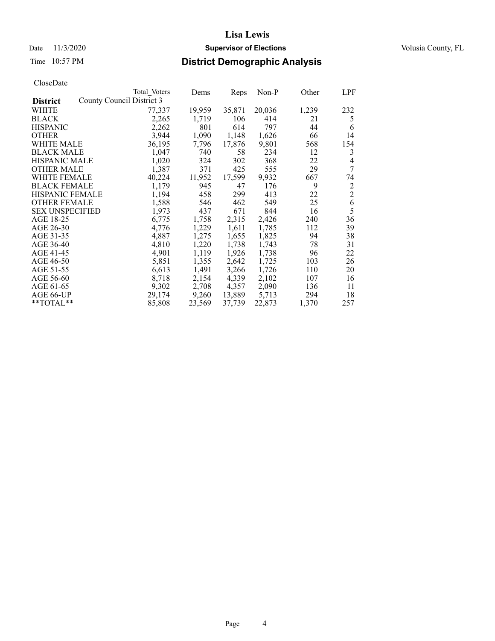### Date 11/3/2020 **Supervisor of Elections** Volusia County, FL

# Time 10:57 PM **District Demographic Analysis**

|                        |                           | Total Voters | Dems   | Reps   | $Non-P$ | Other | LPF            |
|------------------------|---------------------------|--------------|--------|--------|---------|-------|----------------|
| <b>District</b>        | County Council District 3 |              |        |        |         |       |                |
| WHITE                  |                           | 77,337       | 19,959 | 35,871 | 20,036  | 1,239 | 232            |
| <b>BLACK</b>           |                           | 2,265        | 1,719  | 106    | 414     | 21    | 5              |
| <b>HISPANIC</b>        |                           | 2,262        | 801    | 614    | 797     | 44    | 6              |
| <b>OTHER</b>           |                           | 3,944        | 1,090  | 1,148  | 1,626   | 66    | 14             |
| WHITE MALE             |                           | 36,195       | 7,796  | 17,876 | 9,801   | 568   | 154            |
| <b>BLACK MALE</b>      |                           | 1,047        | 740    | 58     | 234     | 12    | 3              |
| <b>HISPANIC MALE</b>   |                           | 1,020        | 324    | 302    | 368     | 22    | 4              |
| <b>OTHER MALE</b>      |                           | 1,387        | 371    | 425    | 555     | 29    | 7              |
| <b>WHITE FEMALE</b>    |                           | 40,224       | 11,952 | 17,599 | 9,932   | 667   | 74             |
| <b>BLACK FEMALE</b>    |                           | 1,179        | 945    | 47     | 176     | 9     | 2              |
| <b>HISPANIC FEMALE</b> |                           | 1,194        | 458    | 299    | 413     | 22    | $\overline{2}$ |
| <b>OTHER FEMALE</b>    |                           | 1,588        | 546    | 462    | 549     | 25    | 6              |
| <b>SEX UNSPECIFIED</b> |                           | 1,973        | 437    | 671    | 844     | 16    | 5              |
| AGE 18-25              |                           | 6,775        | 1,758  | 2,315  | 2,426   | 240   | 36             |
| AGE 26-30              |                           | 4.776        | 1,229  | 1,611  | 1,785   | 112   | 39             |
| AGE 31-35              |                           | 4,887        | 1,275  | 1,655  | 1,825   | 94    | 38             |
| AGE 36-40              |                           | 4,810        | 1,220  | 1,738  | 1,743   | 78    | 31             |
| AGE 41-45              |                           | 4,901        | 1,119  | 1,926  | 1,738   | 96    | 22             |
| AGE 46-50              |                           | 5,851        | 1,355  | 2,642  | 1,725   | 103   | 26             |
| AGE 51-55              |                           | 6,613        | 1,491  | 3,266  | 1,726   | 110   | 20             |
| AGE 56-60              |                           | 8,718        | 2,154  | 4,339  | 2,102   | 107   | 16             |
| AGE 61-65              |                           | 9,302        | 2,708  | 4,357  | 2,090   | 136   | 11             |
| AGE 66-UP              |                           | 29,174       | 9,260  | 13,889 | 5,713   | 294   | 18             |
| $*$ $TOTAL**$          |                           | 85,808       | 23,569 | 37,739 | 22,873  | 1,370 | 257            |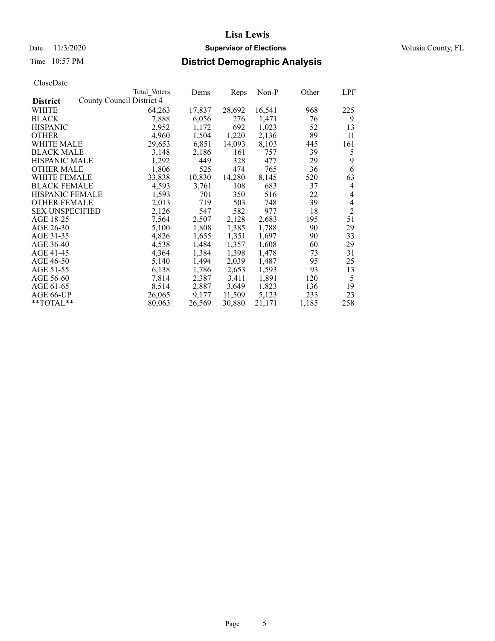### Date 11/3/2020 **Supervisor of Elections** Volusia County, FL

# Time 10:57 PM **District Demographic Analysis**

|                        |                           | Total Voters | Dems   | <b>Reps</b> | Non-P  | Other | LPF            |
|------------------------|---------------------------|--------------|--------|-------------|--------|-------|----------------|
| <b>District</b>        | County Council District 4 |              |        |             |        |       |                |
| WHITE                  |                           | 64,263       | 17,837 | 28,692      | 16,541 | 968   | 225            |
| <b>BLACK</b>           |                           | 7,888        | 6,056  | 276         | 1,471  | 76    | 9              |
| <b>HISPANIC</b>        |                           | 2,952        | 1,172  | 692         | 1,023  | 52    | 13             |
| <b>OTHER</b>           |                           | 4,960        | 1,504  | 1,220       | 2,136  | 89    | 11             |
| WHITE MALE             |                           | 29,653       | 6,851  | 14,093      | 8,103  | 445   | 161            |
| <b>BLACK MALE</b>      |                           | 3,148        | 2,186  | 161         | 757    | 39    | 5              |
| <b>HISPANIC MALE</b>   |                           | 1,292        | 449    | 328         | 477    | 29    | 9              |
| <b>OTHER MALE</b>      |                           | 1,806        | 525    | 474         | 765    | 36    | 6              |
| <b>WHITE FEMALE</b>    |                           | 33,838       | 10,830 | 14,280      | 8,145  | 520   | 63             |
| <b>BLACK FEMALE</b>    |                           | 4,593        | 3,761  | 108         | 683    | 37    | $\overline{4}$ |
| <b>HISPANIC FEMALE</b> |                           | 1,593        | 701    | 350         | 516    | 22    | $\overline{4}$ |
| <b>OTHER FEMALE</b>    |                           | 2,013        | 719    | 503         | 748    | 39    | $\overline{4}$ |
| <b>SEX UNSPECIFIED</b> |                           | 2,126        | 547    | 582         | 977    | 18    | $\overline{2}$ |
| AGE 18-25              |                           | 7,564        | 2,507  | 2,128       | 2,683  | 195   | 51             |
| AGE 26-30              |                           | 5,100        | 1,808  | 1,385       | 1,788  | 90    | 29             |
| AGE 31-35              |                           | 4,826        | 1,655  | 1,351       | 1,697  | 90    | 33             |
| AGE 36-40              |                           | 4,538        | 1,484  | 1,357       | 1,608  | 60    | 29             |
| AGE 41-45              |                           | 4,364        | 1,384  | 1,398       | 1,478  | 73    | 31             |
| AGE 46-50              |                           | 5,140        | 1,494  | 2,039       | 1,487  | 95    | 25             |
| AGE 51-55              |                           | 6,138        | 1,786  | 2,653       | 1,593  | 93    | 13             |
| AGE 56-60              |                           | 7,814        | 2,387  | 3,411       | 1,891  | 120   | 5              |
| AGE 61-65              |                           | 8,514        | 2,887  | 3,649       | 1,823  | 136   | 19             |
| AGE 66-UP              |                           | 26,065       | 9,177  | 11,509      | 5,123  | 233   | 23             |
| $*$ $TOTAL**$          |                           | 80,063       | 26,569 | 30,880      | 21,171 | 1,185 | 258            |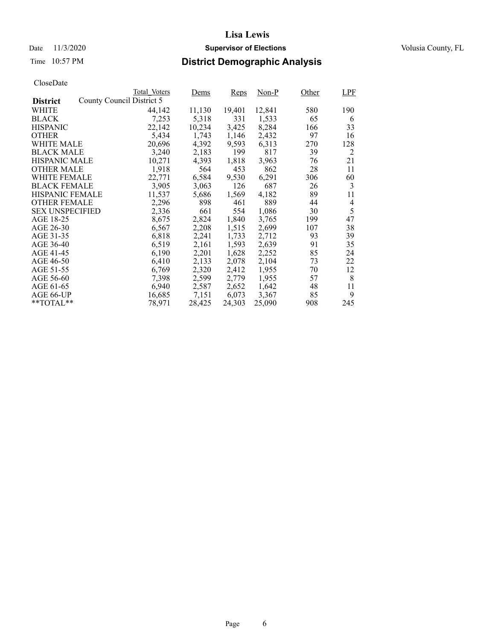### Date 11/3/2020 **Supervisor of Elections** Volusia County, FL

# Time 10:57 PM **District Demographic Analysis**

|                        |                           | Total Voters | Dems   | <b>Reps</b> | Non-P  | Other | LPF |
|------------------------|---------------------------|--------------|--------|-------------|--------|-------|-----|
| <b>District</b>        | County Council District 5 |              |        |             |        |       |     |
| WHITE                  |                           | 44,142       | 11,130 | 19,401      | 12,841 | 580   | 190 |
| <b>BLACK</b>           |                           | 7,253        | 5,318  | 331         | 1,533  | 65    | 6   |
| <b>HISPANIC</b>        |                           | 22,142       | 10,234 | 3,425       | 8,284  | 166   | 33  |
| <b>OTHER</b>           |                           | 5,434        | 1,743  | 1,146       | 2,432  | 97    | 16  |
| WHITE MALE             |                           | 20,696       | 4,392  | 9,593       | 6,313  | 270   | 128 |
| <b>BLACK MALE</b>      |                           | 3,240        | 2,183  | 199         | 817    | 39    | 2   |
| <b>HISPANIC MALE</b>   |                           | 10,271       | 4,393  | 1,818       | 3,963  | 76    | 21  |
| <b>OTHER MALE</b>      |                           | 1,918        | 564    | 453         | 862    | 28    | 11  |
| <b>WHITE FEMALE</b>    |                           | 22,771       | 6,584  | 9,530       | 6,291  | 306   | 60  |
| <b>BLACK FEMALE</b>    |                           | 3,905        | 3,063  | 126         | 687    | 26    | 3   |
| <b>HISPANIC FEMALE</b> |                           | 11,537       | 5,686  | 1,569       | 4,182  | 89    | 11  |
| <b>OTHER FEMALE</b>    |                           | 2,296        | 898    | 461         | 889    | 44    | 4   |
| <b>SEX UNSPECIFIED</b> |                           | 2,336        | 661    | 554         | 1,086  | 30    | 5   |
| AGE 18-25              |                           | 8,675        | 2,824  | 1,840       | 3,765  | 199   | 47  |
| AGE 26-30              |                           | 6,567        | 2,208  | 1,515       | 2,699  | 107   | 38  |
| AGE 31-35              |                           | 6,818        | 2,241  | 1,733       | 2,712  | 93    | 39  |
| AGE 36-40              |                           | 6.519        | 2,161  | 1,593       | 2,639  | 91    | 35  |
| AGE 41-45              |                           | 6,190        | 2,201  | 1,628       | 2,252  | 85    | 24  |
| AGE 46-50              |                           | 6,410        | 2,133  | 2,078       | 2,104  | 73    | 22  |
| AGE 51-55              |                           | 6,769        | 2,320  | 2,412       | 1,955  | 70    | 12  |
| AGE 56-60              |                           | 7,398        | 2,599  | 2,779       | 1,955  | 57    | 8   |
| AGE 61-65              |                           | 6,940        | 2,587  | 2,652       | 1,642  | 48    | 11  |
| AGE 66-UP              |                           | 16,685       | 7,151  | 6,073       | 3,367  | 85    | 9   |
| $*$ $TOTAL**$          |                           | 78,971       | 28,425 | 24,303      | 25,090 | 908   | 245 |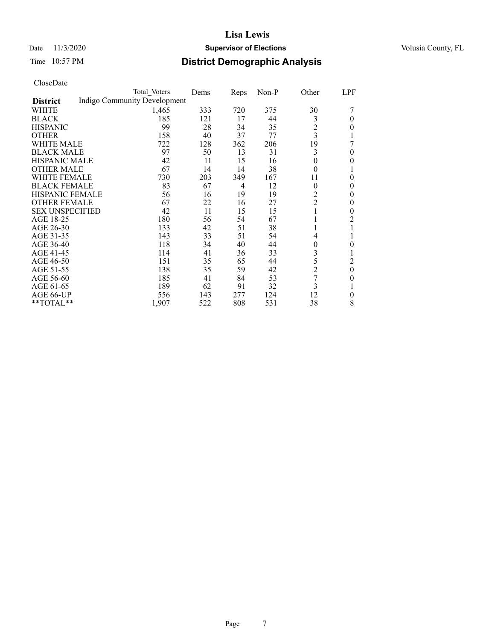### Date 11/3/2020 **Supervisor of Elections** Volusia County, FL

### Time 10:57 PM **District Demographic Analysis**

|                        | Total Voters                 | Dems | Reps | Non-P | Other          | LPF              |
|------------------------|------------------------------|------|------|-------|----------------|------------------|
| <b>District</b>        | Indigo Community Development |      |      |       |                |                  |
| WHITE                  | 1,465                        | 333  | 720  | 375   | 30             |                  |
| <b>BLACK</b>           | 185                          | 121  | 17   | 44    | 3              | 0                |
| <b>HISPANIC</b>        | 99                           | 28   | 34   | 35    | $\overline{c}$ | $\theta$         |
| <b>OTHER</b>           | 158                          | 40   | 37   | 77    | 3              |                  |
| WHITE MALE             | 722                          | 128  | 362  | 206   | 19             |                  |
| <b>BLACK MALE</b>      | 97                           | 50   | 13   | 31    | 3              | 0                |
| <b>HISPANIC MALE</b>   | 42                           | 11   | 15   | 16    | $\overline{0}$ | 0                |
| <b>OTHER MALE</b>      | 67                           | 14   | 14   | 38    | $\overline{0}$ |                  |
| WHITE FEMALE           | 730                          | 203  | 349  | 167   | 11             | $\theta$         |
| <b>BLACK FEMALE</b>    | 83                           | 67   | 4    | 12    | $\theta$       | 0                |
| <b>HISPANIC FEMALE</b> | 56                           | 16   | 19   | 19    | 2              | 0                |
| <b>OTHER FEMALE</b>    | 67                           | 22   | 16   | 27    | $\overline{2}$ | 0                |
| <b>SEX UNSPECIFIED</b> | 42                           | 11   | 15   | 15    | $\mathbf{1}$   | 0                |
| AGE 18-25              | 180                          | 56   | 54   | 67    |                | 2                |
| AGE 26-30              | 133                          | 42   | 51   | 38    |                |                  |
| AGE 31-35              | 143                          | 33   | 51   | 54    | 4              |                  |
| AGE 36-40              | 118                          | 34   | 40   | 44    | 0              | 0                |
| AGE 41-45              | 114                          | 41   | 36   | 33    | 3              |                  |
| AGE 46-50              | 151                          | 35   | 65   | 44    | 5              | 2                |
| AGE 51-55              | 138                          | 35   | 59   | 42    | $\overline{c}$ | $\boldsymbol{0}$ |
| AGE 56-60              | 185                          | 41   | 84   | 53    | 7              | 0                |
| AGE 61-65              | 189                          | 62   | 91   | 32    | 3              |                  |
| AGE 66-UP              | 556                          | 143  | 277  | 124   | 12             | $\theta$         |
| **TOTAL**              | 1,907                        | 522  | 808  | 531   | 38             | 8                |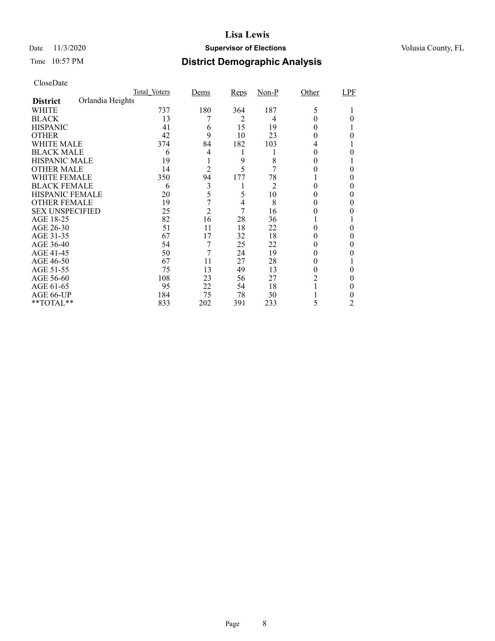### Date 11/3/2020 **Supervisor of Elections** Volusia County, FL

# Time 10:57 PM **District Demographic Analysis**

|                        |                  | Total Voters | Dems           | <b>Reps</b> | $Non-P$        | Other | LPF |
|------------------------|------------------|--------------|----------------|-------------|----------------|-------|-----|
| <b>District</b>        | Orlandia Heights |              |                |             |                |       |     |
| WHITE                  |                  | 737          | 180            | 364         | 187            | 5     |     |
| <b>BLACK</b>           |                  | 13           |                | 2           | 4              |       |     |
| <b>HISPANIC</b>        |                  | 41           | 6              | 15          | 19             |       |     |
| <b>OTHER</b>           |                  | 42           | 9              | 10          | 23             |       | 0   |
| WHITE MALE             |                  | 374          | 84             | 182         | 103            | 4     |     |
| <b>BLACK MALE</b>      |                  | 6            | 4              | 1           |                | 0     |     |
| <b>HISPANIC MALE</b>   |                  | 19           |                | 9           | 8              |       |     |
| <b>OTHER MALE</b>      |                  | 14           | 2              | 5           |                |       | 0   |
| WHITE FEMALE           |                  | 350          | 94             | 177         | 78             |       |     |
| <b>BLACK FEMALE</b>    |                  | 6            | 3              |             | $\overline{2}$ | 0     | 0   |
| <b>HISPANIC FEMALE</b> |                  | 20           | 5              | 5           | 10             |       |     |
| <b>OTHER FEMALE</b>    |                  | 19           | 7              | 4           | 8              | 0     |     |
| <b>SEX UNSPECIFIED</b> |                  | 25           | $\overline{c}$ | 7           | 16             |       |     |
| AGE 18-25              |                  | 82           | 16             | 28          | 36             |       |     |
| AGE 26-30              |                  | 51           | 11             | 18          | 22             |       | 0   |
| AGE 31-35              |                  | 67           | 17             | 32          | 18             |       |     |
| AGE 36-40              |                  | 54           | 7              | 25          | 22             |       | 0   |
| AGE 41-45              |                  | 50           | 7              | 24          | 19             |       |     |
| AGE 46-50              |                  | 67           | 11             | 27          | 28             | 0     |     |
| AGE 51-55              |                  | 75           | 13             | 49          | 13             |       |     |
| AGE 56-60              |                  | 108          | 23             | 56          | 27             |       | 0   |
| AGE 61-65              |                  | 95           | 22             | 54          | 18             |       | 0   |
| AGE 66-UP              |                  | 184          | 75             | 78          | 30             |       |     |
| $*$ $TOTAL**$          |                  | 833          | 202            | 391         | 233            | 5     | 2   |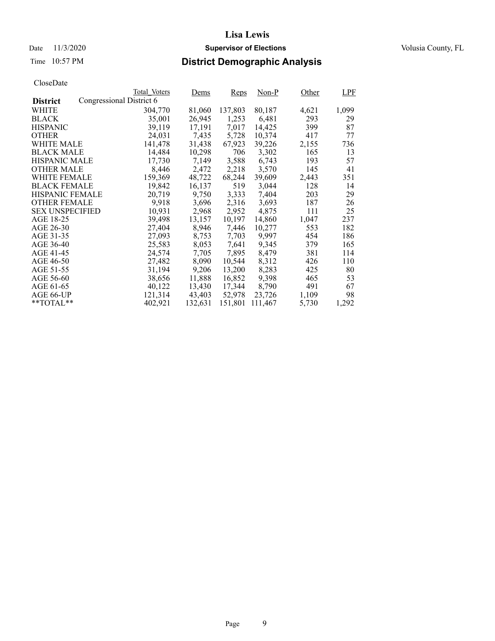### Date 11/3/2020 **Supervisor of Elections** Volusia County, FL

# Time 10:57 PM **District Demographic Analysis**

|                        |                          | Total Voters | Dems    | Reps    | $Non-P$ | Other | <b>LPF</b> |
|------------------------|--------------------------|--------------|---------|---------|---------|-------|------------|
| <b>District</b>        | Congressional District 6 |              |         |         |         |       |            |
| WHITE                  |                          | 304,770      | 81,060  | 137,803 | 80,187  | 4,621 | 1,099      |
| <b>BLACK</b>           |                          | 35,001       | 26,945  | 1,253   | 6,481   | 293   | 29         |
| <b>HISPANIC</b>        |                          | 39,119       | 17,191  | 7,017   | 14,425  | 399   | 87         |
| <b>OTHER</b>           |                          | 24,031       | 7,435   | 5,728   | 10,374  | 417   | 77         |
| WHITE MALE             |                          | 141.478      | 31,438  | 67,923  | 39,226  | 2,155 | 736        |
| <b>BLACK MALE</b>      |                          | 14,484       | 10,298  | 706     | 3,302   | 165   | 13         |
| <b>HISPANIC MALE</b>   |                          | 17,730       | 7,149   | 3,588   | 6,743   | 193   | 57         |
| <b>OTHER MALE</b>      |                          | 8,446        | 2,472   | 2,218   | 3,570   | 145   | 41         |
| <b>WHITE FEMALE</b>    |                          | 159,369      | 48,722  | 68,244  | 39,609  | 2,443 | 351        |
| <b>BLACK FEMALE</b>    |                          | 19,842       | 16,137  | 519     | 3,044   | 128   | 14         |
| <b>HISPANIC FEMALE</b> |                          | 20,719       | 9,750   | 3,333   | 7,404   | 203   | 29         |
| <b>OTHER FEMALE</b>    |                          | 9.918        | 3,696   | 2,316   | 3.693   | 187   | 26         |
| <b>SEX UNSPECIFIED</b> |                          | 10,931       | 2,968   | 2,952   | 4,875   | 111   | 25         |
| AGE 18-25              |                          | 39,498       | 13,157  | 10,197  | 14,860  | 1,047 | 237        |
| AGE 26-30              |                          | 27,404       | 8,946   | 7,446   | 10,277  | 553   | 182        |
| AGE 31-35              |                          | 27,093       | 8,753   | 7,703   | 9,997   | 454   | 186        |
| AGE 36-40              |                          | 25,583       | 8,053   | 7,641   | 9,345   | 379   | 165        |
| AGE 41-45              |                          | 24,574       | 7,705   | 7,895   | 8,479   | 381   | 114        |
| AGE 46-50              |                          | 27,482       | 8,090   | 10,544  | 8,312   | 426   | 110        |
| AGE 51-55              |                          | 31,194       | 9,206   | 13,200  | 8,283   | 425   | 80         |
| AGE 56-60              |                          | 38,656       | 11,888  | 16,852  | 9,398   | 465   | 53         |
| AGE 61-65              |                          | 40,122       | 13,430  | 17,344  | 8,790   | 491   | 67         |
| AGE 66-UP              |                          | 121,314      | 43,403  | 52,978  | 23,726  | 1,109 | 98         |
| $*$ $TOTAL**$          |                          | 402,921      | 132,631 | 151,801 | 111,467 | 5,730 | 1,292      |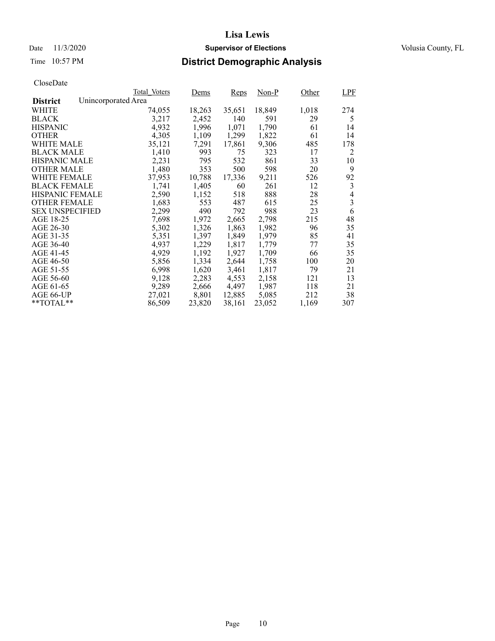### Date 11/3/2020 **Supervisor of Elections** Volusia County, FL

# Time 10:57 PM **District Demographic Analysis**

|                        |                     | Total Voters | Dems   | Reps   | $Non-P$ | Other | LPF                      |
|------------------------|---------------------|--------------|--------|--------|---------|-------|--------------------------|
| <b>District</b>        | Unincorporated Area |              |        |        |         |       |                          |
| WHITE                  |                     | 74,055       | 18,263 | 35,651 | 18,849  | 1,018 | 274                      |
| <b>BLACK</b>           |                     | 3,217        | 2,452  | 140    | 591     | 29    | 5                        |
| <b>HISPANIC</b>        |                     | 4,932        | 1,996  | 1,071  | 1,790   | 61    | 14                       |
| <b>OTHER</b>           |                     | 4,305        | 1,109  | 1,299  | 1,822   | 61    | 14                       |
| WHITE MALE             |                     | 35,121       | 7,291  | 17,861 | 9,306   | 485   | 178                      |
| <b>BLACK MALE</b>      |                     | 1,410        | 993    | 75     | 323     | 17    | 2                        |
| <b>HISPANIC MALE</b>   |                     | 2,231        | 795    | 532    | 861     | 33    | 10                       |
| <b>OTHER MALE</b>      |                     | 1,480        | 353    | 500    | 598     | 20    | 9                        |
| <b>WHITE FEMALE</b>    |                     | 37,953       | 10,788 | 17,336 | 9,211   | 526   | 92                       |
| <b>BLACK FEMALE</b>    |                     | 1,741        | 1,405  | 60     | 261     | 12    | 3                        |
| <b>HISPANIC FEMALE</b> |                     | 2,590        | 1,152  | 518    | 888     | 28    | $\overline{\mathcal{L}}$ |
| <b>OTHER FEMALE</b>    |                     | 1,683        | 553    | 487    | 615     | 25    | $\overline{3}$           |
| <b>SEX UNSPECIFIED</b> |                     | 2,299        | 490    | 792    | 988     | 23    | 6                        |
| AGE 18-25              |                     | 7,698        | 1,972  | 2,665  | 2,798   | 215   | 48                       |
| AGE 26-30              |                     | 5,302        | 1,326  | 1,863  | 1,982   | 96    | 35                       |
| AGE 31-35              |                     | 5,351        | 1,397  | 1,849  | 1,979   | 85    | 41                       |
| AGE 36-40              |                     | 4,937        | 1,229  | 1,817  | 1,779   | 77    | 35                       |
| AGE 41-45              |                     | 4,929        | 1,192  | 1,927  | 1,709   | 66    | 35                       |
| AGE 46-50              |                     | 5,856        | 1,334  | 2,644  | 1,758   | 100   | 20                       |
| AGE 51-55              |                     | 6,998        | 1,620  | 3,461  | 1,817   | 79    | 21                       |
| AGE 56-60              |                     | 9,128        | 2,283  | 4,553  | 2,158   | 121   | 13                       |
| AGE 61-65              |                     | 9,289        | 2,666  | 4,497  | 1,987   | 118   | 21                       |
| AGE 66-UP              |                     | 27,021       | 8,801  | 12,885 | 5,085   | 212   | 38                       |
| $*$ $TOTAL**$          |                     | 86,509       | 23,820 | 38,161 | 23,052  | 1,169 | 307                      |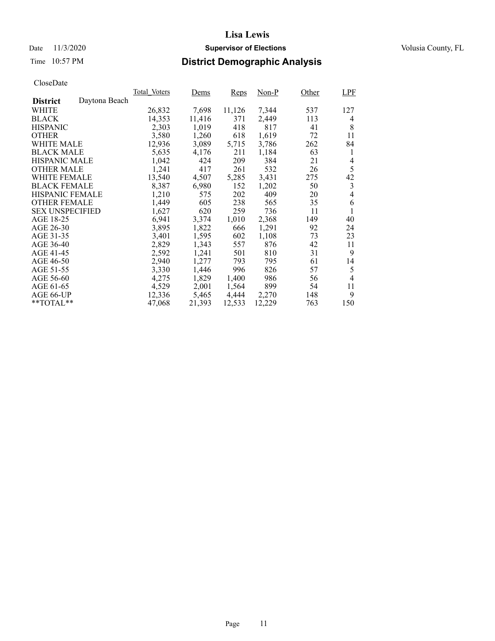### Date 11/3/2020 **Supervisor of Elections** Volusia County, FL

# Time 10:57 PM **District Demographic Analysis**

|                        |               | Total Voters | Dems   | <b>Reps</b> | Non-P  | Other | LPF |
|------------------------|---------------|--------------|--------|-------------|--------|-------|-----|
| <b>District</b>        | Daytona Beach |              |        |             |        |       |     |
| WHITE                  |               | 26,832       | 7,698  | 11,126      | 7,344  | 537   | 127 |
| <b>BLACK</b>           |               | 14,353       | 11,416 | 371         | 2,449  | 113   | 4   |
| <b>HISPANIC</b>        |               | 2,303        | 1,019  | 418         | 817    | 41    | 8   |
| <b>OTHER</b>           |               | 3,580        | 1,260  | 618         | 1,619  | 72    | 11  |
| WHITE MALE             |               | 12,936       | 3,089  | 5,715       | 3,786  | 262   | 84  |
| <b>BLACK MALE</b>      |               | 5,635        | 4,176  | 211         | 1,184  | 63    | 1   |
| <b>HISPANIC MALE</b>   |               | 1,042        | 424    | 209         | 384    | 21    | 4   |
| <b>OTHER MALE</b>      |               | 1,241        | 417    | 261         | 532    | 26    | 5   |
| <b>WHITE FEMALE</b>    |               | 13,540       | 4,507  | 5,285       | 3,431  | 275   | 42  |
| <b>BLACK FEMALE</b>    |               | 8,387        | 6,980  | 152         | 1,202  | 50    | 3   |
| HISPANIC FEMALE        |               | 1,210        | 575    | 202         | 409    | 20    | 4   |
| <b>OTHER FEMALE</b>    |               | 1,449        | 605    | 238         | 565    | 35    | 6   |
| <b>SEX UNSPECIFIED</b> |               | 1,627        | 620    | 259         | 736    | 11    | 1   |
| AGE 18-25              |               | 6,941        | 3,374  | 1,010       | 2,368  | 149   | 40  |
| AGE 26-30              |               | 3,895        | 1,822  | 666         | 1,291  | 92    | 24  |
| AGE 31-35              |               | 3,401        | 1,595  | 602         | 1,108  | 73    | 23  |
| AGE 36-40              |               | 2,829        | 1,343  | 557         | 876    | 42    | 11  |
| AGE 41-45              |               | 2,592        | 1,241  | 501         | 810    | 31    | 9   |
| AGE 46-50              |               | 2,940        | 1,277  | 793         | 795    | 61    | 14  |
| AGE 51-55              |               | 3,330        | 1,446  | 996         | 826    | 57    | 5   |
| AGE 56-60              |               | 4,275        | 1,829  | 1,400       | 986    | 56    | 4   |
| AGE 61-65              |               | 4,529        | 2,001  | 1,564       | 899    | 54    | 11  |
| AGE 66-UP              |               | 12,336       | 5,465  | 4,444       | 2,270  | 148   | 9   |
| $*$ $TOTAL**$          |               | 47,068       | 21,393 | 12,533      | 12,229 | 763   | 150 |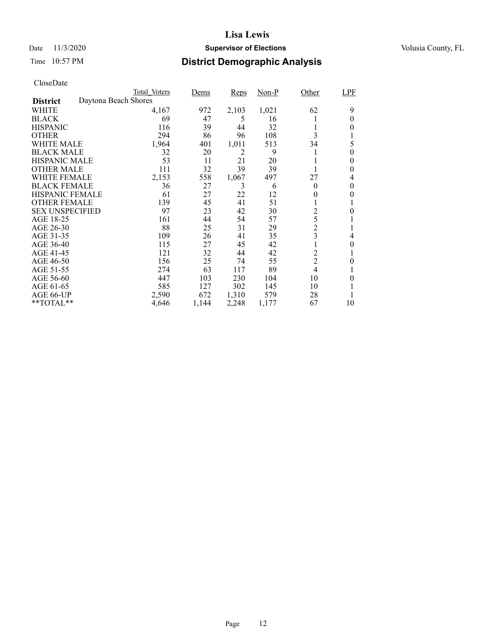### Date 11/3/2020 **Supervisor of Elections** Volusia County, FL

# Time 10:57 PM **District Demographic Analysis**

|                        |                      | Total Voters | Dems  | Reps  | Non-P | Other          | LPF      |
|------------------------|----------------------|--------------|-------|-------|-------|----------------|----------|
| <b>District</b>        | Daytona Beach Shores |              |       |       |       |                |          |
| WHITE                  |                      | 4,167        | 972   | 2,103 | 1,021 | 62             | 9        |
| <b>BLACK</b>           |                      | 69           | 47    | 5     | 16    |                | 0        |
| <b>HISPANIC</b>        |                      | 116          | 39    | 44    | 32    | 1              | 0        |
| <b>OTHER</b>           |                      | 294          | 86    | 96    | 108   | 3              |          |
| WHITE MALE             |                      | 1,964        | 401   | 1,011 | 513   | 34             | 5        |
| <b>BLACK MALE</b>      |                      | 32           | 20    | 2     | 9     |                | $\theta$ |
| <b>HISPANIC MALE</b>   |                      | 53           | 11    | 21    | 20    |                | 0        |
| <b>OTHER MALE</b>      |                      | 111          | 32    | 39    | 39    |                | 0        |
| WHITE FEMALE           |                      | 2,153        | 558   | 1,067 | 497   | 27             | 4        |
| <b>BLACK FEMALE</b>    |                      | 36           | 27    | 3     | 6     | $\theta$       | 0        |
| <b>HISPANIC FEMALE</b> |                      | 61           | 27    | 22    | 12    | 0              | 0        |
| <b>OTHER FEMALE</b>    |                      | 139          | 45    | 41    | 51    |                |          |
| <b>SEX UNSPECIFIED</b> |                      | 97           | 23    | 42    | 30    | $\overline{c}$ | 0        |
| AGE 18-25              |                      | 161          | 44    | 54    | 57    | 5              |          |
| AGE 26-30              |                      | 88           | 25    | 31    | 29    | $\overline{c}$ |          |
| AGE 31-35              |                      | 109          | 26    | 41    | 35    | 3              | 4        |
| AGE 36-40              |                      | 115          | 27    | 45    | 42    |                | 0        |
| AGE 41-45              |                      | 121          | 32    | 44    | 42    | $\overline{c}$ |          |
| AGE 46-50              |                      | 156          | 25    | 74    | 55    | $\overline{c}$ | 0        |
| AGE 51-55              |                      | 274          | 63    | 117   | 89    | $\overline{4}$ |          |
| AGE 56-60              |                      | 447          | 103   | 230   | 104   | 10             | 0        |
| AGE 61-65              |                      | 585          | 127   | 302   | 145   | 10             |          |
| AGE 66-UP              |                      | 2,590        | 672   | 1,310 | 579   | 28             |          |
| **TOTAL**              |                      | 4,646        | 1,144 | 2,248 | 1,177 | 67             | 10       |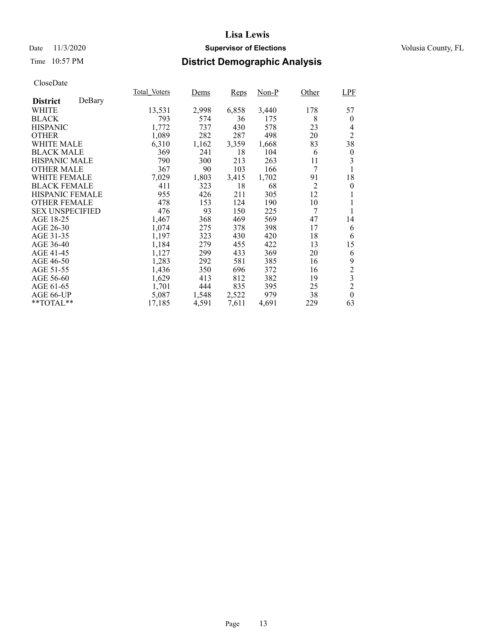### Date 11/3/2020 **Supervisor of Elections** Volusia County, FL

# Time 10:57 PM **District Demographic Analysis**

|                        |        | Total Voters | <u>Dems</u> | Reps  | Non-P | Other          | <b>LPF</b>     |
|------------------------|--------|--------------|-------------|-------|-------|----------------|----------------|
| <b>District</b>        | DeBary |              |             |       |       |                |                |
| WHITE                  |        | 13,531       | 2,998       | 6,858 | 3,440 | 178            | 57             |
| <b>BLACK</b>           |        | 793          | 574         | 36    | 175   | 8              | $\theta$       |
| <b>HISPANIC</b>        |        | 1,772        | 737         | 430   | 578   | 23             | 4              |
| <b>OTHER</b>           |        | 1,089        | 282         | 287   | 498   | 20             | $\overline{2}$ |
| WHITE MALE             |        | 6,310        | 1,162       | 3,359 | 1,668 | 83             | 38             |
| <b>BLACK MALE</b>      |        | 369          | 241         | 18    | 104   | 6              | $\theta$       |
| <b>HISPANIC MALE</b>   |        | 790          | 300         | 213   | 263   | 11             | 3              |
| <b>OTHER MALE</b>      |        | 367          | 90          | 103   | 166   | 7              | 1              |
| WHITE FEMALE           |        | 7,029        | 1,803       | 3,415 | 1,702 | 91             | 18             |
| <b>BLACK FEMALE</b>    |        | 411          | 323         | 18    | 68    | $\overline{2}$ | $\theta$       |
| <b>HISPANIC FEMALE</b> |        | 955          | 426         | 211   | 305   | 12             |                |
| <b>OTHER FEMALE</b>    |        | 478          | 153         | 124   | 190   | 10             | 1              |
| <b>SEX UNSPECIFIED</b> |        | 476          | 93          | 150   | 225   | 7              | 1              |
| AGE 18-25              |        | 1,467        | 368         | 469   | 569   | 47             | 14             |
| AGE 26-30              |        | 1,074        | 275         | 378   | 398   | 17             | 6              |
| AGE 31-35              |        | 1,197        | 323         | 430   | 420   | 18             | 6              |
| AGE 36-40              |        | 1,184        | 279         | 455   | 422   | 13             | 15             |
| AGE 41-45              |        | 1,127        | 299         | 433   | 369   | 20             | 6              |
| AGE 46-50              |        | 1,283        | 292         | 581   | 385   | 16             | 9              |
| AGE 51-55              |        | 1,436        | 350         | 696   | 372   | 16             | $\overline{c}$ |
| AGE 56-60              |        | 1,629        | 413         | 812   | 382   | 19             | $\overline{3}$ |
| AGE 61-65              |        | 1,701        | 444         | 835   | 395   | 25             | $\overline{c}$ |
| AGE 66-UP              |        | 5,087        | 1,548       | 2,522 | 979   | 38             | $\theta$       |
| **TOTAL**              |        | 17,185       | 4,591       | 7,611 | 4,691 | 229            | 63             |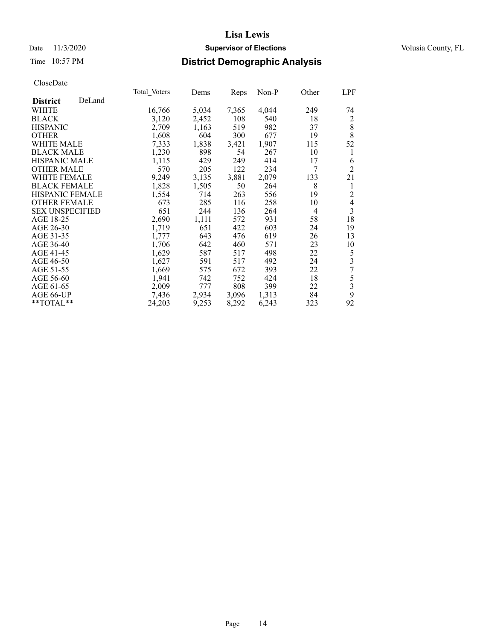### Date 11/3/2020 **Supervisor of Elections** Volusia County, FL

### Time 10:57 PM **District Demographic Analysis**

|                        |        | Total Voters | Dems  | <b>Reps</b> | Non-P | Other | LPF                      |
|------------------------|--------|--------------|-------|-------------|-------|-------|--------------------------|
| <b>District</b>        | DeLand |              |       |             |       |       |                          |
| WHITE                  |        | 16,766       | 5,034 | 7,365       | 4,044 | 249   | 74                       |
| <b>BLACK</b>           |        | 3,120        | 2,452 | 108         | 540   | 18    | 2                        |
| <b>HISPANIC</b>        |        | 2,709        | 1,163 | 519         | 982   | 37    | 8                        |
| <b>OTHER</b>           |        | 1,608        | 604   | 300         | 677   | 19    | 8                        |
| WHITE MALE             |        | 7,333        | 1,838 | 3,421       | 1,907 | 115   | 52                       |
| <b>BLACK MALE</b>      |        | 1,230        | 898   | 54          | 267   | 10    | 1                        |
| <b>HISPANIC MALE</b>   |        | 1,115        | 429   | 249         | 414   | 17    | 6                        |
| <b>OTHER MALE</b>      |        | 570          | 205   | 122         | 234   | 7     | $\overline{2}$           |
| WHITE FEMALE           |        | 9,249        | 3,135 | 3,881       | 2,079 | 133   | 21                       |
| <b>BLACK FEMALE</b>    |        | 1,828        | 1,505 | 50          | 264   | 8     | 1                        |
| HISPANIC FEMALE        |        | 1,554        | 714   | 263         | 556   | 19    | 2                        |
| <b>OTHER FEMALE</b>    |        | 673          | 285   | 116         | 258   | 10    | $\overline{\mathcal{L}}$ |
| <b>SEX UNSPECIFIED</b> |        | 651          | 244   | 136         | 264   | 4     | $\overline{3}$           |
| AGE 18-25              |        | 2,690        | 1,111 | 572         | 931   | 58    | 18                       |
| AGE 26-30              |        | 1,719        | 651   | 422         | 603   | 24    | 19                       |
| AGE 31-35              |        | 1,777        | 643   | 476         | 619   | 26    | 13                       |
| AGE 36-40              |        | 1,706        | 642   | 460         | 571   | 23    | 10                       |
| AGE 41-45              |        | 1,629        | 587   | 517         | 498   | 22    | 5                        |
| AGE 46-50              |        | 1,627        | 591   | 517         | 492   | 24    | $\overline{\mathbf{3}}$  |
| AGE 51-55              |        | 1,669        | 575   | 672         | 393   | 22    | $\overline{7}$           |
| AGE 56-60              |        | 1,941        | 742   | 752         | 424   | 18    | 5                        |
| AGE 61-65              |        | 2,009        | 777   | 808         | 399   | 22    | $\overline{\mathbf{3}}$  |
| AGE 66-UP              |        | 7,436        | 2,934 | 3,096       | 1,313 | 84    | 9                        |
| $*$ TOTAL $*$          |        | 24,203       | 9,253 | 8,292       | 6,243 | 323   | 92                       |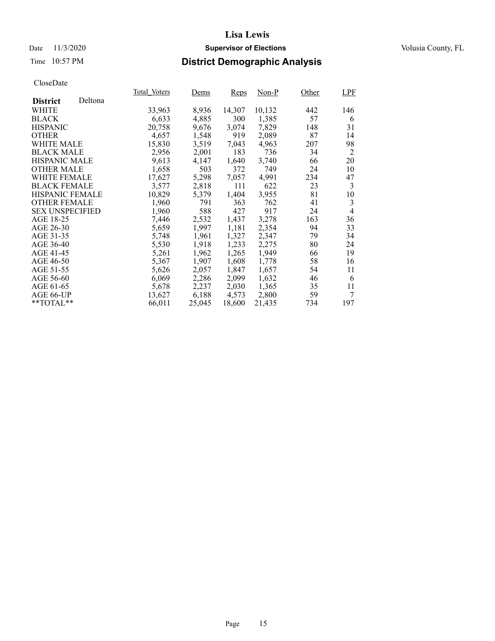### Date 11/3/2020 **Supervisor of Elections** Volusia County, FL

### Time 10:57 PM **District Demographic Analysis**

|                        |         | Total Voters | Dems   | Reps   | Non-P  | Other | LPF            |
|------------------------|---------|--------------|--------|--------|--------|-------|----------------|
| <b>District</b>        | Deltona |              |        |        |        |       |                |
| WHITE                  |         | 33,963       | 8,936  | 14,307 | 10,132 | 442   | 146            |
| <b>BLACK</b>           |         | 6,633        | 4,885  | 300    | 1,385  | 57    | 6              |
| <b>HISPANIC</b>        |         | 20,758       | 9,676  | 3,074  | 7,829  | 148   | 31             |
| <b>OTHER</b>           |         | 4,657        | 1,548  | 919    | 2,089  | 87    | 14             |
| WHITE MALE             |         | 15,830       | 3,519  | 7.043  | 4,963  | 207   | 98             |
| <b>BLACK MALE</b>      |         | 2,956        | 2,001  | 183    | 736    | 34    | 2              |
| <b>HISPANIC MALE</b>   |         | 9,613        | 4,147  | 1,640  | 3,740  | 66    | 20             |
| <b>OTHER MALE</b>      |         | 1,658        | 503    | 372    | 749    | 24    | 10             |
| <b>WHITE FEMALE</b>    |         | 17,627       | 5,298  | 7,057  | 4,991  | 234   | 47             |
| <b>BLACK FEMALE</b>    |         | 3,577        | 2,818  | 111    | 622    | 23    | 3              |
| <b>HISPANIC FEMALE</b> |         | 10,829       | 5,379  | 1,404  | 3,955  | 81    | 10             |
| <b>OTHER FEMALE</b>    |         | 1,960        | 791    | 363    | 762    | 41    | 3              |
| <b>SEX UNSPECIFIED</b> |         | 1,960        | 588    | 427    | 917    | 24    | $\overline{4}$ |
| AGE 18-25              |         | 7,446        | 2,532  | 1,437  | 3,278  | 163   | 36             |
| AGE 26-30              |         | 5,659        | 1,997  | 1,181  | 2,354  | 94    | 33             |
| AGE 31-35              |         | 5,748        | 1,961  | 1,327  | 2,347  | 79    | 34             |
| AGE 36-40              |         | 5,530        | 1,918  | 1,233  | 2,275  | 80    | 24             |
| AGE 41-45              |         | 5,261        | 1,962  | 1,265  | 1,949  | 66    | 19             |
| AGE 46-50              |         | 5,367        | 1,907  | 1,608  | 1,778  | 58    | 16             |
| AGE 51-55              |         | 5,626        | 2,057  | 1,847  | 1,657  | 54    | 11             |
| AGE 56-60              |         | 6,069        | 2,286  | 2,099  | 1,632  | 46    | 6              |
| AGE 61-65              |         | 5,678        | 2,237  | 2,030  | 1,365  | 35    | 11             |
| AGE 66-UP              |         | 13,627       | 6,188  | 4,573  | 2,800  | 59    | 7              |
| $*$ $TOTAL**$          |         | 66,011       | 25,045 | 18,600 | 21,435 | 734   | 197            |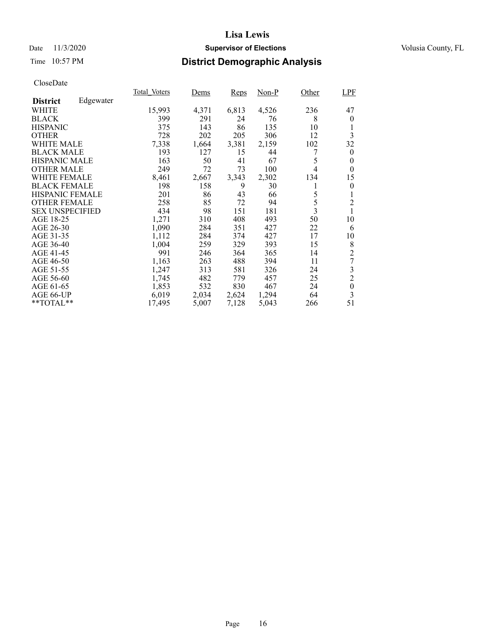### Date 11/3/2020 **Supervisor of Elections** Volusia County, FL

# Time 10:57 PM **District Demographic Analysis**

|                        |           | Total Voters | Dems  | Reps  | Non-P | Other          | <b>LPF</b>       |
|------------------------|-----------|--------------|-------|-------|-------|----------------|------------------|
| <b>District</b>        | Edgewater |              |       |       |       |                |                  |
| WHITE                  |           | 15,993       | 4,371 | 6,813 | 4,526 | 236            | 47               |
| <b>BLACK</b>           |           | 399          | 291   | 24    | 76    | 8              | $\theta$         |
| <b>HISPANIC</b>        |           | 375          | 143   | 86    | 135   | 10             |                  |
| <b>OTHER</b>           |           | 728          | 202   | 205   | 306   | 12             | 3                |
| WHITE MALE             |           | 7,338        | 1,664 | 3,381 | 2,159 | 102            | 32               |
| <b>BLACK MALE</b>      |           | 193          | 127   | 15    | 44    | 7              | $\bf{0}$         |
| <b>HISPANIC MALE</b>   |           | 163          | 50    | 41    | 67    | 5              | $\boldsymbol{0}$ |
| <b>OTHER MALE</b>      |           | 249          | 72    | 73    | 100   | 4              | $\theta$         |
| <b>WHITE FEMALE</b>    |           | 8,461        | 2,667 | 3,343 | 2,302 | 134            | 15               |
| <b>BLACK FEMALE</b>    |           | 198          | 158   | 9     | 30    | 1              | $\theta$         |
| <b>HISPANIC FEMALE</b> |           | 201          | 86    | 43    | 66    | 5              | 1                |
| <b>OTHER FEMALE</b>    |           | 258          | 85    | 72    | 94    | 5              | $\overline{2}$   |
| <b>SEX UNSPECIFIED</b> |           | 434          | 98    | 151   | 181   | $\overline{3}$ |                  |
| AGE 18-25              |           | 1,271        | 310   | 408   | 493   | 50             | 10               |
| AGE 26-30              |           | 1,090        | 284   | 351   | 427   | 22             | 6                |
| AGE 31-35              |           | 1,112        | 284   | 374   | 427   | 17             | 10               |
| AGE 36-40              |           | 1,004        | 259   | 329   | 393   | 15             | 8                |
| AGE 41-45              |           | 991          | 246   | 364   | 365   | 14             | $\overline{c}$   |
| AGE 46-50              |           | 1,163        | 263   | 488   | 394   | 11             | 7                |
| AGE 51-55              |           | 1,247        | 313   | 581   | 326   | 24             | 3                |
| AGE 56-60              |           | 1,745        | 482   | 779   | 457   | 25             | $\overline{2}$   |
| AGE 61-65              |           | 1,853        | 532   | 830   | 467   | 24             | $\boldsymbol{0}$ |
| AGE 66-UP              |           | 6,019        | 2,034 | 2,624 | 1,294 | 64             | 3                |
| $*$ $TOTAL**$          |           | 17,495       | 5,007 | 7,128 | 5,043 | 266            | 51               |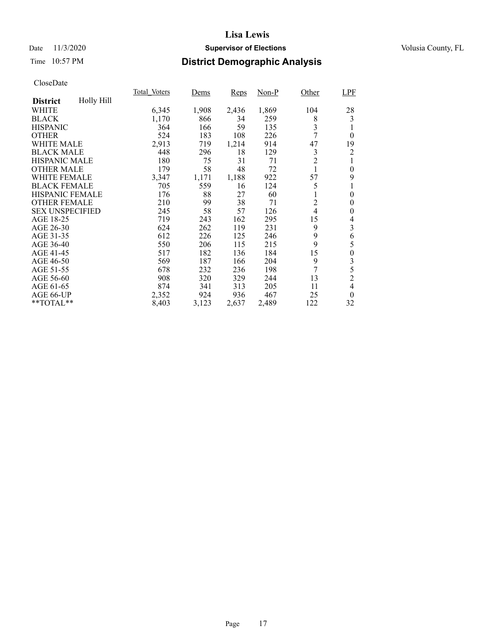### Date 11/3/2020 **Supervisor of Elections** Volusia County, FL

# Time 10:57 PM **District Demographic Analysis**

|                        |            | Total Voters | Dems  | <b>Reps</b> | Non-P | Other          | LPF              |
|------------------------|------------|--------------|-------|-------------|-------|----------------|------------------|
| <b>District</b>        | Holly Hill |              |       |             |       |                |                  |
| WHITE                  |            | 6,345        | 1,908 | 2,436       | 1,869 | 104            | 28               |
| <b>BLACK</b>           |            | 1,170        | 866   | 34          | 259   | 8              | 3                |
| <b>HISPANIC</b>        |            | 364          | 166   | 59          | 135   | 3              |                  |
| <b>OTHER</b>           |            | 524          | 183   | 108         | 226   | 7              | $\theta$         |
| WHITE MALE             |            | 2,913        | 719   | 1,214       | 914   | 47             | 19               |
| <b>BLACK MALE</b>      |            | 448          | 296   | 18          | 129   | 3              | 2                |
| <b>HISPANIC MALE</b>   |            | 180          | 75    | 31          | 71    | $\overline{c}$ | 1                |
| <b>OTHER MALE</b>      |            | 179          | 58    | 48          | 72    |                | $\overline{0}$   |
| WHITE FEMALE           |            | 3,347        | 1,171 | 1,188       | 922   | 57             | 9                |
| <b>BLACK FEMALE</b>    |            | 705          | 559   | 16          | 124   | 5              | 1                |
| HISPANIC FEMALE        |            | 176          | 88    | 27          | 60    |                | $\overline{0}$   |
| <b>OTHER FEMALE</b>    |            | 210          | 99    | 38          | 71    | $\overline{c}$ | 0                |
| <b>SEX UNSPECIFIED</b> |            | 245          | 58    | 57          | 126   | $\overline{4}$ | $\overline{0}$   |
| AGE 18-25              |            | 719          | 243   | 162         | 295   | 15             | 4                |
| AGE 26-30              |            | 624          | 262   | 119         | 231   | 9              | 3                |
| AGE 31-35              |            | 612          | 226   | 125         | 246   | 9              | 6                |
| AGE 36-40              |            | 550          | 206   | 115         | 215   | 9              | 5                |
| AGE 41-45              |            | 517          | 182   | 136         | 184   | 15             | $\boldsymbol{0}$ |
| AGE 46-50              |            | 569          | 187   | 166         | 204   | 9              | 3                |
| AGE 51-55              |            | 678          | 232   | 236         | 198   | $\tau$         | 5                |
| AGE 56-60              |            | 908          | 320   | 329         | 244   | 13             | $\overline{2}$   |
| AGE 61-65              |            | 874          | 341   | 313         | 205   | 11             | 4                |
| AGE 66-UP              |            | 2,352        | 924   | 936         | 467   | 25             | $\theta$         |
| **TOTAL**              |            | 8,403        | 3,123 | 2,637       | 2,489 | 122            | 32               |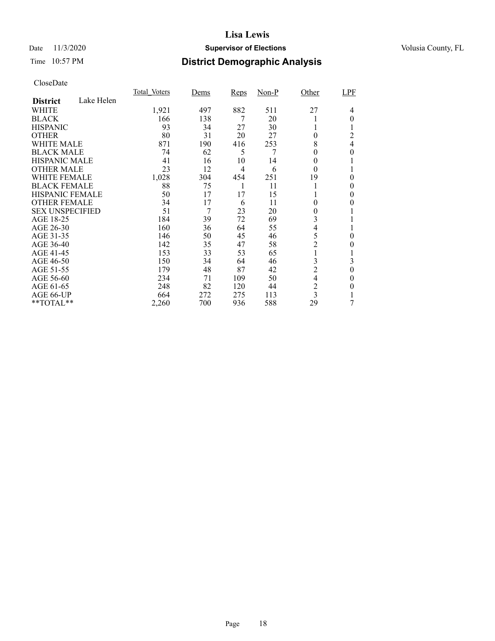### Date 11/3/2020 **Supervisor of Elections** Volusia County, FL

# Time 10:57 PM **District Demographic Analysis**

|                        |            | Total Voters | Dems | <b>Reps</b> | $Non-P$ | Other          | LPF      |
|------------------------|------------|--------------|------|-------------|---------|----------------|----------|
| <b>District</b>        | Lake Helen |              |      |             |         |                |          |
| WHITE                  |            | 1,921        | 497  | 882         | 511     | 27             | 4        |
| <b>BLACK</b>           |            | 166          | 138  | 7           | 20      |                | $\theta$ |
| <b>HISPANIC</b>        |            | 93           | 34   | 27          | 30      |                |          |
| <b>OTHER</b>           |            | 80           | 31   | 20          | 27      | 0              | 2        |
| WHITE MALE             |            | 871          | 190  | 416         | 253     | 8              | 4        |
| <b>BLACK MALE</b>      |            | 74           | 62   | 5           | 7       | 0              | 0        |
| <b>HISPANIC MALE</b>   |            | 41           | 16   | 10          | 14      | 0              |          |
| <b>OTHER MALE</b>      |            | 23           | 12   | 4           | 6       | $\theta$       |          |
| <b>WHITE FEMALE</b>    |            | 1,028        | 304  | 454         | 251     | 19             | 0        |
| <b>BLACK FEMALE</b>    |            | 88           | 75   |             | 11      |                | 0        |
| HISPANIC FEMALE        |            | 50           | 17   | 17          | 15      |                | 0        |
| <b>OTHER FEMALE</b>    |            | 34           | 17   | 6           | 11      | 0              | $\theta$ |
| <b>SEX UNSPECIFIED</b> |            | 51           | 7    | 23          | 20      | 0              |          |
| AGE 18-25              |            | 184          | 39   | 72          | 69      | 3              |          |
| AGE 26-30              |            | 160          | 36   | 64          | 55      | 4              |          |
| AGE 31-35              |            | 146          | 50   | 45          | 46      | 5              | 0        |
| AGE 36-40              |            | 142          | 35   | 47          | 58      | $\overline{c}$ | 0        |
| AGE 41-45              |            | 153          | 33   | 53          | 65      |                |          |
| AGE 46-50              |            | 150          | 34   | 64          | 46      | 3              | 3        |
| AGE 51-55              |            | 179          | 48   | 87          | 42      | $\overline{c}$ | $\theta$ |
| AGE 56-60              |            | 234          | 71   | 109         | 50      | 4              | 0        |
| AGE 61-65              |            | 248          | 82   | 120         | 44      | $\overline{c}$ | 0        |
| AGE 66-UP              |            | 664          | 272  | 275         | 113     | 3              |          |
| **TOTAL**              |            | 2,260        | 700  | 936         | 588     | 29             | 7        |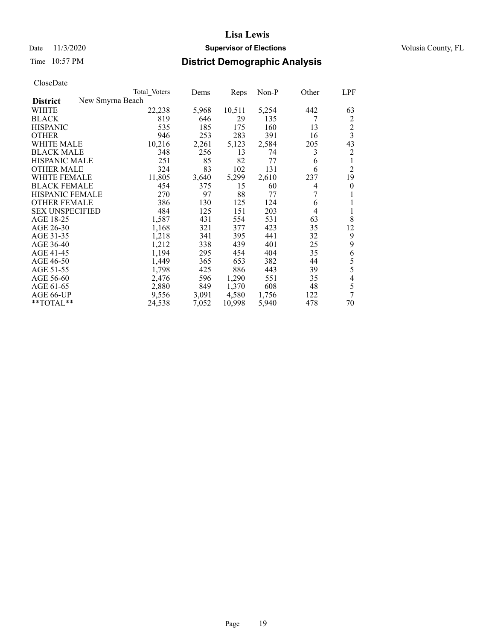### Date 11/3/2020 **Supervisor of Elections** Volusia County, FL

# Time 10:57 PM **District Demographic Analysis**

|                        |                  | <b>Total Voters</b> | Dems  | Reps   | Non-P | Other | LPF                     |
|------------------------|------------------|---------------------|-------|--------|-------|-------|-------------------------|
| <b>District</b>        | New Smyrna Beach |                     |       |        |       |       |                         |
| WHITE                  |                  | 22,238              | 5,968 | 10,511 | 5,254 | 442   | 63                      |
| <b>BLACK</b>           |                  | 819                 | 646   | 29     | 135   | 7     | $\overline{c}$          |
| <b>HISPANIC</b>        |                  | 535                 | 185   | 175    | 160   | 13    | $\overline{c}$          |
| <b>OTHER</b>           |                  | 946                 | 253   | 283    | 391   | 16    | $\overline{\mathbf{3}}$ |
| WHITE MALE             |                  | 10,216              | 2,261 | 5,123  | 2,584 | 205   | 43                      |
| <b>BLACK MALE</b>      |                  | 348                 | 256   | 13     | 74    | 3     | 2                       |
| <b>HISPANIC MALE</b>   |                  | 251                 | 85    | 82     | 77    | 6     | 1                       |
| <b>OTHER MALE</b>      |                  | 324                 | 83    | 102    | 131   | 6     | $\overline{c}$          |
| WHITE FEMALE           |                  | 11,805              | 3,640 | 5,299  | 2,610 | 237   | 19                      |
| <b>BLACK FEMALE</b>    |                  | 454                 | 375   | 15     | 60    | 4     | $\overline{0}$          |
| <b>HISPANIC FEMALE</b> |                  | 270                 | 97    | 88     | 77    | 7     | 1                       |
| <b>OTHER FEMALE</b>    |                  | 386                 | 130   | 125    | 124   | 6     | 1                       |
| <b>SEX UNSPECIFIED</b> |                  | 484                 | 125   | 151    | 203   | 4     | 1                       |
| AGE 18-25              |                  | 1,587               | 431   | 554    | 531   | 63    | 8                       |
| AGE 26-30              |                  | 1,168               | 321   | 377    | 423   | 35    | 12                      |
| AGE 31-35              |                  | 1,218               | 341   | 395    | 441   | 32    | 9                       |
| AGE 36-40              |                  | 1,212               | 338   | 439    | 401   | 25    | 9                       |
| AGE 41-45              |                  | 1,194               | 295   | 454    | 404   | 35    | 6                       |
| AGE 46-50              |                  | 1,449               | 365   | 653    | 382   | 44    | 5                       |
| AGE 51-55              |                  | 1,798               | 425   | 886    | 443   | 39    | 5                       |
| AGE 56-60              |                  | 2,476               | 596   | 1,290  | 551   | 35    | 4                       |
| AGE 61-65              |                  | 2,880               | 849   | 1,370  | 608   | 48    | 5                       |
| AGE 66-UP              |                  | 9,556               | 3,091 | 4,580  | 1,756 | 122   | 7                       |
| $*$ $TOTAL**$          |                  | 24,538              | 7,052 | 10,998 | 5,940 | 478   | 70                      |
|                        |                  |                     |       |        |       |       |                         |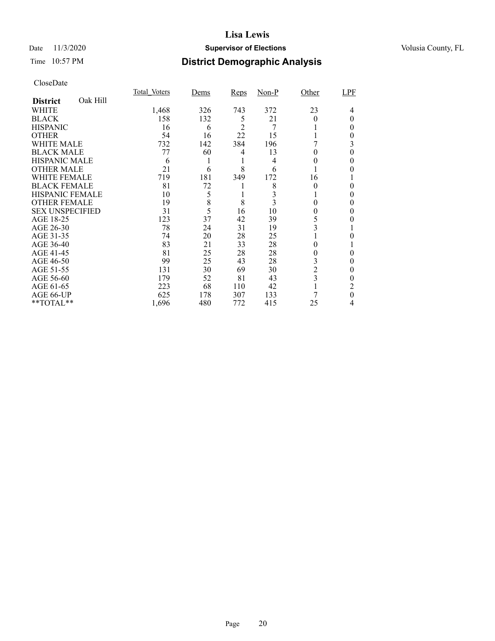### Date 11/3/2020 **Supervisor of Elections** Volusia County, FL

# Time 10:57 PM **District Demographic Analysis**

|                        |          | Total Voters | Dems | <b>Reps</b>    | $Non-P$ | Other                   | LPF |
|------------------------|----------|--------------|------|----------------|---------|-------------------------|-----|
| <b>District</b>        | Oak Hill |              |      |                |         |                         |     |
| WHITE                  |          | 1,468        | 326  | 743            | 372     | 23                      | 4   |
| <b>BLACK</b>           |          | 158          | 132  | 5              | 21      | 0                       | 0   |
| <b>HISPANIC</b>        |          | 16           | 6    | $\mathfrak{D}$ | 7       |                         | 0   |
| <b>OTHER</b>           |          | 54           | 16   | 22             | 15      |                         | 0   |
| WHITE MALE             |          | 732          | 142  | 384            | 196     |                         | 3   |
| <b>BLACK MALE</b>      |          | 77           | 60   | 4              | 13      | 0                       | 0   |
| <b>HISPANIC MALE</b>   |          | 6            | 1    |                | 4       | 0                       | 0   |
| <b>OTHER MALE</b>      |          | 21           | 6    | 8              | 6       |                         | 0   |
| <b>WHITE FEMALE</b>    |          | 719          | 181  | 349            | 172     | 16                      |     |
| <b>BLACK FEMALE</b>    |          | 81           | 72   |                | 8       | 0                       | 0   |
| <b>HISPANIC FEMALE</b> |          | 10           | 5    |                |         |                         | 0   |
| <b>OTHER FEMALE</b>    |          | 19           | 8    | 8              | 3       | 0                       | 0   |
| <b>SEX UNSPECIFIED</b> |          | 31           | 5    | 16             | 10      | 0                       | 0   |
| AGE 18-25              |          | 123          | 37   | 42             | 39      | 5                       |     |
| AGE 26-30              |          | 78           | 24   | 31             | 19      | 3                       |     |
| AGE 31-35              |          | 74           | 20   | 28             | 25      |                         |     |
| AGE 36-40              |          | 83           | 21   | 33             | 28      | 0                       |     |
| AGE 41-45              |          | 81           | 25   | 28             | 28      | 0                       | 0   |
| AGE 46-50              |          | 99           | 25   | 43             | 28      | 3                       | 0   |
| AGE 51-55              |          | 131          | 30   | 69             | 30      | $\overline{c}$          | 0   |
| AGE 56-60              |          | 179          | 52   | 81             | 43      | $\overline{\mathbf{3}}$ | 0   |
| AGE 61-65              |          | 223          | 68   | 110            | 42      |                         | 2   |
| AGE 66-UP              |          | 625          | 178  | 307            | 133     |                         | 0   |
| **TOTAL**              |          | 1,696        | 480  | 772            | 415     | 25                      | 4   |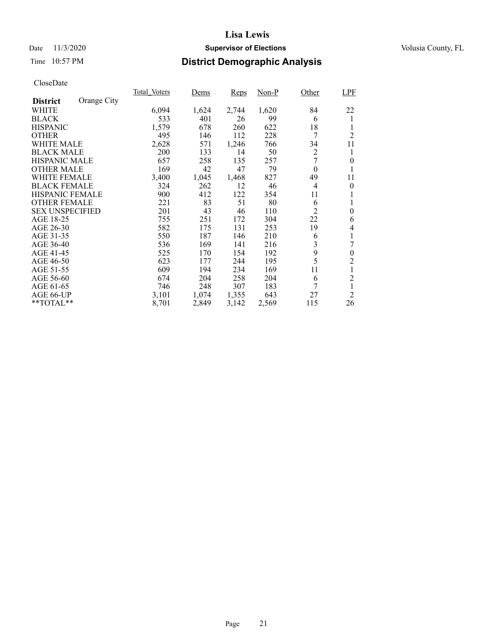### Date 11/3/2020 **Supervisor of Elections** Volusia County, FL

# Time 10:57 PM **District Demographic Analysis**

|                        |             | Total Voters | Dems  | Reps  | $Non-P$ | Other          | LPF            |
|------------------------|-------------|--------------|-------|-------|---------|----------------|----------------|
| <b>District</b>        | Orange City |              |       |       |         |                |                |
| WHITE                  |             | 6,094        | 1,624 | 2,744 | 1,620   | 84             | 22             |
| <b>BLACK</b>           |             | 533          | 401   | 26    | 99      | 6              | 1              |
| <b>HISPANIC</b>        |             | 1,579        | 678   | 260   | 622     | 18             |                |
| <b>OTHER</b>           |             | 495          | 146   | 112   | 228     | 7              | $\overline{2}$ |
| WHITE MALE             |             | 2,628        | 571   | 1,246 | 766     | 34             | 11             |
| <b>BLACK MALE</b>      |             | 200          | 133   | 14    | 50      | $\overline{2}$ | 1              |
| <b>HISPANIC MALE</b>   |             | 657          | 258   | 135   | 257     | 7              | $\overline{0}$ |
| <b>OTHER MALE</b>      |             | 169          | 42    | 47    | 79      | $\theta$       | 1              |
| <b>WHITE FEMALE</b>    |             | 3,400        | 1,045 | 1,468 | 827     | 49             | 11             |
| <b>BLACK FEMALE</b>    |             | 324          | 262   | 12    | 46      | $\overline{4}$ | $\theta$       |
| <b>HISPANIC FEMALE</b> |             | 900          | 412   | 122   | 354     | 11             |                |
| <b>OTHER FEMALE</b>    |             | 221          | 83    | 51    | 80      | 6              | 1              |
| <b>SEX UNSPECIFIED</b> |             | 201          | 43    | 46    | 110     | 2              | $\theta$       |
| AGE 18-25              |             | 755          | 251   | 172   | 304     | 22             | 6              |
| AGE 26-30              |             | 582          | 175   | 131   | 253     | 19             | 4              |
| AGE 31-35              |             | 550          | 187   | 146   | 210     | 6              | 1              |
| AGE 36-40              |             | 536          | 169   | 141   | 216     | 3              | 7              |
| AGE 41-45              |             | 525          | 170   | 154   | 192     | 9              | $\overline{0}$ |
| AGE 46-50              |             | 623          | 177   | 244   | 195     | 5              | 2              |
| AGE 51-55              |             | 609          | 194   | 234   | 169     | 11             | 1              |
| AGE 56-60              |             | 674          | 204   | 258   | 204     | 6              | $\overline{c}$ |
| AGE 61-65              |             | 746          | 248   | 307   | 183     | 7              | 1              |
| AGE 66-UP              |             | 3,101        | 1,074 | 1,355 | 643     | 27             | $\overline{2}$ |
| **TOTAL**              |             | 8,701        | 2,849 | 3,142 | 2,569   | 115            | 26             |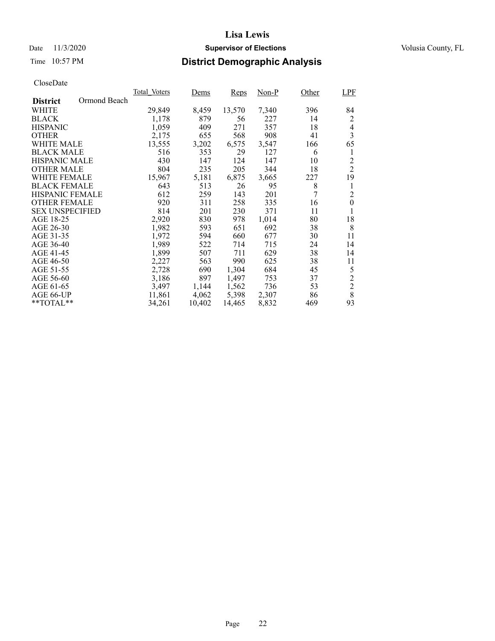### Date 11/3/2020 **Supervisor of Elections** Volusia County, FL

# Time 10:57 PM **District Demographic Analysis**

|                                 | Total Voters | Dems   | Reps   | Non-P | Other  | LPF              |
|---------------------------------|--------------|--------|--------|-------|--------|------------------|
| Ormond Beach<br><b>District</b> |              |        |        |       |        |                  |
| WHITE                           | 29,849       | 8,459  | 13,570 | 7,340 | 396    | 84               |
| <b>BLACK</b>                    | 1,178        | 879    | 56     | 227   | 14     | 2                |
| <b>HISPANIC</b>                 | 1,059        | 409    | 271    | 357   | 18     | 4                |
| <b>OTHER</b>                    | 2,175        | 655    | 568    | 908   | 41     | 3                |
| WHITE MALE                      | 13,555       | 3,202  | 6,575  | 3,547 | 166    | 65               |
| <b>BLACK MALE</b>               | 516          | 353    | 29     | 127   | 6      | 1                |
| <b>HISPANIC MALE</b>            | 430          | 147    | 124    | 147   | 10     | $\overline{c}$   |
| <b>OTHER MALE</b>               | 804          | 235    | 205    | 344   | 18     | $\overline{2}$   |
| WHITE FEMALE                    | 15,967       | 5,181  | 6,875  | 3,665 | 227    | 19               |
| <b>BLACK FEMALE</b>             | 643          | 513    | 26     | 95    | 8      | 1                |
| <b>HISPANIC FEMALE</b>          | 612          | 259    | 143    | 201   | $\tau$ | $\overline{c}$   |
| <b>OTHER FEMALE</b>             | 920          | 311    | 258    | 335   | 16     | $\boldsymbol{0}$ |
| <b>SEX UNSPECIFIED</b>          | 814          | 201    | 230    | 371   | 11     | 1                |
| AGE 18-25                       | 2,920        | 830    | 978    | 1,014 | 80     | 18               |
| AGE 26-30                       | 1,982        | 593    | 651    | 692   | 38     | 8                |
| AGE 31-35                       | 1,972        | 594    | 660    | 677   | 30     | 11               |
| AGE 36-40                       | 1.989        | 522    | 714    | 715   | 24     | 14               |
| AGE 41-45                       | 1,899        | 507    | 711    | 629   | 38     | 14               |
| AGE 46-50                       | 2,227        | 563    | 990    | 625   | 38     | 11               |
| AGE 51-55                       | 2,728        | 690    | 1,304  | 684   | 45     | 5                |
| AGE 56-60                       | 3,186        | 897    | 1,497  | 753   | 37     | $\overline{c}$   |
| AGE 61-65                       | 3,497        | 1.144  | 1,562  | 736   | 53     | $\overline{2}$   |
| AGE 66-UP                       | 11,861       | 4,062  | 5,398  | 2,307 | 86     | 8                |
| $*$ $TOTAL**$                   | 34,261       | 10,402 | 14,465 | 8,832 | 469    | 93               |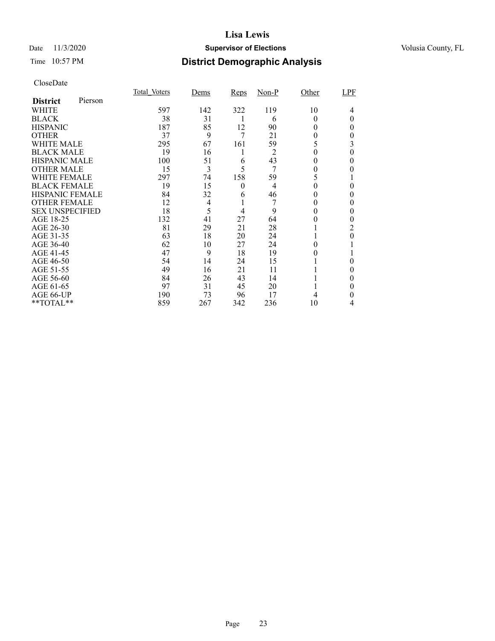### Date 11/3/2020 **Supervisor of Elections** Volusia County, FL

# Time 10:57 PM **District Demographic Analysis**

|                        |         | Total Voters | Dems | <b>Reps</b> | $Non-P$        | Other | LPF |
|------------------------|---------|--------------|------|-------------|----------------|-------|-----|
| <b>District</b>        | Pierson |              |      |             |                |       |     |
| WHITE                  |         | 597          | 142  | 322         | 119            | 10    | 4   |
| <b>BLACK</b>           |         | 38           | 31   | 1           | 6              | 0     | 0   |
| <b>HISPANIC</b>        |         | 187          | 85   | 12          | 90             | 0     | 0   |
| <b>OTHER</b>           |         | 37           | 9    | 7           | 21             | 0     | 0   |
| WHITE MALE             |         | 295          | 67   | 161         | 59             | 5     | 3   |
| <b>BLACK MALE</b>      |         | 19           | 16   | 1           | $\overline{2}$ | 0     | 0   |
| <b>HISPANIC MALE</b>   |         | 100          | 51   | 6           | 43             | 0     | 0   |
| <b>OTHER MALE</b>      |         | 15           | 3    | 5           | 7              | 0     | 0   |
| WHITE FEMALE           |         | 297          | 74   | 158         | 59             | 5     |     |
| <b>BLACK FEMALE</b>    |         | 19           | 15   | $\theta$    | $\overline{4}$ | 0     | 0   |
| <b>HISPANIC FEMALE</b> |         | 84           | 32   | 6           | 46             |       | 0   |
| <b>OTHER FEMALE</b>    |         | 12           | 4    |             |                | 0     | 0   |
| <b>SEX UNSPECIFIED</b> |         | 18           | 5    | 4           | 9              | 0     | 0   |
| AGE 18-25              |         | 132          | 41   | 27          | 64             | 0     |     |
| AGE 26-30              |         | 81           | 29   | 21          | 28             |       | 2   |
| AGE 31-35              |         | 63           | 18   | 20          | 24             |       | 0   |
| AGE 36-40              |         | 62           | 10   | 27          | 24             |       |     |
| AGE 41-45              |         | 47           | 9    | 18          | 19             |       |     |
| AGE 46-50              |         | 54           | 14   | 24          | 15             |       | 0   |
| AGE 51-55              |         | 49           | 16   | 21          | 11             |       | 0   |
| AGE 56-60              |         | 84           | 26   | 43          | 14             |       | 0   |
| AGE 61-65              |         | 97           | 31   | 45          | 20             |       | 0   |
| AGE 66-UP              |         | 190          | 73   | 96          | 17             |       | 0   |
| **TOTAL**              |         | 859          | 267  | 342         | 236            | 10    | 4   |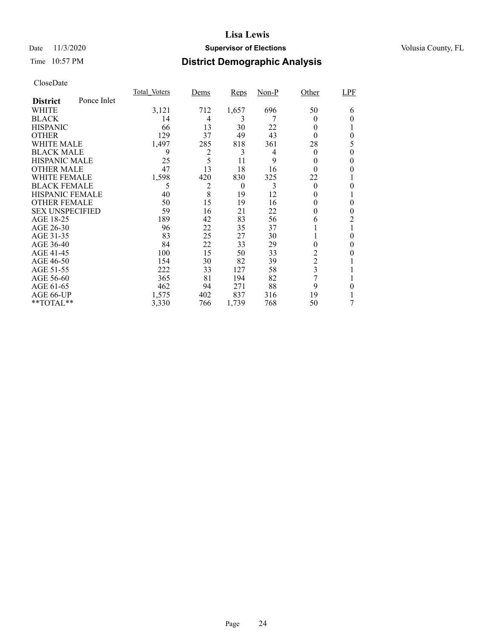### Date 11/3/2020 **Supervisor of Elections** Volusia County, FL

# Time 10:57 PM **District Demographic Analysis**

|                        |             | Total Voters | Dems           | <b>Reps</b> | Non-P | Other            | <b>LPF</b> |
|------------------------|-------------|--------------|----------------|-------------|-------|------------------|------------|
| <b>District</b>        | Ponce Inlet |              |                |             |       |                  |            |
| WHITE                  |             | 3,121        | 712            | 1,657       | 696   | 50               | 6          |
| <b>BLACK</b>           |             | 14           | 4              | 3           |       | $_{0}$           | 0          |
| <b>HISPANIC</b>        |             | 66           | 13             | 30          | 22    | $_{0}$           |            |
| <b>OTHER</b>           |             | 129          | 37             | 49          | 43    | 0                | 0          |
| WHITE MALE             |             | 1,497        | 285            | 818         | 361   | 28               | 5          |
| <b>BLACK MALE</b>      |             | 9            | $\overline{c}$ | 3           | 4     | $_{0}$           | 0          |
| <b>HISPANIC MALE</b>   |             | 25           | 5              | 11          | 9     | 0                |            |
| <b>OTHER MALE</b>      |             | 47           | 13             | 18          | 16    | 0                | 0          |
| <b>WHITE FEMALE</b>    |             | 1,598        | 420            | 830         | 325   | 22               |            |
| <b>BLACK FEMALE</b>    |             | 5            | 2              | $\theta$    | 3     | $\theta$         | 0          |
| <b>HISPANIC FEMALE</b> |             | 40           | 8              | 19          | 12    | 0                |            |
| <b>OTHER FEMALE</b>    |             | 50           | 15             | 19          | 16    | $\theta$         | 0          |
| <b>SEX UNSPECIFIED</b> |             | 59           | 16             | 21          | 22    | 0                | 0          |
| AGE 18-25              |             | 189          | 42             | 83          | 56    | 6                | 2          |
| AGE 26-30              |             | 96           | 22             | 35          | 37    |                  | 1          |
| AGE 31-35              |             | 83           | 25             | 27          | 30    |                  | 0          |
| AGE 36-40              |             | 84           | 22             | 33          | 29    | 0                | 0          |
| AGE 41-45              |             | 100          | 15             | 50          | 33    | 2                |            |
| AGE 46-50              |             | 154          | 30             | 82          | 39    | $\boldsymbol{2}$ |            |
| AGE 51-55              |             | 222          | 33             | 127         | 58    | 3                |            |
| AGE 56-60              |             | 365          | 81             | 194         | 82    | 7                |            |
| AGE 61-65              |             | 462          | 94             | 271         | 88    | 9                | 0          |
| AGE 66-UP              |             | 1,575        | 402            | 837         | 316   | 19               |            |
| **TOTAL**              |             | 3,330        | 766            | 1,739       | 768   | 50               | 7          |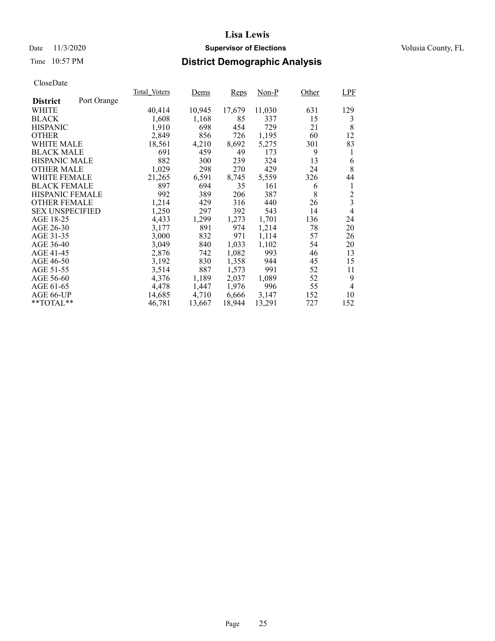### Date 11/3/2020 **Supervisor of Elections** Volusia County, FL

# Time 10:57 PM **District Demographic Analysis**

|                        |             | Total Voters | Dems   | Reps   | Non-P  | Other | <b>LPF</b>     |
|------------------------|-------------|--------------|--------|--------|--------|-------|----------------|
| <b>District</b>        | Port Orange |              |        |        |        |       |                |
| WHITE                  |             | 40,414       | 10,945 | 17,679 | 11,030 | 631   | 129            |
| <b>BLACK</b>           |             | 1,608        | 1,168  | 85     | 337    | 15    | 3              |
| <b>HISPANIC</b>        |             | 1,910        | 698    | 454    | 729    | 21    | 8              |
| <b>OTHER</b>           |             | 2,849        | 856    | 726    | 1,195  | 60    | 12             |
| WHITE MALE             |             | 18,561       | 4,210  | 8,692  | 5,275  | 301   | 83             |
| <b>BLACK MALE</b>      |             | 691          | 459    | 49     | 173    | 9     | 1              |
| <b>HISPANIC MALE</b>   |             | 882          | 300    | 239    | 324    | 13    | 6              |
| <b>OTHER MALE</b>      |             | 1,029        | 298    | 270    | 429    | 24    | 8              |
| <b>WHITE FEMALE</b>    |             | 21,265       | 6,591  | 8,745  | 5,559  | 326   | 44             |
| <b>BLACK FEMALE</b>    |             | 897          | 694    | 35     | 161    | 6     | 1              |
| <b>HISPANIC FEMALE</b> |             | 992          | 389    | 206    | 387    | 8     | $\overline{c}$ |
| <b>OTHER FEMALE</b>    |             | 1,214        | 429    | 316    | 440    | 26    | $\overline{3}$ |
| <b>SEX UNSPECIFIED</b> |             | 1,250        | 297    | 392    | 543    | 14    | 4              |
| AGE 18-25              |             | 4,433        | 1,299  | 1,273  | 1,701  | 136   | 24             |
| AGE 26-30              |             | 3,177        | 891    | 974    | 1,214  | 78    | 20             |
| AGE 31-35              |             | 3,000        | 832    | 971    | 1,114  | 57    | 26             |
| AGE 36-40              |             | 3,049        | 840    | 1,033  | 1,102  | 54    | 20             |
| AGE 41-45              |             | 2,876        | 742    | 1,082  | 993    | 46    | 13             |
| AGE 46-50              |             | 3,192        | 830    | 1,358  | 944    | 45    | 15             |
| AGE 51-55              |             | 3,514        | 887    | 1,573  | 991    | 52    | 11             |
| AGE 56-60              |             | 4,376        | 1,189  | 2,037  | 1,089  | 52    | 9              |
| AGE 61-65              |             | 4,478        | 1,447  | 1,976  | 996    | 55    | $\overline{4}$ |
| AGE 66-UP              |             | 14,685       | 4,710  | 6,666  | 3,147  | 152   | 10             |
| $*$ $TOTAL**$          |             | 46,781       | 13,667 | 18,944 | 13,291 | 727   | 152            |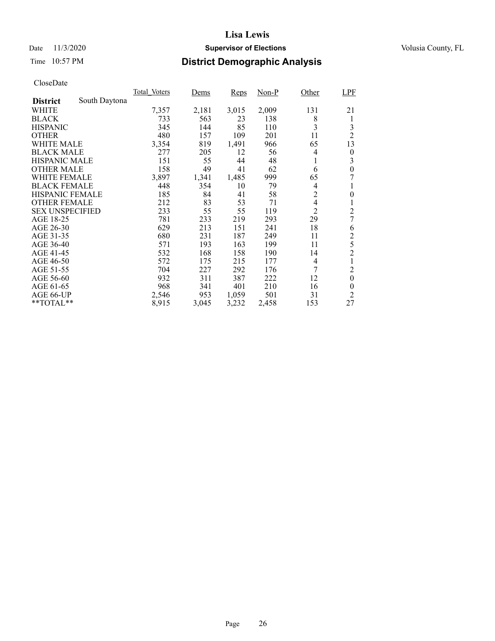### Date 11/3/2020 **Supervisor of Elections** Volusia County, FL

# Time 10:57 PM **District Demographic Analysis**

|                        |               | Total Voters | Dems  | Reps  | $Non-P$ | Other          | LPF              |
|------------------------|---------------|--------------|-------|-------|---------|----------------|------------------|
| <b>District</b>        | South Daytona |              |       |       |         |                |                  |
| WHITE                  |               | 7,357        | 2,181 | 3,015 | 2,009   | 131            | 21               |
| <b>BLACK</b>           |               | 733          | 563   | 23    | 138     | 8              | 1                |
| <b>HISPANIC</b>        |               | 345          | 144   | 85    | 110     | 3              | 3                |
| <b>OTHER</b>           |               | 480          | 157   | 109   | 201     | 11             | $\overline{2}$   |
| WHITE MALE             |               | 3,354        | 819   | 1,491 | 966     | 65             | 13               |
| <b>BLACK MALE</b>      |               | 277          | 205   | 12    | 56      | 4              | $\boldsymbol{0}$ |
| <b>HISPANIC MALE</b>   |               | 151          | 55    | 44    | 48      | 1              | 3                |
| <b>OTHER MALE</b>      |               | 158          | 49    | 41    | 62      | 6              | $\boldsymbol{0}$ |
| WHITE FEMALE           |               | 3,897        | 1,341 | 1,485 | 999     | 65             | 7                |
| <b>BLACK FEMALE</b>    |               | 448          | 354   | 10    | 79      | 4              |                  |
| <b>HISPANIC FEMALE</b> |               | 185          | 84    | 41    | 58      | $\overline{c}$ | $\overline{0}$   |
| <b>OTHER FEMALE</b>    |               | 212          | 83    | 53    | 71      | 4              |                  |
| <b>SEX UNSPECIFIED</b> |               | 233          | 55    | 55    | 119     | $\overline{2}$ | $\overline{c}$   |
| AGE 18-25              |               | 781          | 233   | 219   | 293     | 29             | 7                |
| AGE 26-30              |               | 629          | 213   | 151   | 241     | 18             | 6                |
| AGE 31-35              |               | 680          | 231   | 187   | 249     | 11             | $\overline{c}$   |
| AGE 36-40              |               | 571          | 193   | 163   | 199     | 11             | 5                |
| AGE 41-45              |               | 532          | 168   | 158   | 190     | 14             | $\overline{2}$   |
| AGE 46-50              |               | 572          | 175   | 215   | 177     | $\overline{4}$ |                  |
| AGE 51-55              |               | 704          | 227   | 292   | 176     | 7              | $\overline{c}$   |
| AGE 56-60              |               | 932          | 311   | 387   | 222     | 12             | $\boldsymbol{0}$ |
| AGE 61-65              |               | 968          | 341   | 401   | 210     | 16             | $\boldsymbol{0}$ |
| AGE 66-UP              |               | 2,546        | 953   | 1,059 | 501     | 31             | $\overline{c}$   |
| **TOTAL**              |               | 8,915        | 3,045 | 3,232 | 2,458   | 153            | 27               |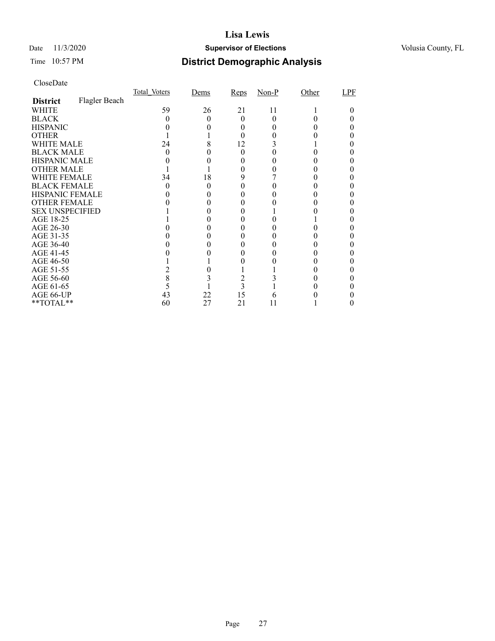### Date 11/3/2020 **Supervisor of Elections** Volusia County, FL

# Time 10:57 PM **District Demographic Analysis**

|                        |               | Total Voters | Dems | Reps | $Non-P$ | Other | LPF |
|------------------------|---------------|--------------|------|------|---------|-------|-----|
| <b>District</b>        | Flagler Beach |              |      |      |         |       |     |
| WHITE                  |               | 59           | 26   | 21   | 11      |       |     |
| <b>BLACK</b>           |               |              |      | 0    | 0       |       |     |
| <b>HISPANIC</b>        |               |              |      |      |         |       |     |
| <b>OTHER</b>           |               |              |      |      |         |       |     |
| WHITE MALE             |               | 24           | 8    | 12   |         |       |     |
| <b>BLACK MALE</b>      |               |              |      | 0    |         |       |     |
| <b>HISPANIC MALE</b>   |               |              |      |      |         |       |     |
| <b>OTHER MALE</b>      |               |              |      |      |         |       |     |
| WHITE FEMALE           |               | 34           | 18   | 9    |         |       |     |
| <b>BLACK FEMALE</b>    |               | 0            | 0    | 0    |         |       |     |
| HISPANIC FEMALE        |               |              |      |      |         |       |     |
| <b>OTHER FEMALE</b>    |               |              |      |      |         |       |     |
| <b>SEX UNSPECIFIED</b> |               |              |      |      |         |       |     |
| AGE 18-25              |               |              |      |      |         |       |     |
| AGE 26-30              |               |              |      |      |         |       |     |
| AGE 31-35              |               |              |      |      |         |       |     |
| AGE 36-40              |               |              |      |      |         |       |     |
| AGE 41-45              |               |              |      |      |         |       |     |
| AGE 46-50              |               |              |      |      |         |       |     |
| AGE 51-55              |               |              |      |      |         |       |     |
| AGE 56-60              |               | 8            |      |      |         |       |     |
| AGE 61-65              |               |              |      | 3    |         |       |     |
| AGE 66-UP              |               | 43           | 22   | 15   |         |       |     |
| **TOTAL**              |               | 60           | 27   | 21   | 11      |       |     |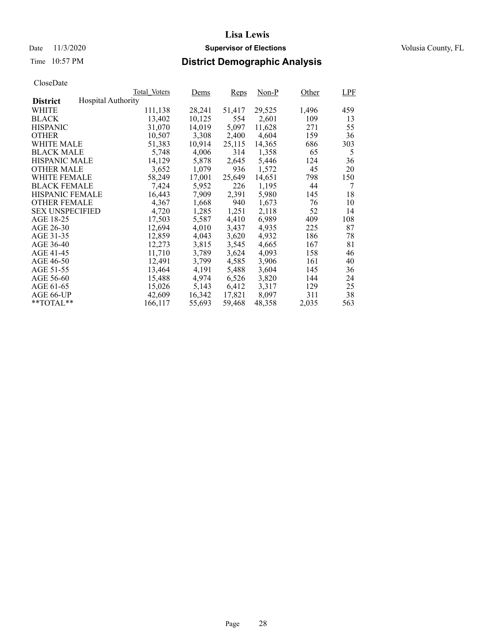### Date 11/3/2020 **Supervisor of Elections** Volusia County, FL

# Time 10:57 PM **District Demographic Analysis**

|                        |                           | Total Voters | Dems   | <b>Reps</b> | $Non-P$ | Other | LPF |
|------------------------|---------------------------|--------------|--------|-------------|---------|-------|-----|
| <b>District</b>        | <b>Hospital Authority</b> |              |        |             |         |       |     |
| WHITE                  |                           | 111,138      | 28,241 | 51,417      | 29,525  | 1,496 | 459 |
| <b>BLACK</b>           |                           | 13,402       | 10,125 | 554         | 2,601   | 109   | 13  |
| <b>HISPANIC</b>        |                           | 31,070       | 14,019 | 5,097       | 11,628  | 271   | 55  |
| <b>OTHER</b>           |                           | 10,507       | 3,308  | 2,400       | 4,604   | 159   | 36  |
| WHITE MALE             |                           | 51,383       | 10,914 | 25,115      | 14.365  | 686   | 303 |
| <b>BLACK MALE</b>      |                           | 5,748        | 4,006  | 314         | 1,358   | 65    | 5   |
| <b>HISPANIC MALE</b>   |                           | 14,129       | 5,878  | 2,645       | 5,446   | 124   | 36  |
| <b>OTHER MALE</b>      |                           | 3,652        | 1,079  | 936         | 1,572   | 45    | 20  |
| <b>WHITE FEMALE</b>    |                           | 58,249       | 17,001 | 25,649      | 14,651  | 798   | 150 |
| <b>BLACK FEMALE</b>    |                           | 7,424        | 5,952  | 226         | 1,195   | 44    | 7   |
| <b>HISPANIC FEMALE</b> |                           | 16,443       | 7,909  | 2,391       | 5,980   | 145   | 18  |
| <b>OTHER FEMALE</b>    |                           | 4,367        | 1,668  | 940         | 1.673   | 76    | 10  |
| <b>SEX UNSPECIFIED</b> |                           | 4,720        | 1,285  | 1,251       | 2,118   | 52    | 14  |
| AGE 18-25              |                           | 17,503       | 5,587  | 4,410       | 6,989   | 409   | 108 |
| AGE 26-30              |                           | 12,694       | 4,010  | 3,437       | 4.935   | 225   | 87  |
| AGE 31-35              |                           | 12,859       | 4,043  | 3,620       | 4,932   | 186   | 78  |
| AGE 36-40              |                           | 12,273       | 3,815  | 3,545       | 4,665   | 167   | 81  |
| AGE 41-45              |                           | 11,710       | 3,789  | 3,624       | 4,093   | 158   | 46  |
| AGE 46-50              |                           | 12,491       | 3,799  | 4,585       | 3,906   | 161   | 40  |
| AGE 51-55              |                           | 13,464       | 4,191  | 5,488       | 3,604   | 145   | 36  |
| AGE 56-60              |                           | 15,488       | 4,974  | 6,526       | 3,820   | 144   | 24  |
| AGE 61-65              |                           | 15,026       | 5,143  | 6,412       | 3,317   | 129   | 25  |
| AGE 66-UP              |                           | 42,609       | 16,342 | 17,821      | 8,097   | 311   | 38  |
| $*$ $TOTAL**$          |                           | 166,117      | 55,693 | 59,468      | 48,358  | 2,035 | 563 |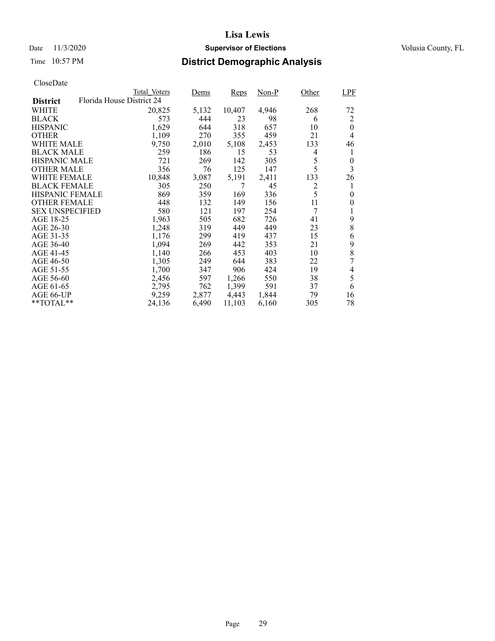### Date 11/3/2020 **Supervisor of Elections** Volusia County, FL

# Time 10:57 PM **District Demographic Analysis**

|                        | Total Voters              | Dems  | Reps   | Non-P | Other | LPF              |
|------------------------|---------------------------|-------|--------|-------|-------|------------------|
| <b>District</b>        | Florida House District 24 |       |        |       |       |                  |
| WHITE                  | 20,825                    | 5,132 | 10,407 | 4,946 | 268   | 72               |
| <b>BLACK</b>           | 573                       | 444   | 23     | 98    | 6     | 2                |
| <b>HISPANIC</b>        | 1,629                     | 644   | 318    | 657   | 10    | $\theta$         |
| <b>OTHER</b>           | 1,109                     | 270   | 355    | 459   | 21    | 4                |
| WHITE MALE             | 9,750                     | 2,010 | 5,108  | 2,453 | 133   | 46               |
| <b>BLACK MALE</b>      | 259                       | 186   | 15     | 53    | 4     | 1                |
| <b>HISPANIC MALE</b>   | 721                       | 269   | 142    | 305   | 5     | 0                |
| <b>OTHER MALE</b>      | 356                       | 76    | 125    | 147   | 5     | 3                |
| WHITE FEMALE           | 10,848                    | 3,087 | 5,191  | 2,411 | 133   | 26               |
| <b>BLACK FEMALE</b>    | 305                       | 250   | 7      | 45    | 2     | 1                |
| <b>HISPANIC FEMALE</b> | 869                       | 359   | 169    | 336   | 5     | $\boldsymbol{0}$ |
| <b>OTHER FEMALE</b>    | 448                       | 132   | 149    | 156   | 11    | 0                |
| <b>SEX UNSPECIFIED</b> | 580                       | 121   | 197    | 254   | 7     |                  |
| AGE 18-25              | 1,963                     | 505   | 682    | 726   | 41    | 9                |
| AGE 26-30              | 1,248                     | 319   | 449    | 449   | 23    | 8                |
| AGE 31-35              | 1,176                     | 299   | 419    | 437   | 15    | 6                |
| AGE 36-40              | 1,094                     | 269   | 442    | 353   | 21    | 9                |
| AGE 41-45              | 1,140                     | 266   | 453    | 403   | 10    | 8                |
| AGE 46-50              | 1,305                     | 249   | 644    | 383   | 22    | 7                |
| AGE 51-55              | 1,700                     | 347   | 906    | 424   | 19    | 4                |
| AGE 56-60              | 2,456                     | 597   | 1,266  | 550   | 38    | 5                |
| AGE 61-65              | 2,795                     | 762   | 1,399  | 591   | 37    | 6                |
| AGE 66-UP              | 9,259                     | 2,877 | 4,443  | 1,844 | 79    | 16               |
| $*$ $TOTAL**$          | 24,136                    | 6,490 | 11,103 | 6,160 | 305   | 78               |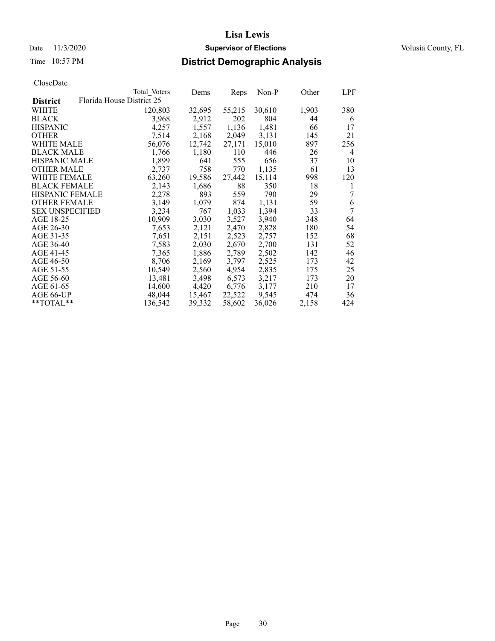### Date 11/3/2020 **Supervisor of Elections** Volusia County, FL

# Time 10:57 PM **District Demographic Analysis**

|                        |                           | Total Voters | Dems   | <b>Reps</b> | Non-P  | Other | LPF |
|------------------------|---------------------------|--------------|--------|-------------|--------|-------|-----|
| <b>District</b>        | Florida House District 25 |              |        |             |        |       |     |
| WHITE                  |                           | 120,803      | 32,695 | 55,215      | 30,610 | 1,903 | 380 |
| <b>BLACK</b>           |                           | 3,968        | 2,912  | 202         | 804    | 44    | 6   |
| <b>HISPANIC</b>        |                           | 4,257        | 1,557  | 1,136       | 1,481  | 66    | 17  |
| <b>OTHER</b>           |                           | 7,514        | 2,168  | 2,049       | 3,131  | 145   | 21  |
| WHITE MALE             |                           | 56,076       | 12,742 | 27,171      | 15,010 | 897   | 256 |
| <b>BLACK MALE</b>      |                           | 1,766        | 1,180  | 110         | 446    | 26    | 4   |
| <b>HISPANIC MALE</b>   |                           | 1,899        | 641    | 555         | 656    | 37    | 10  |
| <b>OTHER MALE</b>      |                           | 2,737        | 758    | 770         | 1,135  | 61    | 13  |
| <b>WHITE FEMALE</b>    |                           | 63,260       | 19,586 | 27,442      | 15,114 | 998   | 120 |
| <b>BLACK FEMALE</b>    |                           | 2,143        | 1,686  | 88          | 350    | 18    | 1   |
| <b>HISPANIC FEMALE</b> |                           | 2,278        | 893    | 559         | 790    | 29    | 7   |
| <b>OTHER FEMALE</b>    |                           | 3,149        | 1,079  | 874         | 1.131  | 59    | 6   |
| <b>SEX UNSPECIFIED</b> |                           | 3,234        | 767    | 1,033       | 1,394  | 33    | 7   |
| AGE 18-25              |                           | 10,909       | 3,030  | 3,527       | 3,940  | 348   | 64  |
| AGE 26-30              |                           | 7,653        | 2,121  | 2,470       | 2,828  | 180   | 54  |
| AGE 31-35              |                           | 7,651        | 2,151  | 2,523       | 2,757  | 152   | 68  |
| AGE 36-40              |                           | 7,583        | 2,030  | 2,670       | 2,700  | 131   | 52  |
| AGE 41-45              |                           | 7,365        | 1,886  | 2,789       | 2,502  | 142   | 46  |
| AGE 46-50              |                           | 8,706        | 2,169  | 3,797       | 2,525  | 173   | 42  |
| AGE 51-55              |                           | 10,549       | 2,560  | 4,954       | 2,835  | 175   | 25  |
| AGE 56-60              |                           | 13,481       | 3,498  | 6,573       | 3,217  | 173   | 20  |
| AGE 61-65              |                           | 14,600       | 4,420  | 6,776       | 3,177  | 210   | 17  |
| AGE 66-UP              |                           | 48,044       | 15,467 | 22,522      | 9,545  | 474   | 36  |
| $*$ $TOTAL**$          |                           | 136,542      | 39,332 | 58,602      | 36,026 | 2,158 | 424 |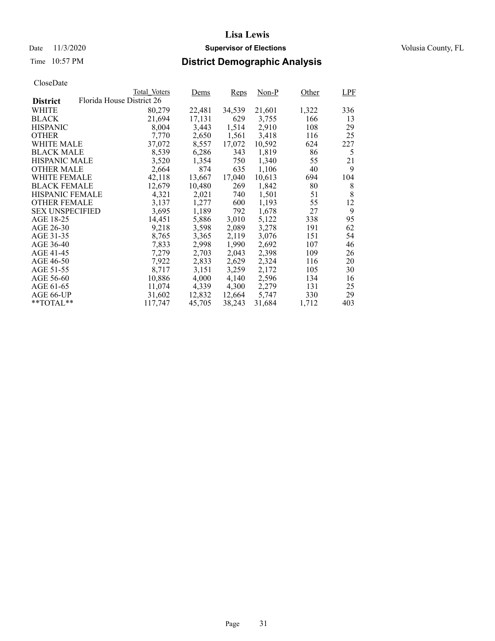### Date 11/3/2020 **Supervisor of Elections** Volusia County, FL

# Time 10:57 PM **District Demographic Analysis**

|                        |                           | Total Voters | Dems   | <b>Reps</b> | Non-P  | Other | LPF |
|------------------------|---------------------------|--------------|--------|-------------|--------|-------|-----|
| <b>District</b>        | Florida House District 26 |              |        |             |        |       |     |
| WHITE                  |                           | 80,279       | 22,481 | 34,539      | 21,601 | 1,322 | 336 |
| <b>BLACK</b>           |                           | 21,694       | 17,131 | 629         | 3,755  | 166   | 13  |
| <b>HISPANIC</b>        |                           | 8,004        | 3,443  | 1,514       | 2,910  | 108   | 29  |
| <b>OTHER</b>           |                           | 7,770        | 2,650  | 1,561       | 3,418  | 116   | 25  |
| WHITE MALE             |                           | 37,072       | 8,557  | 17,072      | 10.592 | 624   | 227 |
| <b>BLACK MALE</b>      |                           | 8,539        | 6,286  | 343         | 1,819  | 86    | 5   |
| <b>HISPANIC MALE</b>   |                           | 3,520        | 1,354  | 750         | 1,340  | 55    | 21  |
| <b>OTHER MALE</b>      |                           | 2,664        | 874    | 635         | 1,106  | 40    | 9   |
| <b>WHITE FEMALE</b>    |                           | 42,118       | 13,667 | 17,040      | 10,613 | 694   | 104 |
| <b>BLACK FEMALE</b>    |                           | 12,679       | 10,480 | 269         | 1,842  | 80    | 8   |
| <b>HISPANIC FEMALE</b> |                           | 4,321        | 2,021  | 740         | 1,501  | 51    | 8   |
| <b>OTHER FEMALE</b>    |                           | 3.137        | 1,277  | 600         | 1,193  | 55    | 12  |
| <b>SEX UNSPECIFIED</b> |                           | 3,695        | 1,189  | 792         | 1,678  | 27    | 9   |
| AGE 18-25              |                           | 14,451       | 5,886  | 3,010       | 5,122  | 338   | 95  |
| AGE 26-30              |                           | 9,218        | 3,598  | 2,089       | 3,278  | 191   | 62  |
| AGE 31-35              |                           | 8,765        | 3,365  | 2,119       | 3,076  | 151   | 54  |
| AGE 36-40              |                           | 7,833        | 2,998  | 1,990       | 2,692  | 107   | 46  |
| AGE 41-45              |                           | 7,279        | 2,703  | 2,043       | 2,398  | 109   | 26  |
| AGE 46-50              |                           | 7,922        | 2,833  | 2,629       | 2,324  | 116   | 20  |
| AGE 51-55              |                           | 8,717        | 3,151  | 3,259       | 2,172  | 105   | 30  |
| AGE 56-60              |                           | 10,886       | 4,000  | 4,140       | 2,596  | 134   | 16  |
| AGE 61-65              |                           | 11,074       | 4,339  | 4,300       | 2,279  | 131   | 25  |
| AGE 66-UP              |                           | 31,602       | 12,832 | 12,664      | 5,747  | 330   | 29  |
| $*$ TOTAL $*$          |                           | 117,747      | 45,705 | 38,243      | 31,684 | 1,712 | 403 |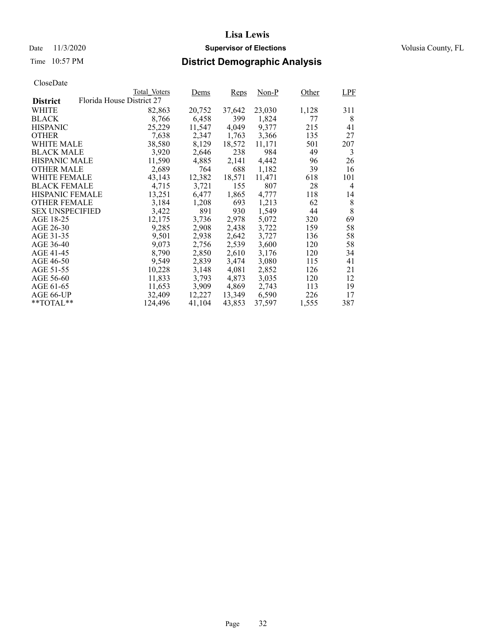# Time 10:57 PM **District Demographic Analysis**

|                        |                           | Total Voters | Dems   | <b>Reps</b> | $Non-P$ | Other | LPF |
|------------------------|---------------------------|--------------|--------|-------------|---------|-------|-----|
| <b>District</b>        | Florida House District 27 |              |        |             |         |       |     |
| WHITE                  |                           | 82,863       | 20,752 | 37,642      | 23,030  | 1,128 | 311 |
| <b>BLACK</b>           |                           | 8,766        | 6,458  | 399         | 1,824   | 77    | 8   |
| <b>HISPANIC</b>        |                           | 25,229       | 11,547 | 4,049       | 9,377   | 215   | 41  |
| <b>OTHER</b>           |                           | 7,638        | 2,347  | 1,763       | 3,366   | 135   | 27  |
| WHITE MALE             |                           | 38,580       | 8,129  | 18,572      | 11,171  | 501   | 207 |
| <b>BLACK MALE</b>      |                           | 3,920        | 2,646  | 238         | 984     | 49    | 3   |
| <b>HISPANIC MALE</b>   |                           | 11,590       | 4,885  | 2,141       | 4,442   | 96    | 26  |
| <b>OTHER MALE</b>      |                           | 2,689        | 764    | 688         | 1,182   | 39    | 16  |
| WHITE FEMALE           |                           | 43,143       | 12,382 | 18,571      | 11,471  | 618   | 101 |
| <b>BLACK FEMALE</b>    |                           | 4,715        | 3,721  | 155         | 807     | 28    | 4   |
| <b>HISPANIC FEMALE</b> |                           | 13,251       | 6,477  | 1,865       | 4,777   | 118   | 14  |
| <b>OTHER FEMALE</b>    |                           | 3,184        | 1,208  | 693         | 1,213   | 62    | 8   |
| <b>SEX UNSPECIFIED</b> |                           | 3,422        | 891    | 930         | 1,549   | 44    | 8   |
| AGE 18-25              |                           | 12,175       | 3,736  | 2,978       | 5,072   | 320   | 69  |
| AGE 26-30              |                           | 9,285        | 2,908  | 2,438       | 3,722   | 159   | 58  |
| AGE 31-35              |                           | 9,501        | 2,938  | 2,642       | 3,727   | 136   | 58  |
| AGE 36-40              |                           | 9,073        | 2,756  | 2,539       | 3,600   | 120   | 58  |
| AGE 41-45              |                           | 8,790        | 2,850  | 2,610       | 3,176   | 120   | 34  |
| AGE 46-50              |                           | 9,549        | 2,839  | 3,474       | 3,080   | 115   | 41  |
| AGE 51-55              |                           | 10,228       | 3,148  | 4,081       | 2,852   | 126   | 21  |
| AGE 56-60              |                           | 11,833       | 3,793  | 4,873       | 3,035   | 120   | 12  |
| AGE 61-65              |                           | 11,653       | 3,909  | 4,869       | 2,743   | 113   | 19  |
| AGE 66-UP              |                           | 32,409       | 12,227 | 13,349      | 6,590   | 226   | 17  |
| $*$ $TOTAL**$          |                           | 124.496      | 41,104 | 43,853      | 37,597  | 1,555 | 387 |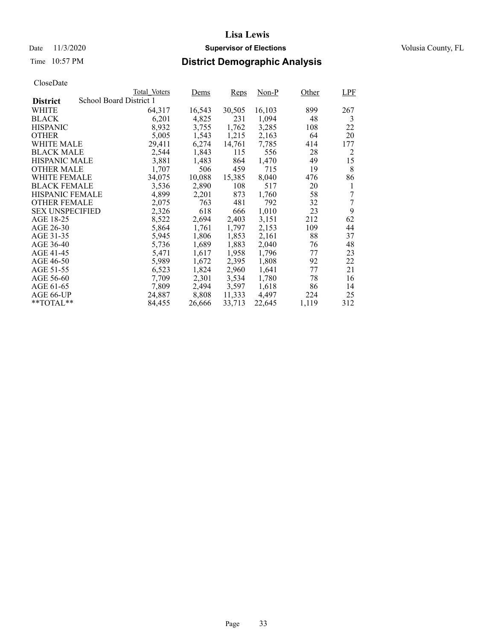### Date 11/3/2020 **Supervisor of Elections** Volusia County, FL

# Time 10:57 PM **District Demographic Analysis**

|                        |                         | Total Voters | Dems   | Reps   | Non-P  | Other | <b>LPF</b> |
|------------------------|-------------------------|--------------|--------|--------|--------|-------|------------|
| <b>District</b>        | School Board District 1 |              |        |        |        |       |            |
| WHITE                  |                         | 64,317       | 16,543 | 30,505 | 16,103 | 899   | 267        |
| <b>BLACK</b>           |                         | 6,201        | 4,825  | 231    | 1,094  | 48    | 3          |
| <b>HISPANIC</b>        |                         | 8,932        | 3,755  | 1,762  | 3,285  | 108   | 22         |
| <b>OTHER</b>           |                         | 5,005        | 1,543  | 1,215  | 2,163  | 64    | 20         |
| WHITE MALE             |                         | 29,411       | 6,274  | 14,761 | 7,785  | 414   | 177        |
| <b>BLACK MALE</b>      |                         | 2,544        | 1,843  | 115    | 556    | 28    | 2          |
| <b>HISPANIC MALE</b>   |                         | 3,881        | 1,483  | 864    | 1,470  | 49    | 15         |
| <b>OTHER MALE</b>      |                         | 1,707        | 506    | 459    | 715    | 19    | 8          |
| <b>WHITE FEMALE</b>    |                         | 34,075       | 10,088 | 15,385 | 8,040  | 476   | 86         |
| <b>BLACK FEMALE</b>    |                         | 3,536        | 2,890  | 108    | 517    | 20    | 1          |
| <b>HISPANIC FEMALE</b> |                         | 4,899        | 2,201  | 873    | 1,760  | 58    | 7          |
| <b>OTHER FEMALE</b>    |                         | 2,075        | 763    | 481    | 792    | 32    | 7          |
| <b>SEX UNSPECIFIED</b> |                         | 2,326        | 618    | 666    | 1,010  | 23    | 9          |
| AGE 18-25              |                         | 8,522        | 2,694  | 2,403  | 3,151  | 212   | 62         |
| AGE 26-30              |                         | 5,864        | 1,761  | 1,797  | 2,153  | 109   | 44         |
| AGE 31-35              |                         | 5,945        | 1,806  | 1,853  | 2,161  | 88    | 37         |
| AGE 36-40              |                         | 5,736        | 1,689  | 1,883  | 2,040  | 76    | 48         |
| AGE 41-45              |                         | 5,471        | 1,617  | 1,958  | 1,796  | 77    | 23         |
| AGE 46-50              |                         | 5,989        | 1,672  | 2,395  | 1,808  | 92    | 22         |
| AGE 51-55              |                         | 6,523        | 1,824  | 2,960  | 1,641  | 77    | 21         |
| AGE 56-60              |                         | 7,709        | 2,301  | 3,534  | 1,780  | 78    | 16         |
| AGE 61-65              |                         | 7,809        | 2,494  | 3,597  | 1,618  | 86    | 14         |
| AGE 66-UP              |                         | 24,887       | 8,808  | 11,333 | 4,497  | 224   | 25         |
| $*$ $TOTAL**$          |                         | 84,455       | 26,666 | 33,713 | 22,645 | 1,119 | 312        |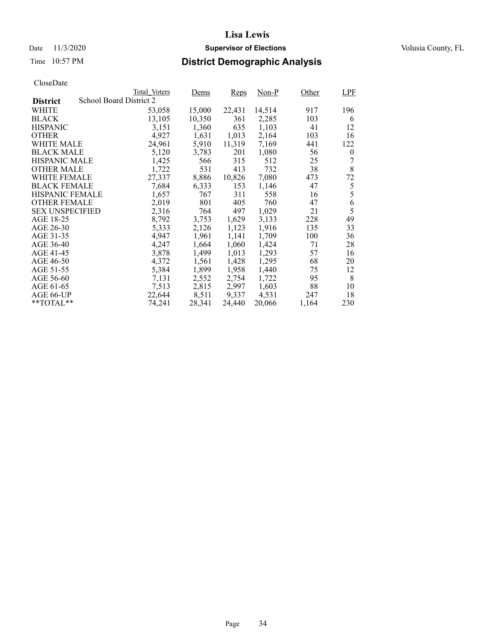### Date 11/3/2020 **Supervisor of Elections** Volusia County, FL

# Time 10:57 PM **District Demographic Analysis**

|                        |                         | Total Voters | Dems   | Reps   | Non-P  | Other | <b>LPF</b> |
|------------------------|-------------------------|--------------|--------|--------|--------|-------|------------|
| <b>District</b>        | School Board District 2 |              |        |        |        |       |            |
| WHITE                  |                         | 53,058       | 15,000 | 22,431 | 14,514 | 917   | 196        |
| <b>BLACK</b>           |                         | 13,105       | 10,350 | 361    | 2,285  | 103   | 6          |
| <b>HISPANIC</b>        |                         | 3,151        | 1,360  | 635    | 1,103  | 41    | 12         |
| <b>OTHER</b>           |                         | 4,927        | 1,631  | 1,013  | 2,164  | 103   | 16         |
| WHITE MALE             |                         | 24,961       | 5,910  | 11,319 | 7,169  | 441   | 122        |
| <b>BLACK MALE</b>      |                         | 5,120        | 3,783  | 201    | 1,080  | 56    | $\theta$   |
| <b>HISPANIC MALE</b>   |                         | 1,425        | 566    | 315    | 512    | 25    | 7          |
| <b>OTHER MALE</b>      |                         | 1,722        | 531    | 413    | 732    | 38    | 8          |
| WHITE FEMALE           |                         | 27,337       | 8,886  | 10,826 | 7,080  | 473   | 72         |
| <b>BLACK FEMALE</b>    |                         | 7,684        | 6,333  | 153    | 1,146  | 47    | 5          |
| <b>HISPANIC FEMALE</b> |                         | 1,657        | 767    | 311    | 558    | 16    | 5          |
| <b>OTHER FEMALE</b>    |                         | 2,019        | 801    | 405    | 760    | 47    | 6          |
| <b>SEX UNSPECIFIED</b> |                         | 2,316        | 764    | 497    | 1,029  | 21    | 5          |
| AGE 18-25              |                         | 8,792        | 3,753  | 1,629  | 3,133  | 228   | 49         |
| AGE 26-30              |                         | 5,333        | 2,126  | 1,123  | 1,916  | 135   | 33         |
| AGE 31-35              |                         | 4,947        | 1,961  | 1,141  | 1,709  | 100   | 36         |
| AGE 36-40              |                         | 4,247        | 1,664  | 1,060  | 1,424  | 71    | 28         |
| AGE 41-45              |                         | 3,878        | 1,499  | 1,013  | 1,293  | 57    | 16         |
| AGE 46-50              |                         | 4,372        | 1,561  | 1,428  | 1,295  | 68    | 20         |
| AGE 51-55              |                         | 5,384        | 1,899  | 1,958  | 1,440  | 75    | 12         |
| AGE 56-60              |                         | 7,131        | 2.552  | 2,754  | 1,722  | 95    | 8          |
| AGE 61-65              |                         | 7,513        | 2,815  | 2,997  | 1,603  | 88    | 10         |
| AGE 66-UP              |                         | 22,644       | 8,511  | 9,337  | 4,531  | 247   | 18         |
| $*$ $TOTAL**$          |                         | 74,241       | 28,341 | 24,440 | 20,066 | 1,164 | 230        |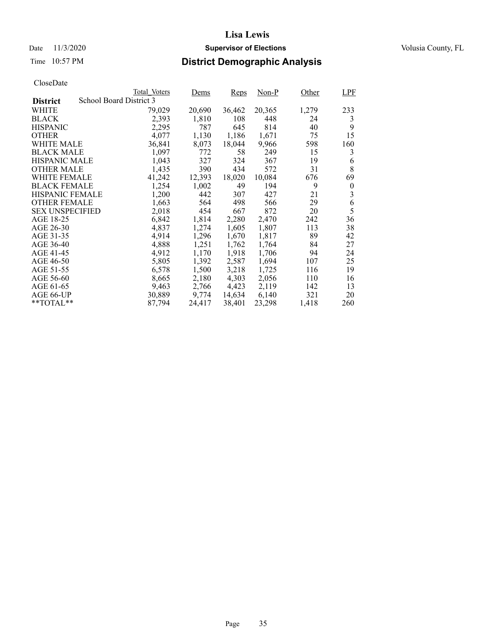### Date 11/3/2020 **Supervisor of Elections** Volusia County, FL

# Time 10:57 PM **District Demographic Analysis**

|                        |                         | Total Voters | Dems   | Reps   | Non-P  | Other | LPF      |
|------------------------|-------------------------|--------------|--------|--------|--------|-------|----------|
| <b>District</b>        | School Board District 3 |              |        |        |        |       |          |
| WHITE                  |                         | 79,029       | 20,690 | 36,462 | 20,365 | 1,279 | 233      |
| <b>BLACK</b>           |                         | 2,393        | 1,810  | 108    | 448    | 24    | 3        |
| <b>HISPANIC</b>        |                         | 2,295        | 787    | 645    | 814    | 40    | 9        |
| <b>OTHER</b>           |                         | 4,077        | 1,130  | 1,186  | 1,671  | 75    | 15       |
| WHITE MALE             |                         | 36,841       | 8,073  | 18,044 | 9,966  | 598   | 160      |
| <b>BLACK MALE</b>      |                         | 1,097        | 772    | 58     | 249    | 15    | 3        |
| <b>HISPANIC MALE</b>   |                         | 1,043        | 327    | 324    | 367    | 19    | 6        |
| <b>OTHER MALE</b>      |                         | 1,435        | 390    | 434    | 572    | 31    | 8        |
| WHITE FEMALE           |                         | 41,242       | 12,393 | 18,020 | 10,084 | 676   | 69       |
| <b>BLACK FEMALE</b>    |                         | 1,254        | 1,002  | 49     | 194    | 9     | $\theta$ |
| <b>HISPANIC FEMALE</b> |                         | 1,200        | 442    | 307    | 427    | 21    | 3        |
| <b>OTHER FEMALE</b>    |                         | 1,663        | 564    | 498    | 566    | 29    | 6        |
| <b>SEX UNSPECIFIED</b> |                         | 2,018        | 454    | 667    | 872    | 20    | 5        |
| AGE 18-25              |                         | 6,842        | 1,814  | 2,280  | 2,470  | 242   | 36       |
| AGE 26-30              |                         | 4,837        | 1,274  | 1,605  | 1,807  | 113   | 38       |
| AGE 31-35              |                         | 4,914        | 1,296  | 1,670  | 1,817  | 89    | 42       |
| AGE 36-40              |                         | 4,888        | 1,251  | 1,762  | 1,764  | 84    | 27       |
| AGE 41-45              |                         | 4,912        | 1,170  | 1,918  | 1,706  | 94    | 24       |
| AGE 46-50              |                         | 5,805        | 1,392  | 2,587  | 1,694  | 107   | 25       |
| AGE 51-55              |                         | 6,578        | 1,500  | 3,218  | 1,725  | 116   | 19       |
| AGE 56-60              |                         | 8,665        | 2,180  | 4,303  | 2,056  | 110   | 16       |
| AGE 61-65              |                         | 9,463        | 2,766  | 4,423  | 2,119  | 142   | 13       |
| AGE 66-UP              |                         | 30,889       | 9,774  | 14,634 | 6,140  | 321   | 20       |
| $*$ $TOTAL**$          |                         | 87,794       | 24,417 | 38,401 | 23,298 | 1,418 | 260      |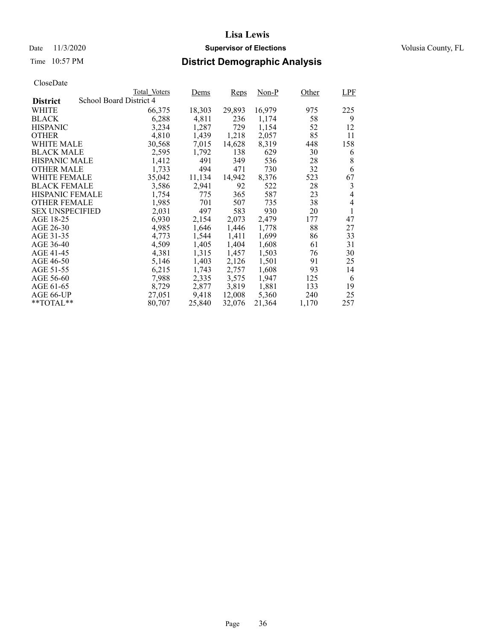### Date 11/3/2020 **Supervisor of Elections** Volusia County, FL

# Time 10:57 PM **District Demographic Analysis**

|                        |                         | Total Voters | Dems   | <b>Reps</b> | Non-P  | Other | LPF            |
|------------------------|-------------------------|--------------|--------|-------------|--------|-------|----------------|
| <b>District</b>        | School Board District 4 |              |        |             |        |       |                |
| WHITE                  |                         | 66,375       | 18,303 | 29,893      | 16,979 | 975   | 225            |
| <b>BLACK</b>           |                         | 6,288        | 4,811  | 236         | 1,174  | 58    | 9              |
| <b>HISPANIC</b>        |                         | 3,234        | 1,287  | 729         | 1,154  | 52    | 12             |
| <b>OTHER</b>           |                         | 4,810        | 1,439  | 1,218       | 2,057  | 85    | 11             |
| WHITE MALE             |                         | 30,568       | 7,015  | 14,628      | 8,319  | 448   | 158            |
| <b>BLACK MALE</b>      |                         | 2,595        | 1,792  | 138         | 629    | 30    | 6              |
| <b>HISPANIC MALE</b>   |                         | 1,412        | 491    | 349         | 536    | 28    | 8              |
| <b>OTHER MALE</b>      |                         | 1,733        | 494    | 471         | 730    | 32    | 6              |
| <b>WHITE FEMALE</b>    |                         | 35,042       | 11,134 | 14,942      | 8,376  | 523   | 67             |
| <b>BLACK FEMALE</b>    |                         | 3,586        | 2,941  | 92          | 522    | 28    | 3              |
| <b>HISPANIC FEMALE</b> |                         | 1,754        | 775    | 365         | 587    | 23    | $\overline{4}$ |
| <b>OTHER FEMALE</b>    |                         | 1,985        | 701    | 507         | 735    | 38    | $\overline{4}$ |
| <b>SEX UNSPECIFIED</b> |                         | 2,031        | 497    | 583         | 930    | 20    | 1              |
| AGE 18-25              |                         | 6,930        | 2,154  | 2,073       | 2,479  | 177   | 47             |
| AGE 26-30              |                         | 4,985        | 1,646  | 1,446       | 1,778  | 88    | 27             |
| AGE 31-35              |                         | 4,773        | 1,544  | 1,411       | 1,699  | 86    | 33             |
| AGE 36-40              |                         | 4,509        | 1,405  | 1,404       | 1,608  | 61    | 31             |
| AGE 41-45              |                         | 4,381        | 1,315  | 1,457       | 1,503  | 76    | 30             |
| AGE 46-50              |                         | 5,146        | 1,403  | 2,126       | 1,501  | 91    | 25             |
| AGE 51-55              |                         | 6,215        | 1,743  | 2,757       | 1,608  | 93    | 14             |
| AGE 56-60              |                         | 7,988        | 2,335  | 3,575       | 1,947  | 125   | 6              |
| AGE 61-65              |                         | 8,729        | 2,877  | 3,819       | 1,881  | 133   | 19             |
| AGE 66-UP              |                         | 27,051       | 9,418  | 12,008      | 5,360  | 240   | 25             |
| $*$ $TOTAL**$          |                         | 80,707       | 25,840 | 32,076      | 21,364 | 1,170 | 257            |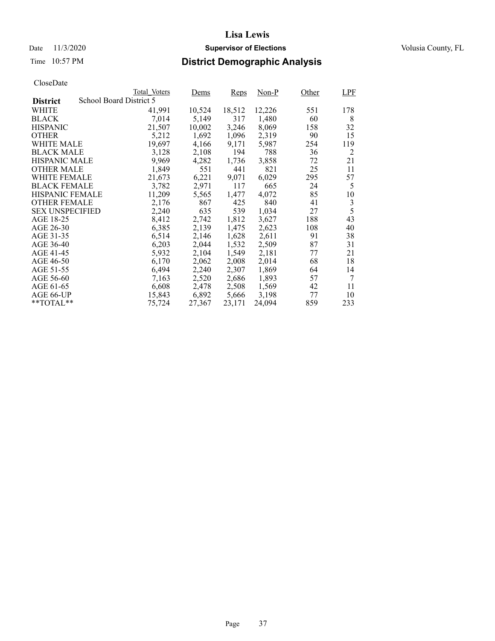### Date 11/3/2020 **Supervisor of Elections** Volusia County, FL

## Time 10:57 PM **District Demographic Analysis**

|                        |                         | Total Voters | Dems   | <b>Reps</b> | Non-P  | Other | <b>LPF</b>     |
|------------------------|-------------------------|--------------|--------|-------------|--------|-------|----------------|
| <b>District</b>        | School Board District 5 |              |        |             |        |       |                |
| WHITE                  |                         | 41,991       | 10,524 | 18,512      | 12,226 | 551   | 178            |
| <b>BLACK</b>           |                         | 7,014        | 5,149  | 317         | 1,480  | 60    | 8              |
| <b>HISPANIC</b>        |                         | 21,507       | 10,002 | 3,246       | 8,069  | 158   | 32             |
| <b>OTHER</b>           |                         | 5,212        | 1,692  | 1,096       | 2,319  | 90    | 15             |
| WHITE MALE             |                         | 19,697       | 4,166  | 9,171       | 5,987  | 254   | 119            |
| <b>BLACK MALE</b>      |                         | 3,128        | 2,108  | 194         | 788    | 36    | 2              |
| <b>HISPANIC MALE</b>   |                         | 9,969        | 4,282  | 1,736       | 3,858  | 72    | 21             |
| <b>OTHER MALE</b>      |                         | 1,849        | 551    | 441         | 821    | 25    | 11             |
| <b>WHITE FEMALE</b>    |                         | 21,673       | 6,221  | 9,071       | 6,029  | 295   | 57             |
| <b>BLACK FEMALE</b>    |                         | 3,782        | 2,971  | 117         | 665    | 24    | 5              |
| <b>HISPANIC FEMALE</b> |                         | 11,209       | 5,565  | 1,477       | 4,072  | 85    | 10             |
| <b>OTHER FEMALE</b>    |                         | 2,176        | 867    | 425         | 840    | 41    | $\mathfrak{Z}$ |
| <b>SEX UNSPECIFIED</b> |                         | 2,240        | 635    | 539         | 1,034  | 27    | 5              |
| AGE 18-25              |                         | 8,412        | 2,742  | 1,812       | 3,627  | 188   | 43             |
| AGE 26-30              |                         | 6,385        | 2,139  | 1,475       | 2,623  | 108   | 40             |
| AGE 31-35              |                         | 6,514        | 2,146  | 1,628       | 2,611  | 91    | 38             |
| AGE 36-40              |                         | 6,203        | 2,044  | 1,532       | 2,509  | 87    | 31             |
| AGE 41-45              |                         | 5,932        | 2,104  | 1,549       | 2,181  | 77    | 21             |
| AGE 46-50              |                         | 6,170        | 2,062  | 2,008       | 2,014  | 68    | 18             |
| AGE 51-55              |                         | 6,494        | 2,240  | 2,307       | 1,869  | 64    | 14             |
| AGE 56-60              |                         | 7,163        | 2,520  | 2,686       | 1,893  | 57    | 7              |
| AGE 61-65              |                         | 6,608        | 2,478  | 2,508       | 1,569  | 42    | 11             |
| AGE 66-UP              |                         | 15,843       | 6,892  | 5,666       | 3,198  | 77    | 10             |
| $*$ $TOTAL**$          |                         | 75,724       | 27,367 | 23,171      | 24,094 | 859   | 233            |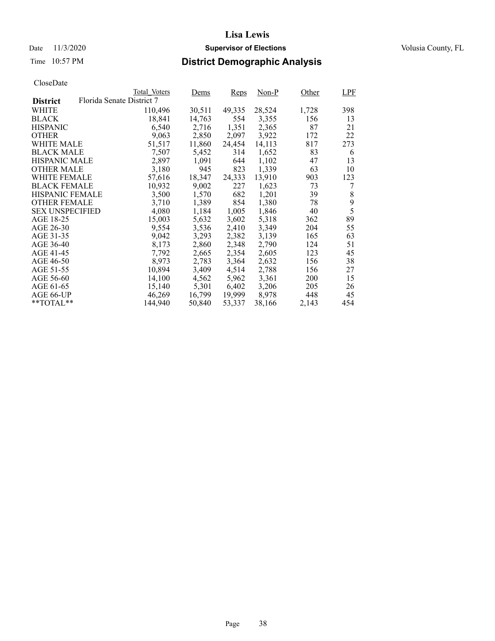### Date 11/3/2020 **Supervisor of Elections** Volusia County, FL

## Time 10:57 PM **District Demographic Analysis**

|                        |                           | Total Voters | Dems   | <b>Reps</b> | $Non-P$ | Other      | <b>LPF</b> |
|------------------------|---------------------------|--------------|--------|-------------|---------|------------|------------|
| <b>District</b>        | Florida Senate District 7 |              |        |             |         |            |            |
| WHITE                  |                           | 110,496      | 30,511 | 49,335      | 28,524  | 1,728      | 398        |
| <b>BLACK</b>           |                           | 18,841       | 14,763 | 554         | 3,355   | 156        | 13         |
| <b>HISPANIC</b>        |                           | 6,540        | 2,716  | 1,351       | 2,365   | 87         | 21         |
| <b>OTHER</b>           |                           | 9,063        | 2,850  | 2,097       | 3,922   | 172        | 22         |
| WHITE MALE             |                           | 51,517       | 11,860 | 24,454      | 14,113  | 817        | 273        |
| <b>BLACK MALE</b>      |                           | 7,507        | 5,452  | 314         | 1,652   | 83         | 6          |
| <b>HISPANIC MALE</b>   |                           | 2,897        | 1,091  | 644         | 1,102   | 47         | 13         |
| <b>OTHER MALE</b>      |                           | 3,180        | 945    | 823         | 1,339   | 63         | 10         |
| <b>WHITE FEMALE</b>    |                           | 57,616       | 18,347 | 24,333      | 13,910  | 903        | 123        |
| <b>BLACK FEMALE</b>    |                           | 10,932       | 9,002  | 227         | 1,623   | 73         | 7          |
| <b>HISPANIC FEMALE</b> |                           | 3,500        | 1,570  | 682         | 1,201   | 39         | 8          |
| <b>OTHER FEMALE</b>    |                           | 3,710        | 1,389  | 854         | 1,380   | 78         | 9          |
| <b>SEX UNSPECIFIED</b> |                           | 4,080        | 1,184  | 1,005       | 1,846   | 40         | 5          |
| AGE 18-25              |                           | 15,003       | 5,632  | 3,602       | 5,318   | 362        | 89         |
| AGE 26-30              |                           | 9,554        | 3,536  | 2,410       | 3,349   | 204        | 55         |
| AGE 31-35              |                           | 9,042        | 3,293  | 2,382       | 3,139   | 165        | 63         |
| AGE 36-40              |                           | 8,173        | 2,860  | 2,348       | 2,790   | 124        | 51         |
| AGE 41-45              |                           | 7,792        | 2,665  | 2,354       | 2,605   | 123        | 45         |
| AGE 46-50              |                           | 8,973        | 2,783  | 3,364       | 2,632   | 156        | 38         |
| AGE 51-55              |                           | 10,894       | 3,409  | 4,514       | 2,788   | 156        | 27         |
| AGE 56-60              |                           | 14,100       | 4,562  | 5,962       | 3,361   | <b>200</b> | 15         |
| AGE 61-65              |                           | 15,140       | 5,301  | 6,402       | 3,206   | 205        | 26         |
| AGE 66-UP              |                           | 46,269       | 16,799 | 19,999      | 8,978   | 448        | 45         |
| $*$ $TOTAL**$          |                           | 144,940      | 50,840 | 53,337      | 38,166  | 2,143      | 454        |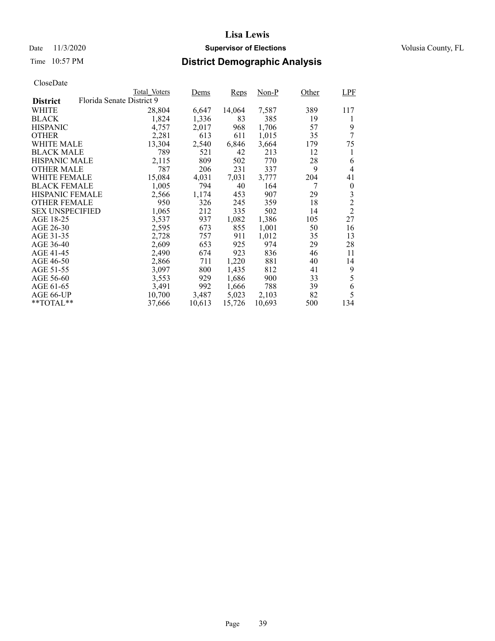### Date 11/3/2020 **Supervisor of Elections** Volusia County, FL

## Time 10:57 PM **District Demographic Analysis**

|                        |                           | Total Voters | Dems   | <b>Reps</b> | Non-P  | Other | LPF            |
|------------------------|---------------------------|--------------|--------|-------------|--------|-------|----------------|
| <b>District</b>        | Florida Senate District 9 |              |        |             |        |       |                |
| WHITE                  |                           | 28,804       | 6,647  | 14,064      | 7,587  | 389   | 117            |
| <b>BLACK</b>           |                           | 1,824        | 1,336  | 83          | 385    | 19    | 1              |
| <b>HISPANIC</b>        |                           | 4,757        | 2,017  | 968         | 1,706  | 57    | 9              |
| <b>OTHER</b>           |                           | 2,281        | 613    | 611         | 1,015  | 35    | 7              |
| WHITE MALE             |                           | 13,304       | 2,540  | 6,846       | 3,664  | 179   | 75             |
| <b>BLACK MALE</b>      |                           | 789          | 521    | 42          | 213    | 12    | 1              |
| <b>HISPANIC MALE</b>   |                           | 2,115        | 809    | 502         | 770    | 28    | 6              |
| <b>OTHER MALE</b>      |                           | 787          | 206    | 231         | 337    | 9     | 4              |
| <b>WHITE FEMALE</b>    |                           | 15,084       | 4,031  | 7,031       | 3,777  | 204   | 41             |
| <b>BLACK FEMALE</b>    |                           | 1,005        | 794    | 40          | 164    | 7     | $\theta$       |
| <b>HISPANIC FEMALE</b> |                           | 2,566        | 1,174  | 453         | 907    | 29    | 3              |
| <b>OTHER FEMALE</b>    |                           | 950          | 326    | 245         | 359    | 18    | $\overline{2}$ |
| <b>SEX UNSPECIFIED</b> |                           | 1,065        | 212    | 335         | 502    | 14    | $\overline{2}$ |
| AGE 18-25              |                           | 3,537        | 937    | 1,082       | 1,386  | 105   | 27             |
| AGE 26-30              |                           | 2,595        | 673    | 855         | 1,001  | 50    | 16             |
| AGE 31-35              |                           | 2,728        | 757    | 911         | 1,012  | 35    | 13             |
| AGE 36-40              |                           | 2,609        | 653    | 925         | 974    | 29    | 28             |
| AGE 41-45              |                           | 2,490        | 674    | 923         | 836    | 46    | 11             |
| AGE 46-50              |                           | 2,866        | 711    | 1,220       | 881    | 40    | 14             |
| AGE 51-55              |                           | 3,097        | 800    | 1,435       | 812    | 41    | 9              |
| AGE 56-60              |                           | 3,553        | 929    | 1,686       | 900    | 33    | 5              |
| AGE 61-65              |                           | 3,491        | 992    | 1,666       | 788    | 39    | 6              |
| AGE 66-UP              |                           | 10,700       | 3,487  | 5,023       | 2,103  | 82    | 5              |
| $*$ $TOTAL**$          |                           | 37,666       | 10,613 | 15,726      | 10,693 | 500   | 134            |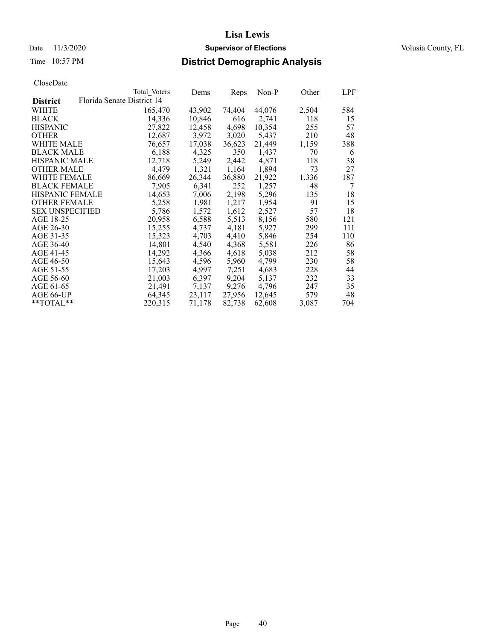### Date 11/3/2020 **Supervisor of Elections** Volusia County, FL

## Time 10:57 PM **District Demographic Analysis**

|                        |                            | Total Voters | Dems   | <b>Reps</b> | Non-P  | Other | LPF |
|------------------------|----------------------------|--------------|--------|-------------|--------|-------|-----|
| <b>District</b>        | Florida Senate District 14 |              |        |             |        |       |     |
| WHITE                  |                            | 165,470      | 43,902 | 74,404      | 44,076 | 2,504 | 584 |
| <b>BLACK</b>           |                            | 14,336       | 10,846 | 616         | 2,741  | 118   | 15  |
| <b>HISPANIC</b>        |                            | 27,822       | 12,458 | 4,698       | 10,354 | 255   | 57  |
| <b>OTHER</b>           |                            | 12,687       | 3,972  | 3,020       | 5,437  | 210   | 48  |
| WHITE MALE             |                            | 76,657       | 17,038 | 36,623      | 21.449 | 1,159 | 388 |
| <b>BLACK MALE</b>      |                            | 6,188        | 4,325  | 350         | 1,437  | 70    | 6   |
| <b>HISPANIC MALE</b>   |                            | 12,718       | 5,249  | 2,442       | 4.871  | 118   | 38  |
| <b>OTHER MALE</b>      |                            | 4,479        | 1,321  | 1,164       | 1,894  | 73    | 27  |
| <b>WHITE FEMALE</b>    |                            | 86,669       | 26,344 | 36,880      | 21,922 | 1,336 | 187 |
| <b>BLACK FEMALE</b>    |                            | 7,905        | 6,341  | 252         | 1,257  | 48    | 7   |
| <b>HISPANIC FEMALE</b> |                            | 14,653       | 7,006  | 2,198       | 5,296  | 135   | 18  |
| <b>OTHER FEMALE</b>    |                            | 5,258        | 1,981  | 1,217       | 1.954  | 91    | 15  |
| <b>SEX UNSPECIFIED</b> |                            | 5,786        | 1,572  | 1,612       | 2,527  | 57    | 18  |
| AGE 18-25              |                            | 20,958       | 6,588  | 5,513       | 8,156  | 580   | 121 |
| AGE 26-30              |                            | 15,255       | 4,737  | 4,181       | 5,927  | 299   | 111 |
| AGE 31-35              |                            | 15,323       | 4,703  | 4,410       | 5,846  | 254   | 110 |
| AGE 36-40              |                            | 14,801       | 4,540  | 4,368       | 5,581  | 226   | 86  |
| AGE 41-45              |                            | 14,292       | 4,366  | 4,618       | 5,038  | 212   | 58  |
| AGE 46-50              |                            | 15,643       | 4,596  | 5,960       | 4,799  | 230   | 58  |
| AGE 51-55              |                            | 17,203       | 4,997  | 7,251       | 4,683  | 228   | 44  |
| AGE 56-60              |                            | 21,003       | 6,397  | 9,204       | 5,137  | 232   | 33  |
| AGE 61-65              |                            | 21,491       | 7,137  | 9,276       | 4,796  | 247   | 35  |
| AGE 66-UP              |                            | 64,345       | 23,117 | 27,956      | 12,645 | 579   | 48  |
| $*$ $TOTAL**$          |                            | 220.315      | 71,178 | 82,738      | 62,608 | 3,087 | 704 |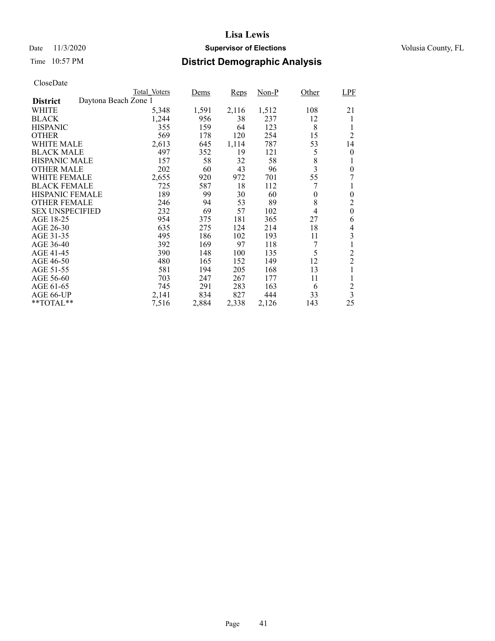### Date 11/3/2020 **Supervisor of Elections** Volusia County, FL

## Time 10:57 PM **District Demographic Analysis**

|                                         | <b>Total Voters</b> | Dems  | Reps  | Non-P | Other    | <b>LPF</b>              |
|-----------------------------------------|---------------------|-------|-------|-------|----------|-------------------------|
| Daytona Beach Zone 1<br><b>District</b> |                     |       |       |       |          |                         |
| WHITE                                   | 5,348               | 1,591 | 2,116 | 1,512 | 108      | 21                      |
| <b>BLACK</b>                            | 1,244               | 956   | 38    | 237   | 12       | 1                       |
| <b>HISPANIC</b>                         | 355                 | 159   | 64    | 123   | 8        | 1                       |
| <b>OTHER</b>                            | 569                 | 178   | 120   | 254   | 15       | $\overline{2}$          |
| WHITE MALE                              | 2,613               | 645   | 1,114 | 787   | 53       | 14                      |
| <b>BLACK MALE</b>                       | 497                 | 352   | 19    | 121   | 5        | $\theta$                |
| <b>HISPANIC MALE</b>                    | 157                 | 58    | 32    | 58    | 8        |                         |
| <b>OTHER MALE</b>                       | 202                 | 60    | 43    | 96    | 3        | $\theta$                |
| <b>WHITE FEMALE</b>                     | 2,655               | 920   | 972   | 701   | 55       | 7                       |
| <b>BLACK FEMALE</b>                     | 725                 | 587   | 18    | 112   | 7        |                         |
| <b>HISPANIC FEMALE</b>                  | 189                 | 99    | 30    | 60    | $\bf{0}$ | $\theta$                |
| <b>OTHER FEMALE</b>                     | 246                 | 94    | 53    | 89    | 8        | $\overline{2}$          |
| <b>SEX UNSPECIFIED</b>                  | 232                 | 69    | 57    | 102   | 4        | $\boldsymbol{0}$        |
| AGE 18-25                               | 954                 | 375   | 181   | 365   | 27       | 6                       |
| AGE 26-30                               | 635                 | 275   | 124   | 214   | 18       | 4                       |
| AGE 31-35                               | 495                 | 186   | 102   | 193   | 11       | 3                       |
| AGE 36-40                               | 392                 | 169   | 97    | 118   | 7        |                         |
| AGE 41-45                               | 390                 | 148   | 100   | 135   | 5        | $\overline{c}$          |
| AGE 46-50                               | 480                 | 165   | 152   | 149   | 12       | $\overline{c}$          |
| AGE 51-55                               | 581                 | 194   | 205   | 168   | 13       |                         |
| AGE 56-60                               | 703                 | 247   | 267   | 177   | 11       | 1                       |
| AGE 61-65                               | 745                 | 291   | 283   | 163   | 6        | $\overline{c}$          |
| AGE 66-UP                               | 2,141               | 834   | 827   | 444   | 33       | $\overline{\mathbf{3}}$ |
| $*$ $TOTAL**$                           | 7,516               | 2,884 | 2,338 | 2,126 | 143      | 25                      |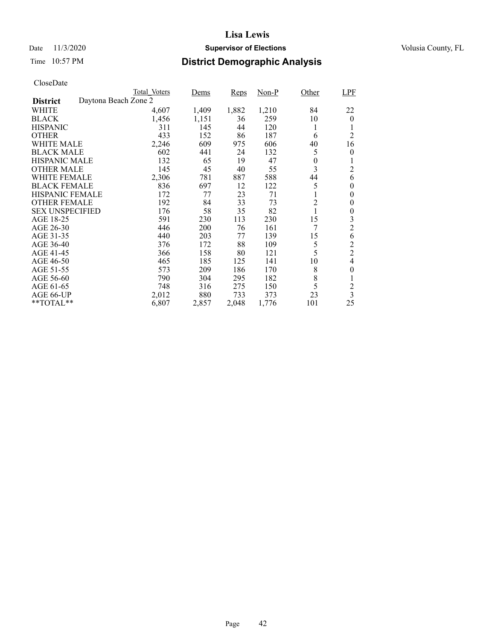### Date 11/3/2020 **Supervisor of Elections** Volusia County, FL

## Time 10:57 PM **District Demographic Analysis**

|                        |                      | Total Voters | Dems  | Reps  | $Non-P$ | Other          | <b>LPF</b>     |
|------------------------|----------------------|--------------|-------|-------|---------|----------------|----------------|
| <b>District</b>        | Daytona Beach Zone 2 |              |       |       |         |                |                |
| WHITE                  |                      | 4,607        | 1,409 | 1,882 | 1,210   | 84             | 22             |
| <b>BLACK</b>           |                      | 1,456        | 1,151 | 36    | 259     | 10             | $\theta$       |
| <b>HISPANIC</b>        |                      | 311          | 145   | 44    | 120     | 1              | 1              |
| <b>OTHER</b>           |                      | 433          | 152   | 86    | 187     | 6              | $\overline{2}$ |
| <b>WHITE MALE</b>      |                      | 2,246        | 609   | 975   | 606     | 40             | 16             |
| <b>BLACK MALE</b>      |                      | 602          | 441   | 24    | 132     | 5              | 0              |
| <b>HISPANIC MALE</b>   |                      | 132          | 65    | 19    | 47      | 0              | 1              |
| <b>OTHER MALE</b>      |                      | 145          | 45    | 40    | 55      | 3              | $\overline{c}$ |
| WHITE FEMALE           |                      | 2,306        | 781   | 887   | 588     | 44             | 6              |
| <b>BLACK FEMALE</b>    |                      | 836          | 697   | 12    | 122     | 5              | $\theta$       |
| <b>HISPANIC FEMALE</b> |                      | 172          | 77    | 23    | 71      | 1              | $\theta$       |
| <b>OTHER FEMALE</b>    |                      | 192          | 84    | 33    | 73      | $\overline{2}$ | 0              |
| <b>SEX UNSPECIFIED</b> |                      | 176          | 58    | 35    | 82      | $\mathbf{1}$   | 0              |
| AGE 18-25              |                      | 591          | 230   | 113   | 230     | 15             | 3              |
| AGE 26-30              |                      | 446          | 200   | 76    | 161     | 7              | $\overline{2}$ |
| AGE 31-35              |                      | 440          | 203   | 77    | 139     | 15             | 6              |
| AGE 36-40              |                      | 376          | 172   | 88    | 109     | 5              | $\overline{c}$ |
| AGE 41-45              |                      | 366          | 158   | 80    | 121     | 5              | $\overline{2}$ |
| AGE 46-50              |                      | 465          | 185   | 125   | 141     | 10             | 4              |
| AGE 51-55              |                      | 573          | 209   | 186   | 170     | 8              | 0              |
| AGE 56-60              |                      | 790          | 304   | 295   | 182     | 8              | 1              |
| AGE 61-65              |                      | 748          | 316   | 275   | 150     | 5              | $\overline{c}$ |
| AGE 66-UP              |                      | 2,012        | 880   | 733   | 373     | 23             | 3              |
| **TOTAL**              |                      | 6,807        | 2,857 | 2,048 | 1,776   | 101            | 25             |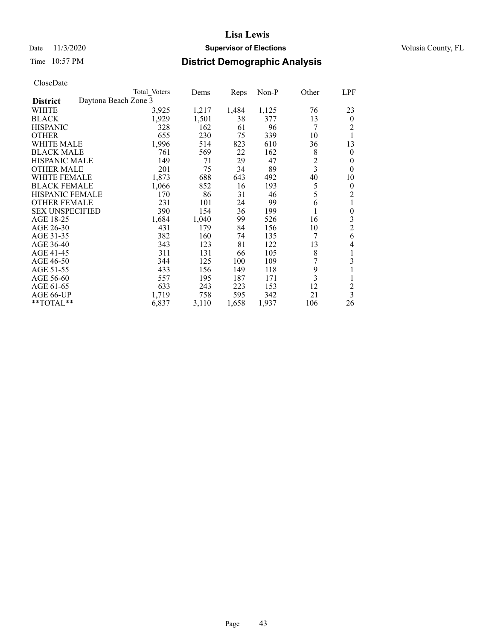### Date 11/3/2020 **Supervisor of Elections** Volusia County, FL

## Time 10:57 PM **District Demographic Analysis**

|                        |                      | Total Voters | Dems  | <b>Reps</b> | $Non-P$ | Other                   | <b>LPF</b>              |
|------------------------|----------------------|--------------|-------|-------------|---------|-------------------------|-------------------------|
| <b>District</b>        | Daytona Beach Zone 3 |              |       |             |         |                         |                         |
| WHITE                  |                      | 3,925        | 1,217 | 1,484       | 1,125   | 76                      | 23                      |
| <b>BLACK</b>           |                      | 1,929        | 1,501 | 38          | 377     | 13                      | $\theta$                |
| <b>HISPANIC</b>        |                      | 328          | 162   | 61          | 96      | 7                       | 2                       |
| <b>OTHER</b>           |                      | 655          | 230   | 75          | 339     | 10                      | 1                       |
| WHITE MALE             |                      | 1,996        | 514   | 823         | 610     | 36                      | 13                      |
| <b>BLACK MALE</b>      |                      | 761          | 569   | 22          | 162     | 8                       | $\theta$                |
| <b>HISPANIC MALE</b>   |                      | 149          | 71    | 29          | 47      | $\overline{c}$          | 0                       |
| <b>OTHER MALE</b>      |                      | 201          | 75    | 34          | 89      | $\overline{\mathbf{3}}$ | 0                       |
| WHITE FEMALE           |                      | 1,873        | 688   | 643         | 492     | 40                      | 10                      |
| <b>BLACK FEMALE</b>    |                      | 1,066        | 852   | 16          | 193     | 5                       | $\theta$                |
| HISPANIC FEMALE        |                      | 170          | 86    | 31          | 46      | 5                       | $\overline{c}$          |
| <b>OTHER FEMALE</b>    |                      | 231          | 101   | 24          | 99      | 6                       | 1                       |
| <b>SEX UNSPECIFIED</b> |                      | 390          | 154   | 36          | 199     | 1                       | $\boldsymbol{0}$        |
| AGE 18-25              |                      | 1,684        | 1,040 | 99          | 526     | 16                      | 3                       |
| AGE 26-30              |                      | 431          | 179   | 84          | 156     | 10                      | $\overline{c}$          |
| AGE 31-35              |                      | 382          | 160   | 74          | 135     | 7                       | 6                       |
| AGE 36-40              |                      | 343          | 123   | 81          | 122     | 13                      | 4                       |
| AGE 41-45              |                      | 311          | 131   | 66          | 105     | 8                       | 1                       |
| AGE 46-50              |                      | 344          | 125   | 100         | 109     | 7                       | 3                       |
| AGE 51-55              |                      | 433          | 156   | 149         | 118     | 9                       | 1                       |
| AGE 56-60              |                      | 557          | 195   | 187         | 171     | 3                       | 1                       |
| AGE 61-65              |                      | 633          | 243   | 223         | 153     | 12                      | $\overline{c}$          |
| AGE 66-UP              |                      | 1,719        | 758   | 595         | 342     | 21                      | $\overline{\mathbf{3}}$ |
| **TOTAL**              |                      | 6,837        | 3,110 | 1,658       | 1,937   | 106                     | 26                      |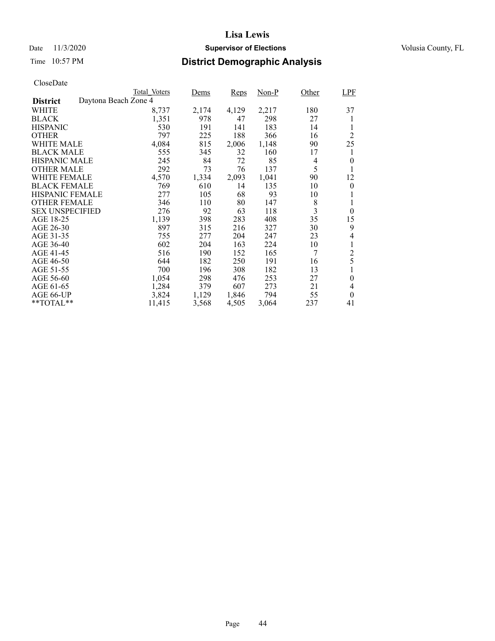### Date 11/3/2020 **Supervisor of Elections** Volusia County, FL

## Time 10:57 PM **District Demographic Analysis**

|                                         | Total Voters | Dems  | Reps  | Non-P | Other | <b>LPF</b>     |
|-----------------------------------------|--------------|-------|-------|-------|-------|----------------|
| Daytona Beach Zone 4<br><b>District</b> |              |       |       |       |       |                |
| WHITE                                   | 8,737        | 2,174 | 4,129 | 2,217 | 180   | 37             |
| <b>BLACK</b>                            | 1,351        | 978   | 47    | 298   | 27    | 1              |
| <b>HISPANIC</b>                         | 530          | 191   | 141   | 183   | 14    | 1              |
| <b>OTHER</b>                            | 797          | 225   | 188   | 366   | 16    | 2              |
| WHITE MALE                              | 4,084        | 815   | 2,006 | 1,148 | 90    | 25             |
| <b>BLACK MALE</b>                       | 555          | 345   | 32    | 160   | 17    | 1              |
| <b>HISPANIC MALE</b>                    | 245          | 84    | 72    | 85    | 4     | $\overline{0}$ |
| <b>OTHER MALE</b>                       | 292          | 73    | 76    | 137   | 5     |                |
| <b>WHITE FEMALE</b>                     | 4,570        | 1,334 | 2,093 | 1,041 | 90    | 12             |
| <b>BLACK FEMALE</b>                     | 769          | 610   | 14    | 135   | 10    | $\theta$       |
| <b>HISPANIC FEMALE</b>                  | 277          | 105   | 68    | 93    | 10    | 1              |
| <b>OTHER FEMALE</b>                     | 346          | 110   | 80    | 147   | 8     | 1              |
| <b>SEX UNSPECIFIED</b>                  | 276          | 92    | 63    | 118   | 3     | $\theta$       |
| AGE 18-25                               | 1,139        | 398   | 283   | 408   | 35    | 15             |
| AGE 26-30                               | 897          | 315   | 216   | 327   | 30    | 9              |
| AGE 31-35                               | 755          | 277   | 204   | 247   | 23    | 4              |
| AGE 36-40                               | 602          | 204   | 163   | 224   | 10    | 1              |
| AGE 41-45                               | 516          | 190   | 152   | 165   | 7     | $\overline{c}$ |
| AGE 46-50                               | 644          | 182   | 250   | 191   | 16    | 5              |
| AGE 51-55                               | 700          | 196   | 308   | 182   | 13    |                |
| AGE 56-60                               | 1,054        | 298   | 476   | 253   | 27    | $\overline{0}$ |
| AGE 61-65                               | 1,284        | 379   | 607   | 273   | 21    | 4              |
| AGE 66-UP                               | 3,824        | 1,129 | 1,846 | 794   | 55    | $\theta$       |
| $*$ $TOTAL**$                           | 11,415       | 3,568 | 4,505 | 3,064 | 237   | 41             |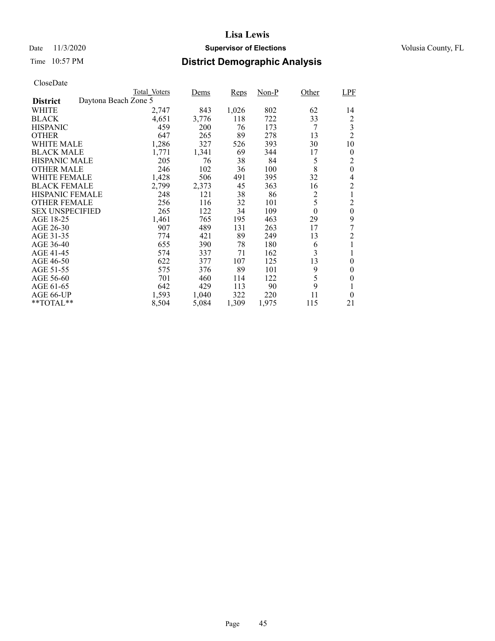### Date 11/3/2020 **Supervisor of Elections** Volusia County, FL

## Time 10:57 PM **District Demographic Analysis**

|                        |                      | Total Voters | Dems  | Reps  | $Non-P$ | Other            | <b>LPF</b>     |
|------------------------|----------------------|--------------|-------|-------|---------|------------------|----------------|
| <b>District</b>        | Daytona Beach Zone 5 |              |       |       |         |                  |                |
| WHITE                  |                      | 2,747        | 843   | 1,026 | 802     | 62               | 14             |
| <b>BLACK</b>           |                      | 4,651        | 3,776 | 118   | 722     | 33               | $\overline{c}$ |
| <b>HISPANIC</b>        |                      | 459          | 200   | 76    | 173     | 7                | 3              |
| <b>OTHER</b>           |                      | 647          | 265   | 89    | 278     | 13               | $\overline{2}$ |
| WHITE MALE             |                      | 1,286        | 327   | 526   | 393     | 30               | 10             |
| <b>BLACK MALE</b>      |                      | 1,771        | 1,341 | 69    | 344     | 17               | $\theta$       |
| <b>HISPANIC MALE</b>   |                      | 205          | 76    | 38    | 84      | 5                | 2              |
| <b>OTHER MALE</b>      |                      | 246          | 102   | 36    | 100     | 8                | $\mathbf{0}$   |
| WHITE FEMALE           |                      | 1,428        | 506   | 491   | 395     | 32               | 4              |
| <b>BLACK FEMALE</b>    |                      | 2,799        | 2,373 | 45    | 363     | 16               | $\overline{c}$ |
| <b>HISPANIC FEMALE</b> |                      | 248          | 121   | 38    | 86      | $\overline{c}$   | 1              |
| <b>OTHER FEMALE</b>    |                      | 256          | 116   | 32    | 101     | 5                | $\overline{c}$ |
| <b>SEX UNSPECIFIED</b> |                      | 265          | 122   | 34    | 109     | $\boldsymbol{0}$ | $\mathbf{0}$   |
| AGE 18-25              |                      | 1,461        | 765   | 195   | 463     | 29               | 9              |
| AGE 26-30              |                      | 907          | 489   | 131   | 263     | 17               | 7              |
| AGE 31-35              |                      | 774          | 421   | 89    | 249     | 13               | $\overline{2}$ |
| AGE 36-40              |                      | 655          | 390   | 78    | 180     | 6                |                |
| AGE 41-45              |                      | 574          | 337   | 71    | 162     | 3                | 1              |
| AGE 46-50              |                      | 622          | 377   | 107   | 125     | 13               | $\theta$       |
| AGE 51-55              |                      | 575          | 376   | 89    | 101     | 9                | 0              |
| AGE 56-60              |                      | 701          | 460   | 114   | 122     | 5                | $\theta$       |
| AGE 61-65              |                      | 642          | 429   | 113   | 90      | 9                | 1              |
| AGE 66-UP              |                      | 1,593        | 1,040 | 322   | 220     | 11               | $\theta$       |
| **TOTAL**              |                      | 8,504        | 5,084 | 1,309 | 1,975   | 115              | 21             |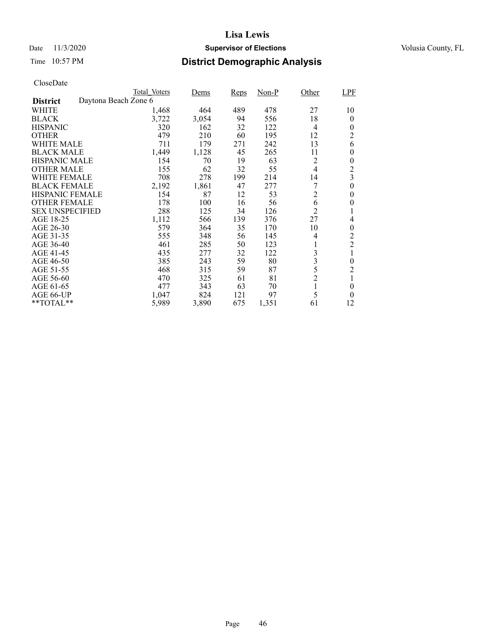### Date 11/3/2020 **Supervisor of Elections** Volusia County, FL

## Time 10:57 PM **District Demographic Analysis**

|                        |                      | Total Voters | <u>Dems</u> | Reps | $Non-P$ | Other          | LPF            |
|------------------------|----------------------|--------------|-------------|------|---------|----------------|----------------|
| <b>District</b>        | Daytona Beach Zone 6 |              |             |      |         |                |                |
| WHITE                  |                      | 1,468        | 464         | 489  | 478     | 27             | 10             |
| <b>BLACK</b>           |                      | 3,722        | 3,054       | 94   | 556     | 18             | $\theta$       |
| <b>HISPANIC</b>        |                      | 320          | 162         | 32   | 122     | 4              | 0              |
| <b>OTHER</b>           |                      | 479          | 210         | 60   | 195     | 12             | 2              |
| WHITE MALE             |                      | 711          | 179         | 271  | 242     | 13             | 6              |
| <b>BLACK MALE</b>      |                      | 1,449        | 1,128       | 45   | 265     | 11             | 0              |
| <b>HISPANIC MALE</b>   |                      | 154          | 70          | 19   | 63      | 2              | 0              |
| <b>OTHER MALE</b>      |                      | 155          | 62          | 32   | 55      | 4              | $\overline{c}$ |
| WHITE FEMALE           |                      | 708          | 278         | 199  | 214     | 14             | 3              |
| <b>BLACK FEMALE</b>    |                      | 2,192        | 1,861       | 47   | 277     |                | $\overline{0}$ |
| <b>HISPANIC FEMALE</b> |                      | 154          | 87          | 12   | 53      | $\overline{2}$ | $\theta$       |
| <b>OTHER FEMALE</b>    |                      | 178          | 100         | 16   | 56      | 6              | 0              |
| <b>SEX UNSPECIFIED</b> |                      | 288          | 125         | 34   | 126     | $\overline{2}$ |                |
| AGE 18-25              |                      | 1,112        | 566         | 139  | 376     | 27             | 4              |
| AGE 26-30              |                      | 579          | 364         | 35   | 170     | 10             | 0              |
| AGE 31-35              |                      | 555          | 348         | 56   | 145     | 4              | $\overline{c}$ |
| AGE 36-40              |                      | 461          | 285         | 50   | 123     |                | $\overline{c}$ |
| AGE 41-45              |                      | 435          | 277         | 32   | 122     | 3              |                |
| AGE 46-50              |                      | 385          | 243         | 59   | 80      | 3              | $\overline{0}$ |
| AGE 51-55              |                      | 468          | 315         | 59   | 87      | 5              | $\overline{c}$ |
| AGE 56-60              |                      | 470          | 325         | 61   | 81      | $\overline{c}$ |                |
| AGE 61-65              |                      | 477          | 343         | 63   | 70      | 1              | $\theta$       |
| AGE 66-UP              |                      | 1,047        | 824         | 121  | 97      | 5              | $\theta$       |
| **TOTAL**              |                      | 5,989        | 3,890       | 675  | 1,351   | 61             | 12             |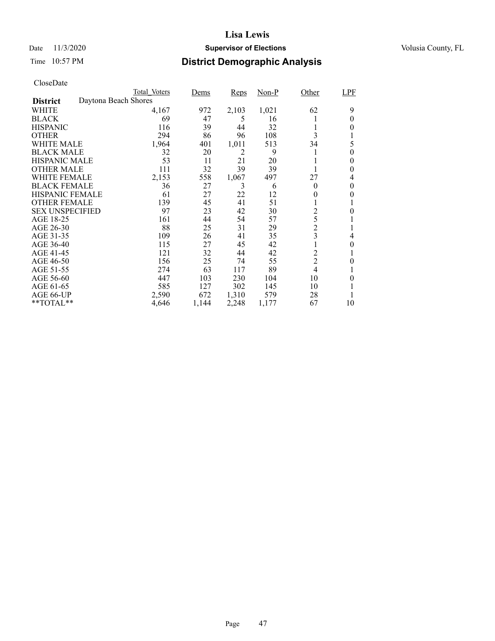### Date 11/3/2020 **Supervisor of Elections** Volusia County, FL

## Time 10:57 PM **District Demographic Analysis**

|                        |                      | Total Voters | Dems  | Reps  | Non-P | Other          | LPF      |
|------------------------|----------------------|--------------|-------|-------|-------|----------------|----------|
| <b>District</b>        | Daytona Beach Shores |              |       |       |       |                |          |
| WHITE                  |                      | 4,167        | 972   | 2,103 | 1,021 | 62             | 9        |
| <b>BLACK</b>           |                      | 69           | 47    | 5     | 16    |                | $\theta$ |
| <b>HISPANIC</b>        |                      | 116          | 39    | 44    | 32    |                | 0        |
| <b>OTHER</b>           |                      | 294          | 86    | 96    | 108   | 3              |          |
| WHITE MALE             |                      | 1,964        | 401   | 1,011 | 513   | 34             | 5        |
| <b>BLACK MALE</b>      |                      | 32           | 20    | 2     | 9     |                | $\theta$ |
| <b>HISPANIC MALE</b>   |                      | 53           | 11    | 21    | 20    |                | 0        |
| <b>OTHER MALE</b>      |                      | 111          | 32    | 39    | 39    |                | 0        |
| WHITE FEMALE           |                      | 2,153        | 558   | 1,067 | 497   | 27             | 4        |
| <b>BLACK FEMALE</b>    |                      | 36           | 27    | 3     | 6     | $\theta$       | 0        |
| <b>HISPANIC FEMALE</b> |                      | 61           | 27    | 22    | 12    | 0              | 0        |
| <b>OTHER FEMALE</b>    |                      | 139          | 45    | 41    | 51    |                |          |
| <b>SEX UNSPECIFIED</b> |                      | 97           | 23    | 42    | 30    | $\overline{c}$ | 0        |
| AGE 18-25              |                      | 161          | 44    | 54    | 57    | 5              |          |
| AGE 26-30              |                      | 88           | 25    | 31    | 29    | $\overline{c}$ |          |
| AGE 31-35              |                      | 109          | 26    | 41    | 35    | 3              | 4        |
| AGE 36-40              |                      | 115          | 27    | 45    | 42    |                | 0        |
| AGE 41-45              |                      | 121          | 32    | 44    | 42    | $\overline{c}$ | 1        |
| AGE 46-50              |                      | 156          | 25    | 74    | 55    | $\overline{c}$ | 0        |
| AGE 51-55              |                      | 274          | 63    | 117   | 89    | 4              |          |
| AGE 56-60              |                      | 447          | 103   | 230   | 104   | 10             | 0        |
| AGE 61-65              |                      | 585          | 127   | 302   | 145   | 10             |          |
| AGE 66-UP              |                      | 2,590        | 672   | 1,310 | 579   | 28             |          |
| $*$ $TOTAL**$          |                      | 4,646        | 1,144 | 2,248 | 1,177 | 67             | 10       |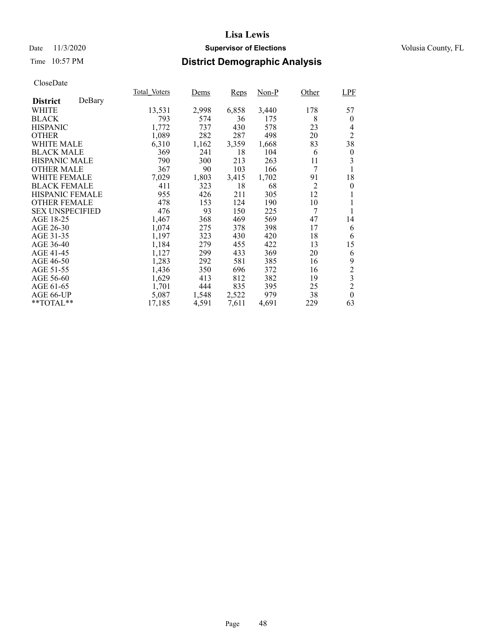### Date 11/3/2020 **Supervisor of Elections** Volusia County, FL

## Time 10:57 PM **District Demographic Analysis**

|                        |        | Total Voters | <u>Dems</u> | Reps  | Non-P | Other          | <b>LPF</b>     |
|------------------------|--------|--------------|-------------|-------|-------|----------------|----------------|
| <b>District</b>        | DeBary |              |             |       |       |                |                |
| WHITE                  |        | 13,531       | 2,998       | 6,858 | 3,440 | 178            | 57             |
| <b>BLACK</b>           |        | 793          | 574         | 36    | 175   | 8              | $\theta$       |
| <b>HISPANIC</b>        |        | 1,772        | 737         | 430   | 578   | 23             | 4              |
| <b>OTHER</b>           |        | 1,089        | 282         | 287   | 498   | 20             | $\overline{2}$ |
| WHITE MALE             |        | 6,310        | 1,162       | 3,359 | 1,668 | 83             | 38             |
| <b>BLACK MALE</b>      |        | 369          | 241         | 18    | 104   | 6              | $\theta$       |
| <b>HISPANIC MALE</b>   |        | 790          | 300         | 213   | 263   | 11             | 3              |
| <b>OTHER MALE</b>      |        | 367          | 90          | 103   | 166   | 7              | 1              |
| WHITE FEMALE           |        | 7,029        | 1,803       | 3,415 | 1,702 | 91             | 18             |
| <b>BLACK FEMALE</b>    |        | 411          | 323         | 18    | 68    | $\overline{2}$ | $\theta$       |
| <b>HISPANIC FEMALE</b> |        | 955          | 426         | 211   | 305   | 12             |                |
| <b>OTHER FEMALE</b>    |        | 478          | 153         | 124   | 190   | 10             | 1              |
| <b>SEX UNSPECIFIED</b> |        | 476          | 93          | 150   | 225   | 7              | 1              |
| AGE 18-25              |        | 1,467        | 368         | 469   | 569   | 47             | 14             |
| AGE 26-30              |        | 1,074        | 275         | 378   | 398   | 17             | 6              |
| AGE 31-35              |        | 1,197        | 323         | 430   | 420   | 18             | 6              |
| AGE 36-40              |        | 1,184        | 279         | 455   | 422   | 13             | 15             |
| AGE 41-45              |        | 1,127        | 299         | 433   | 369   | 20             | 6              |
| AGE 46-50              |        | 1,283        | 292         | 581   | 385   | 16             | 9              |
| AGE 51-55              |        | 1,436        | 350         | 696   | 372   | 16             | $\overline{c}$ |
| AGE 56-60              |        | 1,629        | 413         | 812   | 382   | 19             | $\overline{3}$ |
| AGE 61-65              |        | 1,701        | 444         | 835   | 395   | 25             | $\overline{c}$ |
| AGE 66-UP              |        | 5,087        | 1,548       | 2,522 | 979   | 38             | $\theta$       |
| **TOTAL**              |        | 17,185       | 4,591       | 7,611 | 4,691 | 229            | 63             |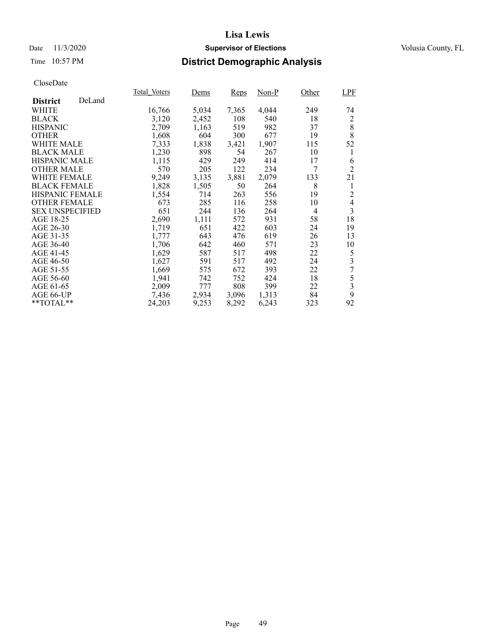### Date 11/3/2020 **Supervisor of Elections** Volusia County, FL

### Time 10:57 PM **District Demographic Analysis**

|                        |        | Total Voters | Dems  | <b>Reps</b> | Non-P | Other | LPF                      |
|------------------------|--------|--------------|-------|-------------|-------|-------|--------------------------|
| <b>District</b>        | DeLand |              |       |             |       |       |                          |
| WHITE                  |        | 16,766       | 5,034 | 7,365       | 4,044 | 249   | 74                       |
| <b>BLACK</b>           |        | 3,120        | 2,452 | 108         | 540   | 18    | 2                        |
| <b>HISPANIC</b>        |        | 2,709        | 1,163 | 519         | 982   | 37    | 8                        |
| <b>OTHER</b>           |        | 1,608        | 604   | 300         | 677   | 19    | 8                        |
| WHITE MALE             |        | 7,333        | 1,838 | 3,421       | 1,907 | 115   | 52                       |
| <b>BLACK MALE</b>      |        | 1,230        | 898   | 54          | 267   | 10    | 1                        |
| <b>HISPANIC MALE</b>   |        | 1,115        | 429   | 249         | 414   | 17    | 6                        |
| <b>OTHER MALE</b>      |        | 570          | 205   | 122         | 234   | 7     | $\overline{2}$           |
| WHITE FEMALE           |        | 9,249        | 3,135 | 3,881       | 2,079 | 133   | 21                       |
| <b>BLACK FEMALE</b>    |        | 1,828        | 1,505 | 50          | 264   | 8     | 1                        |
| HISPANIC FEMALE        |        | 1,554        | 714   | 263         | 556   | 19    | 2                        |
| <b>OTHER FEMALE</b>    |        | 673          | 285   | 116         | 258   | 10    | $\overline{\mathcal{L}}$ |
| <b>SEX UNSPECIFIED</b> |        | 651          | 244   | 136         | 264   | 4     | $\overline{3}$           |
| AGE 18-25              |        | 2,690        | 1,111 | 572         | 931   | 58    | 18                       |
| AGE 26-30              |        | 1,719        | 651   | 422         | 603   | 24    | 19                       |
| AGE 31-35              |        | 1,777        | 643   | 476         | 619   | 26    | 13                       |
| AGE 36-40              |        | 1,706        | 642   | 460         | 571   | 23    | 10                       |
| AGE 41-45              |        | 1,629        | 587   | 517         | 498   | 22    | 5                        |
| AGE 46-50              |        | 1,627        | 591   | 517         | 492   | 24    | $\overline{\mathbf{3}}$  |
| AGE 51-55              |        | 1,669        | 575   | 672         | 393   | 22    | $\overline{7}$           |
| AGE 56-60              |        | 1,941        | 742   | 752         | 424   | 18    | 5                        |
| AGE 61-65              |        | 2,009        | 777   | 808         | 399   | 22    | $\overline{\mathbf{3}}$  |
| AGE 66-UP              |        | 7,436        | 2,934 | 3,096       | 1,313 | 84    | 9                        |
| $*$ TOTAL $*$          |        | 24,203       | 9,253 | 8,292       | 6,243 | 323   | 92                       |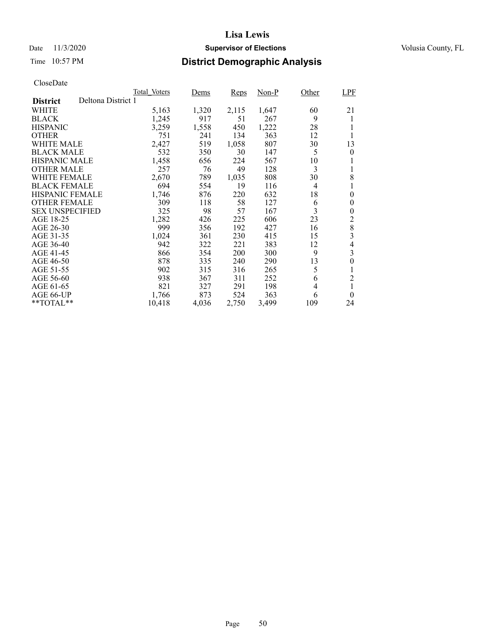### Date 11/3/2020 **Supervisor of Elections** Volusia County, FL

## Time 10:57 PM **District Demographic Analysis**

|                        |                    | Total Voters | Dems  | <b>Reps</b> | Non-P | Other          | <b>LPF</b>     |
|------------------------|--------------------|--------------|-------|-------------|-------|----------------|----------------|
| <b>District</b>        | Deltona District 1 |              |       |             |       |                |                |
| WHITE                  |                    | 5,163        | 1,320 | 2,115       | 1,647 | 60             | 21             |
| <b>BLACK</b>           |                    | 1,245        | 917   | 51          | 267   | 9              | 1              |
| <b>HISPANIC</b>        |                    | 3,259        | 1,558 | 450         | 1,222 | 28             |                |
| <b>OTHER</b>           |                    | 751          | 241   | 134         | 363   | 12             |                |
| <b>WHITE MALE</b>      |                    | 2,427        | 519   | 1,058       | 807   | 30             | 13             |
| <b>BLACK MALE</b>      |                    | 532          | 350   | 30          | 147   | 5              | $\theta$       |
| <b>HISPANIC MALE</b>   |                    | 1,458        | 656   | 224         | 567   | 10             |                |
| <b>OTHER MALE</b>      |                    | 257          | 76    | 49          | 128   | 3              |                |
| WHITE FEMALE           |                    | 2,670        | 789   | 1,035       | 808   | 30             | 8              |
| <b>BLACK FEMALE</b>    |                    | 694          | 554   | 19          | 116   | $\overline{4}$ |                |
| HISPANIC FEMALE        |                    | 1,746        | 876   | 220         | 632   | 18             | $\theta$       |
| <b>OTHER FEMALE</b>    |                    | 309          | 118   | 58          | 127   | 6              | $\theta$       |
| <b>SEX UNSPECIFIED</b> |                    | 325          | 98    | 57          | 167   | 3              | 0              |
| AGE 18-25              |                    | 1,282        | 426   | 225         | 606   | 23             | 2              |
| AGE 26-30              |                    | 999          | 356   | 192         | 427   | 16             | 8              |
| AGE 31-35              |                    | 1,024        | 361   | 230         | 415   | 15             | 3              |
| AGE 36-40              |                    | 942          | 322   | 221         | 383   | 12             | $\overline{4}$ |
| AGE 41-45              |                    | 866          | 354   | 200         | 300   | 9              | 3              |
| AGE 46-50              |                    | 878          | 335   | 240         | 290   | 13             | 0              |
| AGE 51-55              |                    | 902          | 315   | 316         | 265   | 5              | 1              |
| AGE 56-60              |                    | 938          | 367   | 311         | 252   | 6              | $\overline{2}$ |
| AGE 61-65              |                    | 821          | 327   | 291         | 198   | 4              |                |
| AGE 66-UP              |                    | 1,766        | 873   | 524         | 363   | 6              | $\theta$       |
| $*$ $*$ TOTAL $*$ $*$  |                    | 10,418       | 4,036 | 2,750       | 3,499 | 109            | 24             |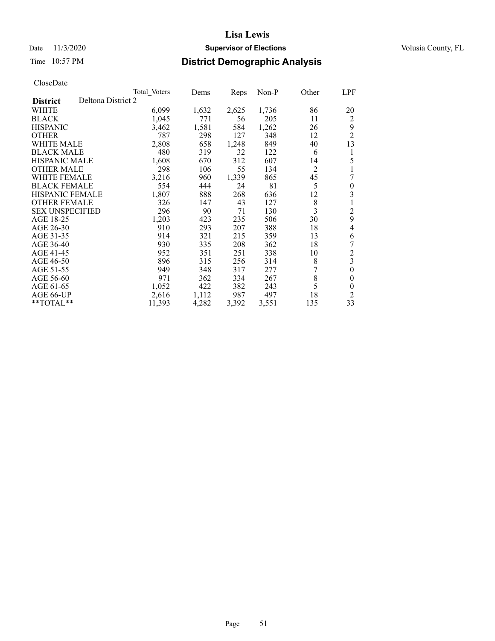### Date 11/3/2020 **Supervisor of Elections** Volusia County, FL

## Time 10:57 PM **District Demographic Analysis**

|                        |                    | Total Voters | Dems  | Reps  | Non-P | Other          | <b>LPF</b>     |
|------------------------|--------------------|--------------|-------|-------|-------|----------------|----------------|
| <b>District</b>        | Deltona District 2 |              |       |       |       |                |                |
| WHITE                  |                    | 6,099        | 1,632 | 2,625 | 1,736 | 86             | 20             |
| <b>BLACK</b>           |                    | 1,045        | 771   | 56    | 205   | 11             | 2              |
| <b>HISPANIC</b>        |                    | 3,462        | 1,581 | 584   | 1,262 | 26             | 9              |
| <b>OTHER</b>           |                    | 787          | 298   | 127   | 348   | 12             | $\overline{c}$ |
| WHITE MALE             |                    | 2,808        | 658   | 1,248 | 849   | 40             | 13             |
| <b>BLACK MALE</b>      |                    | 480          | 319   | 32    | 122   | 6              | 1              |
| <b>HISPANIC MALE</b>   |                    | 1,608        | 670   | 312   | 607   | 14             | 5              |
| <b>OTHER MALE</b>      |                    | 298          | 106   | 55    | 134   | $\overline{2}$ | 1              |
| WHITE FEMALE           |                    | 3,216        | 960   | 1,339 | 865   | 45             | 7              |
| <b>BLACK FEMALE</b>    |                    | 554          | 444   | 24    | 81    | 5              | 0              |
| <b>HISPANIC FEMALE</b> |                    | 1,807        | 888   | 268   | 636   | 12             | 3              |
| <b>OTHER FEMALE</b>    |                    | 326          | 147   | 43    | 127   | 8              | 1              |
| <b>SEX UNSPECIFIED</b> |                    | 296          | 90    | 71    | 130   | 3              | $\overline{c}$ |
| AGE 18-25              |                    | 1,203        | 423   | 235   | 506   | 30             | 9              |
| AGE 26-30              |                    | 910          | 293   | 207   | 388   | 18             | 4              |
| AGE 31-35              |                    | 914          | 321   | 215   | 359   | 13             | 6              |
| AGE 36-40              |                    | 930          | 335   | 208   | 362   | 18             | 7              |
| AGE 41-45              |                    | 952          | 351   | 251   | 338   | 10             | $\overline{c}$ |
| AGE 46-50              |                    | 896          | 315   | 256   | 314   | 8              | 3              |
| AGE 51-55              |                    | 949          | 348   | 317   | 277   |                | $\overline{0}$ |
| AGE 56-60              |                    | 971          | 362   | 334   | 267   | 8              | 0              |
| AGE 61-65              |                    | 1,052        | 422   | 382   | 243   | 5              | 0              |
| AGE 66-UP              |                    | 2,616        | 1,112 | 987   | 497   | 18             | $\overline{2}$ |
| $*$ $TOTAL**$          |                    | 11,393       | 4,282 | 3,392 | 3,551 | 135            | 33             |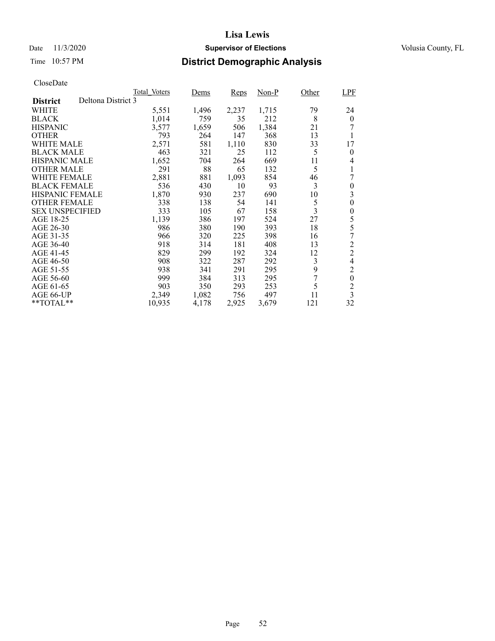### Date 11/3/2020 **Supervisor of Elections** Volusia County, FL

## Time 10:57 PM **District Demographic Analysis**

|                        |                    | Total Voters | Dems  | Reps  | Non-P | Other | <b>LPF</b>       |
|------------------------|--------------------|--------------|-------|-------|-------|-------|------------------|
| <b>District</b>        | Deltona District 3 |              |       |       |       |       |                  |
| WHITE                  |                    | 5,551        | 1,496 | 2,237 | 1,715 | 79    | 24               |
| <b>BLACK</b>           |                    | 1,014        | 759   | 35    | 212   | 8     | $\boldsymbol{0}$ |
| <b>HISPANIC</b>        |                    | 3,577        | 1,659 | 506   | 1,384 | 21    |                  |
| <b>OTHER</b>           |                    | 793          | 264   | 147   | 368   | 13    | 1                |
| WHITE MALE             |                    | 2,571        | 581   | 1,110 | 830   | 33    | 17               |
| <b>BLACK MALE</b>      |                    | 463          | 321   | 25    | 112   | 5     | $\theta$         |
| <b>HISPANIC MALE</b>   |                    | 1,652        | 704   | 264   | 669   | 11    | 4                |
| <b>OTHER MALE</b>      |                    | 291          | 88    | 65    | 132   | 5     |                  |
| WHITE FEMALE           |                    | 2,881        | 881   | 1,093 | 854   | 46    |                  |
| <b>BLACK FEMALE</b>    |                    | 536          | 430   | 10    | 93    | 3     | $\theta$         |
| <b>HISPANIC FEMALE</b> |                    | 1,870        | 930   | 237   | 690   | 10    | 3                |
| <b>OTHER FEMALE</b>    |                    | 338          | 138   | 54    | 141   | 5     | 0                |
| <b>SEX UNSPECIFIED</b> |                    | 333          | 105   | 67    | 158   | 3     | $\boldsymbol{0}$ |
| AGE 18-25              |                    | 1,139        | 386   | 197   | 524   | 27    | 5                |
| AGE 26-30              |                    | 986          | 380   | 190   | 393   | 18    | 5                |
| AGE 31-35              |                    | 966          | 320   | 225   | 398   | 16    | 7                |
| AGE 36-40              |                    | 918          | 314   | 181   | 408   | 13    | $\overline{c}$   |
| AGE 41-45              |                    | 829          | 299   | 192   | 324   | 12    | $\overline{2}$   |
| AGE 46-50              |                    | 908          | 322   | 287   | 292   | 3     | $\overline{4}$   |
| AGE 51-55              |                    | 938          | 341   | 291   | 295   | 9     | $\overline{c}$   |
| AGE 56-60              |                    | 999          | 384   | 313   | 295   | 7     | $\mathbf{0}$     |
| AGE 61-65              |                    | 903          | 350   | 293   | 253   | 5     | $\overline{c}$   |
| AGE 66-UP              |                    | 2,349        | 1,082 | 756   | 497   | 11    | $\overline{3}$   |
| **TOTAL**              |                    | 10,935       | 4,178 | 2,925 | 3,679 | 121   | 32               |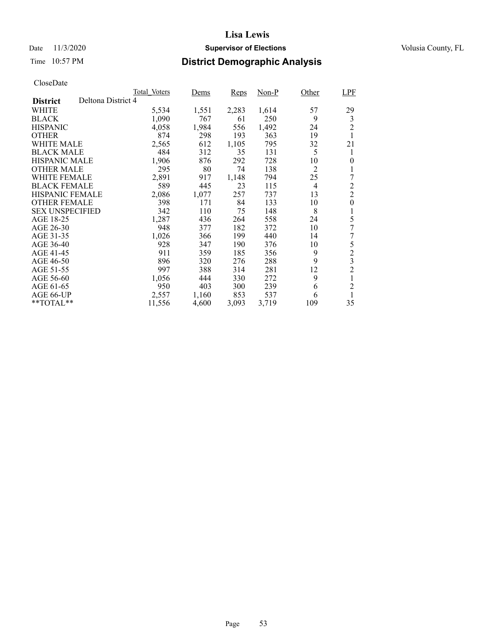### Date 11/3/2020 **Supervisor of Elections** Volusia County, FL

## Time 10:57 PM **District Demographic Analysis**

|                        |                    | Total Voters | Dems  | Reps  | Non-P | Other          | LPF            |
|------------------------|--------------------|--------------|-------|-------|-------|----------------|----------------|
| <b>District</b>        | Deltona District 4 |              |       |       |       |                |                |
| WHITE                  |                    | 5,534        | 1,551 | 2,283 | 1,614 | 57             | 29             |
| <b>BLACK</b>           |                    | 1,090        | 767   | 61    | 250   | 9              | 3              |
| <b>HISPANIC</b>        |                    | 4,058        | 1,984 | 556   | 1,492 | 24             | $\overline{2}$ |
| <b>OTHER</b>           |                    | 874          | 298   | 193   | 363   | 19             | 1              |
| WHITE MALE             |                    | 2,565        | 612   | 1,105 | 795   | 32             | 21             |
| <b>BLACK MALE</b>      |                    | 484          | 312   | 35    | 131   | 5              | 1              |
| <b>HISPANIC MALE</b>   |                    | 1,906        | 876   | 292   | 728   | 10             | 0              |
| <b>OTHER MALE</b>      |                    | 295          | 80    | 74    | 138   | 2              | 1              |
| <b>WHITE FEMALE</b>    |                    | 2,891        | 917   | 1,148 | 794   | 25             | 7              |
| <b>BLACK FEMALE</b>    |                    | 589          | 445   | 23    | 115   | $\overline{4}$ | $\overline{c}$ |
| <b>HISPANIC FEMALE</b> |                    | 2,086        | 1,077 | 257   | 737   | 13             | $\overline{2}$ |
| <b>OTHER FEMALE</b>    |                    | 398          | 171   | 84    | 133   | 10             | $\overline{0}$ |
| <b>SEX UNSPECIFIED</b> |                    | 342          | 110   | 75    | 148   | 8              | 1              |
| AGE 18-25              |                    | 1,287        | 436   | 264   | 558   | 24             | 5              |
| AGE 26-30              |                    | 948          | 377   | 182   | 372   | 10             | 7              |
| AGE 31-35              |                    | 1,026        | 366   | 199   | 440   | 14             | 7              |
| AGE 36-40              |                    | 928          | 347   | 190   | 376   | 10             | 5              |
| AGE 41-45              |                    | 911          | 359   | 185   | 356   | 9              | $\overline{c}$ |
| AGE 46-50              |                    | 896          | 320   | 276   | 288   | 9              | 3              |
| AGE 51-55              |                    | 997          | 388   | 314   | 281   | 12             | $\overline{2}$ |
| AGE 56-60              |                    | 1,056        | 444   | 330   | 272   | 9              | 1              |
| AGE 61-65              |                    | 950          | 403   | 300   | 239   | 6              | $\overline{c}$ |
| AGE 66-UP              |                    | 2,557        | 1,160 | 853   | 537   | 6              | 1              |
| $*$ $TOTAL**$          |                    | 11,556       | 4,600 | 3,093 | 3,719 | 109            | 35             |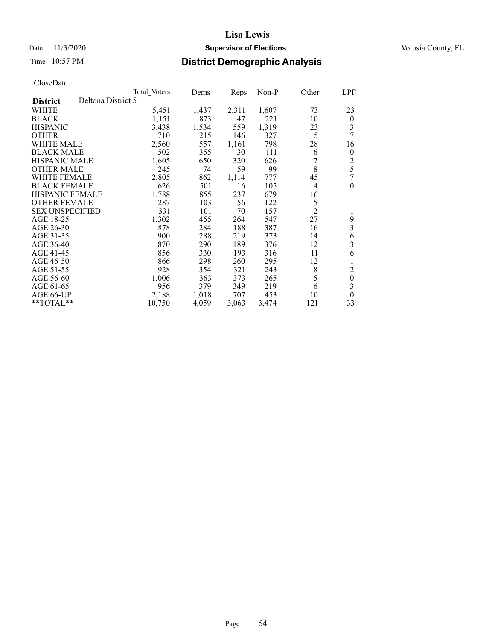### Date 11/3/2020 **Supervisor of Elections** Volusia County, FL

## Time 10:57 PM **District Demographic Analysis**

|                        |                    | Total Voters | Dems  | Reps  | Non-P | Other          | LPF              |
|------------------------|--------------------|--------------|-------|-------|-------|----------------|------------------|
| <b>District</b>        | Deltona District 5 |              |       |       |       |                |                  |
| WHITE                  |                    | 5,451        | 1,437 | 2,311 | 1,607 | 73             | 23               |
| <b>BLACK</b>           |                    | 1,151        | 873   | 47    | 221   | 10             | $\theta$         |
| <b>HISPANIC</b>        |                    | 3,438        | 1,534 | 559   | 1,319 | 23             | 3                |
| <b>OTHER</b>           |                    | 710          | 215   | 146   | 327   | 15             | 7                |
| WHITE MALE             |                    | 2,560        | 557   | 1,161 | 798   | 28             | 16               |
| <b>BLACK MALE</b>      |                    | 502          | 355   | 30    | 111   | 6              | $\boldsymbol{0}$ |
| <b>HISPANIC MALE</b>   |                    | 1,605        | 650   | 320   | 626   |                | $\overline{c}$   |
| <b>OTHER MALE</b>      |                    | 245          | 74    | 59    | 99    | 8              | 5                |
| WHITE FEMALE           |                    | 2,805        | 862   | 1,114 | 777   | 45             | 7                |
| <b>BLACK FEMALE</b>    |                    | 626          | 501   | 16    | 105   | $\overline{4}$ | $\theta$         |
| <b>HISPANIC FEMALE</b> |                    | 1,788        | 855   | 237   | 679   | 16             | 1                |
| <b>OTHER FEMALE</b>    |                    | 287          | 103   | 56    | 122   | 5              | 1                |
| <b>SEX UNSPECIFIED</b> |                    | 331          | 101   | 70    | 157   | $\overline{2}$ | 1                |
| AGE 18-25              |                    | 1,302        | 455   | 264   | 547   | 27             | 9                |
| AGE 26-30              |                    | 878          | 284   | 188   | 387   | 16             | 3                |
| AGE 31-35              |                    | 900          | 288   | 219   | 373   | 14             | 6                |
| AGE 36-40              |                    | 870          | 290   | 189   | 376   | 12             | 3                |
| AGE 41-45              |                    | 856          | 330   | 193   | 316   | 11             | 6                |
| AGE 46-50              |                    | 866          | 298   | 260   | 295   | 12             | 1                |
| AGE 51-55              |                    | 928          | 354   | 321   | 243   | 8              | $\overline{c}$   |
| AGE 56-60              |                    | 1,006        | 363   | 373   | 265   | 5              | $\theta$         |
| AGE 61-65              |                    | 956          | 379   | 349   | 219   | 6              | 3                |
| AGE 66-UP              |                    | 2,188        | 1,018 | 707   | 453   | 10             | $\theta$         |
| $*$ $TOTAL**$          |                    | 10,750       | 4,059 | 3,063 | 3,474 | 121            | 33               |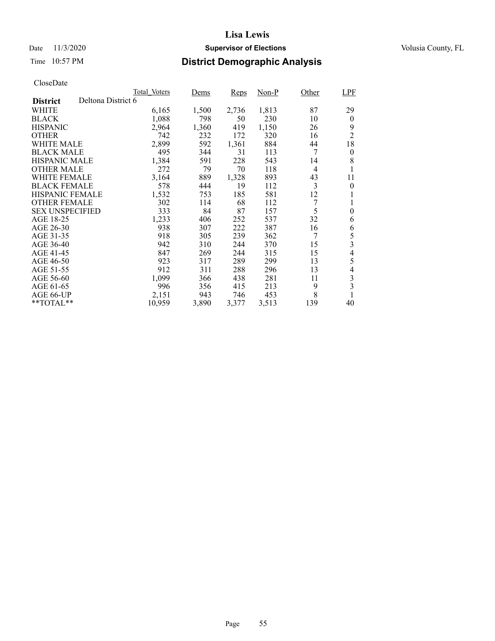### Date 11/3/2020 **Supervisor of Elections** Volusia County, FL

## Time 10:57 PM **District Demographic Analysis**

|                        |                    | Total Voters | Dems  | Reps  | Non-P | Other          | LPF                      |
|------------------------|--------------------|--------------|-------|-------|-------|----------------|--------------------------|
| <b>District</b>        | Deltona District 6 |              |       |       |       |                |                          |
| WHITE                  |                    | 6,165        | 1,500 | 2,736 | 1,813 | 87             | 29                       |
| <b>BLACK</b>           |                    | 1,088        | 798   | 50    | 230   | 10             | $\overline{0}$           |
| <b>HISPANIC</b>        |                    | 2,964        | 1,360 | 419   | 1,150 | 26             | 9                        |
| <b>OTHER</b>           |                    | 742          | 232   | 172   | 320   | 16             | $\overline{2}$           |
| WHITE MALE             |                    | 2,899        | 592   | 1,361 | 884   | 44             | 18                       |
| <b>BLACK MALE</b>      |                    | 495          | 344   | 31    | 113   | 7              | 0                        |
| <b>HISPANIC MALE</b>   |                    | 1,384        | 591   | 228   | 543   | 14             | 8                        |
| <b>OTHER MALE</b>      |                    | 272          | 79    | 70    | 118   | $\overline{4}$ |                          |
| WHITE FEMALE           |                    | 3,164        | 889   | 1,328 | 893   | 43             | 11                       |
| <b>BLACK FEMALE</b>    |                    | 578          | 444   | 19    | 112   | 3              | $\theta$                 |
| <b>HISPANIC FEMALE</b> |                    | 1,532        | 753   | 185   | 581   | 12             | 1                        |
| <b>OTHER FEMALE</b>    |                    | 302          | 114   | 68    | 112   | 7              | 1                        |
| <b>SEX UNSPECIFIED</b> |                    | 333          | 84    | 87    | 157   | 5              | 0                        |
| AGE 18-25              |                    | 1,233        | 406   | 252   | 537   | 32             | 6                        |
| AGE 26-30              |                    | 938          | 307   | 222   | 387   | 16             | 6                        |
| AGE 31-35              |                    | 918          | 305   | 239   | 362   | 7              | 5                        |
| AGE 36-40              |                    | 942          | 310   | 244   | 370   | 15             | 3                        |
| AGE 41-45              |                    | 847          | 269   | 244   | 315   | 15             | $\overline{\mathcal{L}}$ |
| AGE 46-50              |                    | 923          | 317   | 289   | 299   | 13             | 5                        |
| AGE 51-55              |                    | 912          | 311   | 288   | 296   | 13             | 4                        |
| AGE 56-60              |                    | 1,099        | 366   | 438   | 281   | 11             | 3                        |
| AGE 61-65              |                    | 996          | 356   | 415   | 213   | 9              | 3                        |
| AGE 66-UP              |                    | 2,151        | 943   | 746   | 453   | 8              | 1                        |
| **TOTAL**              |                    | 10,959       | 3,890 | 3,377 | 3,513 | 139            | 40                       |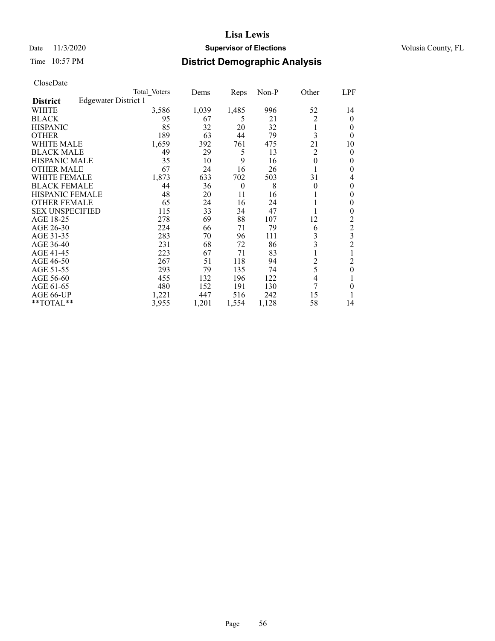### Date 11/3/2020 **Supervisor of Elections** Volusia County, FL

## Time 10:57 PM **District Demographic Analysis**

|                        |                             | Total Voters | Dems  | Reps     | Non-P | Other    | LPF              |
|------------------------|-----------------------------|--------------|-------|----------|-------|----------|------------------|
| <b>District</b>        | <b>Edgewater District 1</b> |              |       |          |       |          |                  |
| WHITE                  |                             | 3,586        | 1,039 | 1,485    | 996   | 52       | 14               |
| <b>BLACK</b>           |                             | 95           | 67    | 5        | 21    | 2        | $\theta$         |
| <b>HISPANIC</b>        |                             | 85           | 32    | 20       | 32    | 1        | 0                |
| <b>OTHER</b>           |                             | 189          | 63    | 44       | 79    | 3        | $\theta$         |
| WHITE MALE             |                             | 1,659        | 392   | 761      | 475   | 21       | 10               |
| <b>BLACK MALE</b>      |                             | 49           | 29    | 5        | 13    | 2        | 0                |
| <b>HISPANIC MALE</b>   |                             | 35           | 10    | 9        | 16    | 0        | 0                |
| <b>OTHER MALE</b>      |                             | 67           | 24    | 16       | 26    |          | 0                |
| WHITE FEMALE           |                             | 1,873        | 633   | 702      | 503   | 31       | 4                |
| <b>BLACK FEMALE</b>    |                             | 44           | 36    | $\theta$ | 8     | $\theta$ | $\theta$         |
| <b>HISPANIC FEMALE</b> |                             | 48           | 20    | 11       | 16    |          | 0                |
| <b>OTHER FEMALE</b>    |                             | 65           | 24    | 16       | 24    |          | 0                |
| <b>SEX UNSPECIFIED</b> |                             | 115          | 33    | 34       | 47    |          | 0                |
| AGE 18-25              |                             | 278          | 69    | 88       | 107   | 12       | 2                |
| AGE 26-30              |                             | 224          | 66    | 71       | 79    | 6        | $\mathfrak 2$    |
| AGE 31-35              |                             | 283          | 70    | 96       | 111   | 3        | 3                |
| AGE 36-40              |                             | 231          | 68    | 72       | 86    | 3        | $\overline{c}$   |
| AGE 41-45              |                             | 223          | 67    | 71       | 83    | 1        |                  |
| AGE 46-50              |                             | 267          | 51    | 118      | 94    | 2        | 2                |
| AGE 51-55              |                             | 293          | 79    | 135      | 74    | 5        | $\boldsymbol{0}$ |
| AGE 56-60              |                             | 455          | 132   | 196      | 122   | 4        |                  |
| AGE 61-65              |                             | 480          | 152   | 191      | 130   | 7        | $\theta$         |
| AGE 66-UP              |                             | 1,221        | 447   | 516      | 242   | 15       |                  |
| **TOTAL**              |                             | 3,955        | 1,201 | 1,554    | 1,128 | 58       | 14               |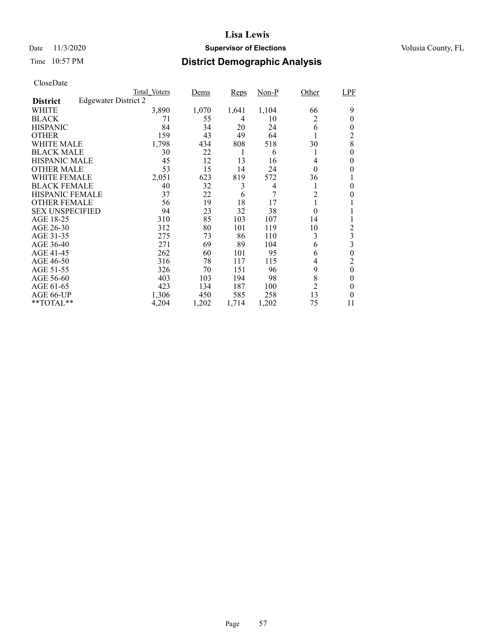### Date 11/3/2020 **Supervisor of Elections** Volusia County, FL

## Time 10:57 PM **District Demographic Analysis**

|                        |                             | Total Voters | Dems  | Reps  | Non-P | Other            | LPF              |
|------------------------|-----------------------------|--------------|-------|-------|-------|------------------|------------------|
| <b>District</b>        | <b>Edgewater District 2</b> |              |       |       |       |                  |                  |
| WHITE                  |                             | 3,890        | 1,070 | 1,641 | 1,104 | 66               | 9                |
| <b>BLACK</b>           |                             | 71           | 55    | 4     | 10    | 2                | $\theta$         |
| <b>HISPANIC</b>        |                             | 84           | 34    | 20    | 24    | 6                | $\theta$         |
| <b>OTHER</b>           |                             | 159          | 43    | 49    | 64    |                  | 2                |
| WHITE MALE             |                             | 1,798        | 434   | 808   | 518   | 30               | 8                |
| <b>BLACK MALE</b>      |                             | 30           | 22    | 1     | 6     | 1                | 0                |
| <b>HISPANIC MALE</b>   |                             | 45           | 12    | 13    | 16    | 4                | 0                |
| <b>OTHER MALE</b>      |                             | 53           | 15    | 14    | 24    | $\theta$         | 0                |
| WHITE FEMALE           |                             | 2,051        | 623   | 819   | 572   | 36               |                  |
| <b>BLACK FEMALE</b>    |                             | 40           | 32    | 3     | 4     |                  | 0                |
| HISPANIC FEMALE        |                             | 37           | 22    | 6     | 7     | $\overline{c}$   | 0                |
| <b>OTHER FEMALE</b>    |                             | 56           | 19    | 18    | 17    | 1                |                  |
| <b>SEX UNSPECIFIED</b> |                             | 94           | 23    | 32    | 38    | $\boldsymbol{0}$ | 1                |
| AGE 18-25              |                             | 310          | 85    | 103   | 107   | 14               |                  |
| AGE 26-30              |                             | 312          | 80    | 101   | 119   | 10               | 2                |
| AGE 31-35              |                             | 275          | 73    | 86    | 110   | 3                | 3                |
| AGE 36-40              |                             | 271          | 69    | 89    | 104   | 6                | 3                |
| AGE 41-45              |                             | 262          | 60    | 101   | 95    | 6                | $\overline{0}$   |
| AGE 46-50              |                             | 316          | 78    | 117   | 115   | 4                | 2                |
| AGE 51-55              |                             | 326          | 70    | 151   | 96    | 9                | $\boldsymbol{0}$ |
| AGE 56-60              |                             | 403          | 103   | 194   | 98    | 8                | $\theta$         |
| AGE 61-65              |                             | 423          | 134   | 187   | 100   | $\overline{2}$   | 0                |
| AGE 66-UP              |                             | 1,306        | 450   | 585   | 258   | 13               | 0                |
| **TOTAL**              |                             | 4,204        | 1,202 | 1,714 | 1,202 | 75               | 11               |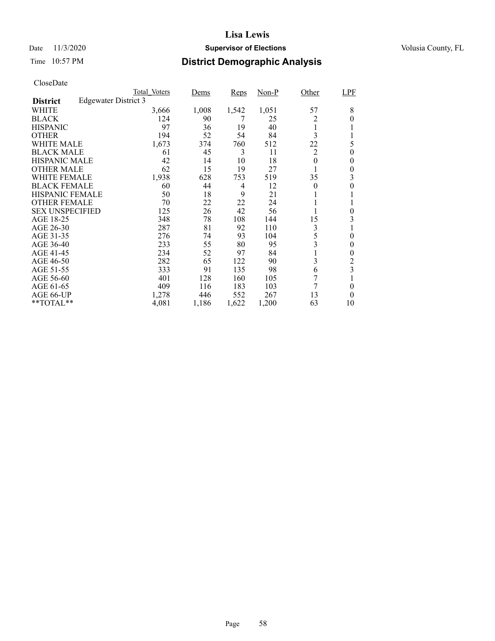### Date 11/3/2020 **Supervisor of Elections** Volusia County, FL

## Time 10:57 PM **District Demographic Analysis**

|                        |                      | Total Voters | Dems  | Reps  | Non-P | Other    | LPF            |
|------------------------|----------------------|--------------|-------|-------|-------|----------|----------------|
| <b>District</b>        | Edgewater District 3 |              |       |       |       |          |                |
| WHITE                  |                      | 3,666        | 1,008 | 1,542 | 1,051 | 57       | 8              |
| <b>BLACK</b>           |                      | 124          | 90    | 7     | 25    | 2        | 0              |
| <b>HISPANIC</b>        |                      | 97           | 36    | 19    | 40    | 1        |                |
| <b>OTHER</b>           |                      | 194          | 52    | 54    | 84    | 3        |                |
| WHITE MALE             |                      | 1,673        | 374   | 760   | 512   | 22       | 5              |
| <b>BLACK MALE</b>      |                      | 61           | 45    | 3     | 11    | 2        | 0              |
| <b>HISPANIC MALE</b>   |                      | 42           | 14    | 10    | 18    | $\theta$ | 0              |
| <b>OTHER MALE</b>      |                      | 62           | 15    | 19    | 27    |          | $\theta$       |
| WHITE FEMALE           |                      | 1,938        | 628   | 753   | 519   | 35       | 3              |
| <b>BLACK FEMALE</b>    |                      | 60           | 44    | 4     | 12    | $\theta$ | 0              |
| <b>HISPANIC FEMALE</b> |                      | 50           | 18    | 9     | 21    | 1        |                |
| <b>OTHER FEMALE</b>    |                      | 70           | 22    | 22    | 24    |          |                |
| <b>SEX UNSPECIFIED</b> |                      | 125          | 26    | 42    | 56    |          | 0              |
| AGE 18-25              |                      | 348          | 78    | 108   | 144   | 15       | 3              |
| AGE 26-30              |                      | 287          | 81    | 92    | 110   | 3        |                |
| AGE 31-35              |                      | 276          | 74    | 93    | 104   | 5        | $\theta$       |
| AGE 36-40              |                      | 233          | 55    | 80    | 95    | 3        | 0              |
| AGE 41-45              |                      | 234          | 52    | 97    | 84    | 1        | 0              |
| AGE 46-50              |                      | 282          | 65    | 122   | 90    | 3        | $\overline{c}$ |
| AGE 51-55              |                      | 333          | 91    | 135   | 98    | 6        | 3              |
| AGE 56-60              |                      | 401          | 128   | 160   | 105   | 7        |                |
| AGE 61-65              |                      | 409          | 116   | 183   | 103   | 7        | 0              |
| AGE 66-UP              |                      | 1,278        | 446   | 552   | 267   | 13       | $\theta$       |
| $*$ $TOTAL**$          |                      | 4,081        | 1,186 | 1,622 | 1,200 | 63       | 10             |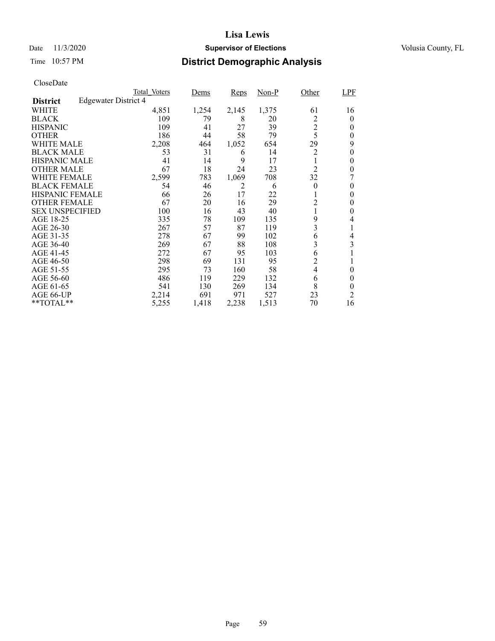### Date 11/3/2020 **Supervisor of Elections** Volusia County, FL

## Time 10:57 PM **District Demographic Analysis**

|                        |                             | Total Voters | Dems  | Reps  | $Non-P$ | Other          | LPF            |
|------------------------|-----------------------------|--------------|-------|-------|---------|----------------|----------------|
| <b>District</b>        | <b>Edgewater District 4</b> |              |       |       |         |                |                |
| WHITE                  |                             | 4,851        | 1,254 | 2,145 | 1,375   | 61             | 16             |
| <b>BLACK</b>           |                             | 109          | 79    | 8     | 20      | 2              | 0              |
| <b>HISPANIC</b>        |                             | 109          | 41    | 27    | 39      | $\overline{2}$ | 0              |
| <b>OTHER</b>           |                             | 186          | 44    | 58    | 79      | 5              | 0              |
| WHITE MALE             |                             | 2,208        | 464   | 1,052 | 654     | 29             | 9              |
| <b>BLACK MALE</b>      |                             | 53           | 31    | 6     | 14      | $\overline{c}$ | 0              |
| <b>HISPANIC MALE</b>   |                             | 41           | 14    | 9     | 17      | 1              | 0              |
| <b>OTHER MALE</b>      |                             | 67           | 18    | 24    | 23      | $\overline{2}$ | 0              |
| WHITE FEMALE           |                             | 2,599        | 783   | 1,069 | 708     | 32             |                |
| <b>BLACK FEMALE</b>    |                             | 54           | 46    | 2     | 6       | $\theta$       | $\theta$       |
| <b>HISPANIC FEMALE</b> |                             | 66           | 26    | 17    | 22      |                | 0              |
| <b>OTHER FEMALE</b>    |                             | 67           | 20    | 16    | 29      | 2              | 0              |
| <b>SEX UNSPECIFIED</b> |                             | 100          | 16    | 43    | 40      |                | 0              |
| AGE 18-25              |                             | 335          | 78    | 109   | 135     | 9              | 4              |
| AGE 26-30              |                             | 267          | 57    | 87    | 119     | 3              | 1              |
| AGE 31-35              |                             | 278          | 67    | 99    | 102     | 6              | 4              |
| AGE 36-40              |                             | 269          | 67    | 88    | 108     | 3              | 3              |
| AGE 41-45              |                             | 272          | 67    | 95    | 103     | 6              |                |
| AGE 46-50              |                             | 298          | 69    | 131   | 95      | 2              |                |
| AGE 51-55              |                             | 295          | 73    | 160   | 58      | $\overline{4}$ | $\theta$       |
| AGE 56-60              |                             | 486          | 119   | 229   | 132     | 6              | 0              |
| AGE 61-65              |                             | 541          | 130   | 269   | 134     | 8              | 0              |
| AGE 66-UP              |                             | 2,214        | 691   | 971   | 527     | 23             | $\overline{c}$ |
| **TOTAL**              |                             | 5,255        | 1,418 | 2,238 | 1,513   | 70             | 16             |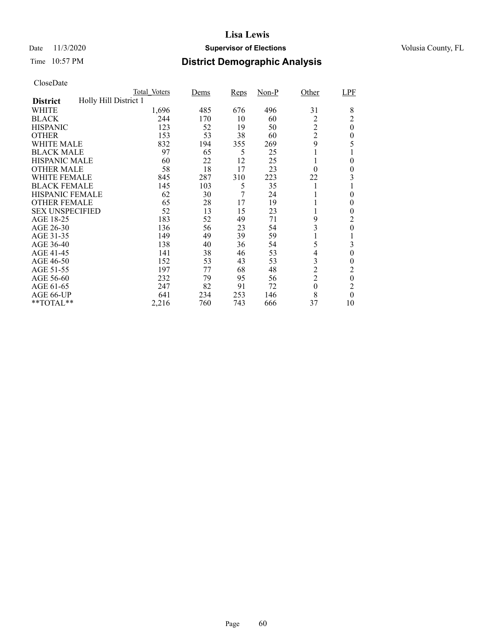### Date 11/3/2020 **Supervisor of Elections** Volusia County, FL

## Time 10:57 PM **District Demographic Analysis**

|                        |                       | Total Voters | <u>Dems</u> | Reps | $Non-P$ | Other            | LPF              |
|------------------------|-----------------------|--------------|-------------|------|---------|------------------|------------------|
| <b>District</b>        | Holly Hill District 1 |              |             |      |         |                  |                  |
| WHITE                  |                       | 1,696        | 485         | 676  | 496     | 31               | 8                |
| <b>BLACK</b>           |                       | 244          | 170         | 10   | 60      | 2                | $\overline{c}$   |
| <b>HISPANIC</b>        |                       | 123          | 52          | 19   | 50      | $\overline{2}$   | $\boldsymbol{0}$ |
| <b>OTHER</b>           |                       | 153          | 53          | 38   | 60      | $\overline{2}$   | 0                |
| WHITE MALE             |                       | 832          | 194         | 355  | 269     | 9                | 5                |
| <b>BLACK MALE</b>      |                       | 97           | 65          | 5    | 25      |                  |                  |
| <b>HISPANIC MALE</b>   |                       | 60           | 22          | 12   | 25      |                  | $\theta$         |
| <b>OTHER MALE</b>      |                       | 58           | 18          | 17   | 23      | $\theta$         | $\overline{0}$   |
| WHITE FEMALE           |                       | 845          | 287         | 310  | 223     | 22               | 3                |
| <b>BLACK FEMALE</b>    |                       | 145          | 103         | 5    | 35      |                  |                  |
| <b>HISPANIC FEMALE</b> |                       | 62           | 30          | 7    | 24      |                  | 0                |
| <b>OTHER FEMALE</b>    |                       | 65           | 28          | 17   | 19      |                  | $\theta$         |
| <b>SEX UNSPECIFIED</b> |                       | 52           | 13          | 15   | 23      |                  | $\theta$         |
| AGE 18-25              |                       | 183          | 52          | 49   | 71      | 9                | 2                |
| AGE 26-30              |                       | 136          | 56          | 23   | 54      | 3                | $\overline{0}$   |
| AGE 31-35              |                       | 149          | 49          | 39   | 59      |                  |                  |
| AGE 36-40              |                       | 138          | 40          | 36   | 54      | 5                | 3                |
| AGE 41-45              |                       | 141          | 38          | 46   | 53      | 4                | $\overline{0}$   |
| AGE 46-50              |                       | 152          | 53          | 43   | 53      | 3                | 0                |
| AGE 51-55              |                       | 197          | 77          | 68   | 48      | $\overline{c}$   | 2                |
| AGE 56-60              |                       | 232          | 79          | 95   | 56      | $\overline{2}$   | $\boldsymbol{0}$ |
| AGE 61-65              |                       | 247          | 82          | 91   | 72      | $\boldsymbol{0}$ | $\overline{c}$   |
| AGE 66-UP              |                       | 641          | 234         | 253  | 146     | 8                | $\theta$         |
| **TOTAL**              |                       | 2,216        | 760         | 743  | 666     | 37               | 10               |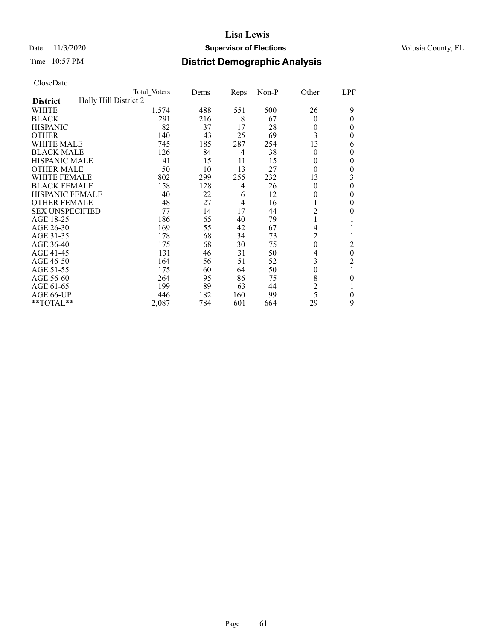### Date 11/3/2020 **Supervisor of Elections** Volusia County, FL

## Time 10:57 PM **District Demographic Analysis**

|                        |                       | Total Voters | Dems | Reps | $Non-P$ | Other            | LPF              |
|------------------------|-----------------------|--------------|------|------|---------|------------------|------------------|
| <b>District</b>        | Holly Hill District 2 |              |      |      |         |                  |                  |
| WHITE                  |                       | 1,574        | 488  | 551  | 500     | 26               | 9                |
| <b>BLACK</b>           |                       | 291          | 216  | 8    | 67      | $\theta$         | 0                |
| <b>HISPANIC</b>        |                       | 82           | 37   | 17   | 28      | 0                | $\theta$         |
| <b>OTHER</b>           |                       | 140          | 43   | 25   | 69      | 3                | $\theta$         |
| WHITE MALE             |                       | 745          | 185  | 287  | 254     | 13               | 6                |
| <b>BLACK MALE</b>      |                       | 126          | 84   | 4    | 38      | $\theta$         | 0                |
| <b>HISPANIC MALE</b>   |                       | 41           | 15   | 11   | 15      | 0                | 0                |
| <b>OTHER MALE</b>      |                       | 50           | 10   | 13   | 27      | $\theta$         | $\overline{0}$   |
| WHITE FEMALE           |                       | 802          | 299  | 255  | 232     | 13               | 3                |
| <b>BLACK FEMALE</b>    |                       | 158          | 128  | 4    | 26      | $\theta$         | $\overline{0}$   |
| <b>HISPANIC FEMALE</b> |                       | 40           | 22   | 6    | 12      | 0                | 0                |
| <b>OTHER FEMALE</b>    |                       | 48           | 27   | 4    | 16      |                  | 0                |
| <b>SEX UNSPECIFIED</b> |                       | 77           | 14   | 17   | 44      | 2                | 0                |
| AGE 18-25              |                       | 186          | 65   | 40   | 79      |                  |                  |
| AGE 26-30              |                       | 169          | 55   | 42   | 67      | 4                |                  |
| AGE 31-35              |                       | 178          | 68   | 34   | 73      | 2                |                  |
| AGE 36-40              |                       | 175          | 68   | 30   | 75      | $\boldsymbol{0}$ | 2                |
| AGE 41-45              |                       | 131          | 46   | 31   | 50      | 4                | $\boldsymbol{0}$ |
| AGE 46-50              |                       | 164          | 56   | 51   | 52      | 3                | 2                |
| AGE 51-55              |                       | 175          | 60   | 64   | 50      | $\theta$         | 1                |
| AGE 56-60              |                       | 264          | 95   | 86   | 75      | 8                | 0                |
| AGE 61-65              |                       | 199          | 89   | 63   | 44      | $\overline{c}$   |                  |
| AGE 66-UP              |                       | 446          | 182  | 160  | 99      | 5                | 0                |
| **TOTAL**              |                       | 2,087        | 784  | 601  | 664     | 29               | 9                |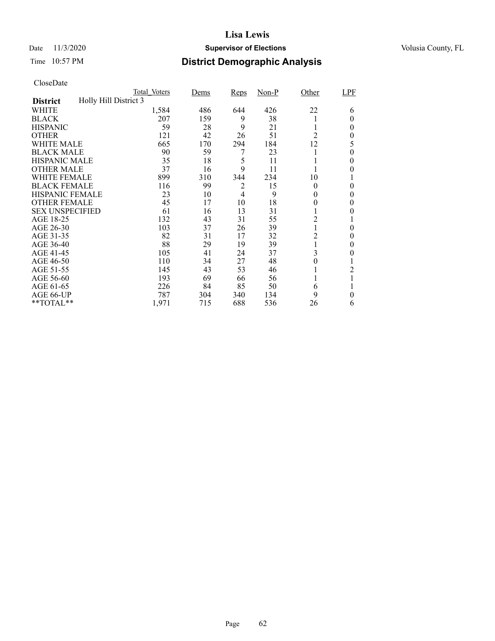### Date 11/3/2020 **Supervisor of Elections** Volusia County, FL

## Time 10:57 PM **District Demographic Analysis**

|                        |                       | Total Voters | Dems | <b>Reps</b>    | $Non-P$ | Other    | LPF      |
|------------------------|-----------------------|--------------|------|----------------|---------|----------|----------|
| <b>District</b>        | Holly Hill District 3 |              |      |                |         |          |          |
| WHITE                  |                       | 1,584        | 486  | 644            | 426     | 22       | 6        |
| <b>BLACK</b>           |                       | 207          | 159  | 9              | 38      |          | 0        |
| <b>HISPANIC</b>        |                       | 59           | 28   | 9              | 21      |          | 0        |
| <b>OTHER</b>           |                       | 121          | 42   | 26             | 51      | 2        | 0        |
| WHITE MALE             |                       | 665          | 170  | 294            | 184     | 12       | 5        |
| <b>BLACK MALE</b>      |                       | 90           | 59   | 7              | 23      |          | $\theta$ |
| <b>HISPANIC MALE</b>   |                       | 35           | 18   | 5              | 11      |          | 0        |
| <b>OTHER MALE</b>      |                       | 37           | 16   | 9              | 11      |          | 0        |
| WHITE FEMALE           |                       | 899          | 310  | 344            | 234     | 10       |          |
| <b>BLACK FEMALE</b>    |                       | 116          | 99   | 2              | 15      | $\theta$ | $\theta$ |
| <b>HISPANIC FEMALE</b> |                       | 23           | 10   | $\overline{4}$ | 9       | 0        | 0        |
| <b>OTHER FEMALE</b>    |                       | 45           | 17   | 10             | 18      | 0        | 0        |
| <b>SEX UNSPECIFIED</b> |                       | 61           | 16   | 13             | 31      |          | 0        |
| AGE 18-25              |                       | 132          | 43   | 31             | 55      | 2        |          |
| AGE 26-30              |                       | 103          | 37   | 26             | 39      |          | 0        |
| AGE 31-35              |                       | 82           | 31   | 17             | 32      | 2        | 0        |
| AGE 36-40              |                       | 88           | 29   | 19             | 39      |          | 0        |
| AGE 41-45              |                       | 105          | 41   | 24             | 37      | 3        | 0        |
| AGE 46-50              |                       | 110          | 34   | 27             | 48      | 0        |          |
| AGE 51-55              |                       | 145          | 43   | 53             | 46      |          | 2        |
| AGE 56-60              |                       | 193          | 69   | 66             | 56      |          |          |
| AGE 61-65              |                       | 226          | 84   | 85             | 50      | 6        |          |
| AGE 66-UP              |                       | 787          | 304  | 340            | 134     | 9        | 0        |
| **TOTAL**              |                       | 1,971        | 715  | 688            | 536     | 26       | 6        |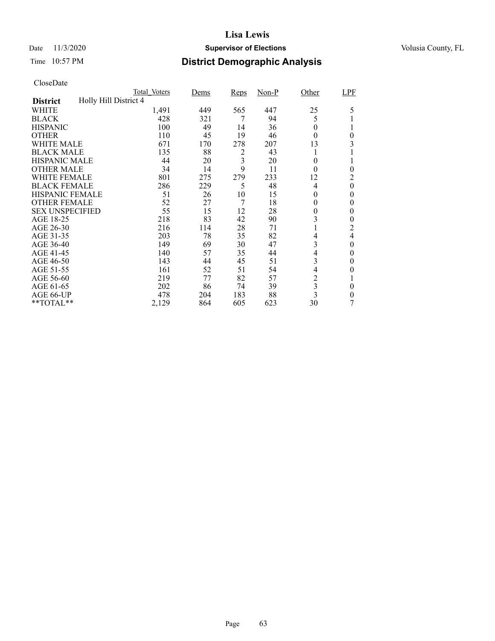### Date 11/3/2020 **Supervisor of Elections** Volusia County, FL

## Time 10:57 PM **District Demographic Analysis**

|                        | Total Voters          | Dems | <b>Reps</b> | $Non-P$ | Other                   | LPF            |
|------------------------|-----------------------|------|-------------|---------|-------------------------|----------------|
| <b>District</b>        | Holly Hill District 4 |      |             |         |                         |                |
| WHITE                  | 1,491                 | 449  | 565         | 447     | 25                      | 5              |
| <b>BLACK</b>           | 428                   | 321  | 7           | 94      | 5                       |                |
| <b>HISPANIC</b>        | 100                   | 49   | 14          | 36      | 0                       |                |
| <b>OTHER</b>           | 110                   | 45   | 19          | 46      | $\theta$                | $\theta$       |
| WHITE MALE             | 671                   | 170  | 278         | 207     | 13                      | 3              |
| <b>BLACK MALE</b>      | 135                   | 88   | 2           | 43      |                         |                |
| <b>HISPANIC MALE</b>   | 44                    | 20   | 3           | 20      | $\theta$                |                |
| <b>OTHER MALE</b>      | 34                    | 14   | 9           | 11      | $\theta$                | $\overline{0}$ |
| <b>WHITE FEMALE</b>    | 801                   | 275  | 279         | 233     | 12                      | $\overline{c}$ |
| <b>BLACK FEMALE</b>    | 286                   | 229  | 5           | 48      | 4                       | $\theta$       |
| <b>HISPANIC FEMALE</b> | 51                    | 26   | 10          | 15      | 0                       | $\theta$       |
| <b>OTHER FEMALE</b>    | 52                    | 27   | 7           | 18      | $\theta$                | $\theta$       |
| <b>SEX UNSPECIFIED</b> | 55                    | 15   | 12          | 28      | 0                       | $\theta$       |
| AGE 18-25              | 218                   | 83   | 42          | 90      | 3                       | 0              |
| AGE 26-30              | 216                   | 114  | 28          | 71      |                         | $\overline{c}$ |
| AGE 31-35              | 203                   | 78   | 35          | 82      | 4                       | $\overline{4}$ |
| AGE 36-40              | 149                   | 69   | 30          | 47      | 3                       | 0              |
| AGE 41-45              | 140                   | 57   | 35          | 44      | 4                       | $\theta$       |
| AGE 46-50              | 143                   | 44   | 45          | 51      | 3                       | $\theta$       |
| AGE 51-55              | 161                   | 52   | 51          | 54      | 4                       | 0              |
| AGE 56-60              | 219                   | 77   | 82          | 57      | $\overline{c}$          |                |
| AGE 61-65              | 202                   | 86   | 74          | 39      | 3                       | $\theta$       |
| AGE 66-UP              | 478                   | 204  | 183         | 88      | $\overline{\mathbf{3}}$ | 0              |
| **TOTAL**              | 2,129                 | 864  | 605         | 623     | 30                      | 7              |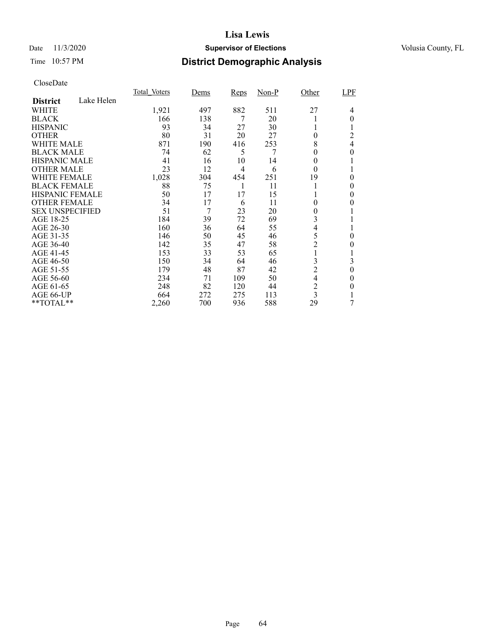### Date 11/3/2020 **Supervisor of Elections** Volusia County, FL

## Time 10:57 PM **District Demographic Analysis**

|                        |            | Total Voters | Dems | <b>Reps</b> | $Non-P$ | Other          | LPF      |
|------------------------|------------|--------------|------|-------------|---------|----------------|----------|
| <b>District</b>        | Lake Helen |              |      |             |         |                |          |
| WHITE                  |            | 1,921        | 497  | 882         | 511     | 27             | 4        |
| <b>BLACK</b>           |            | 166          | 138  | 7           | 20      |                | $\theta$ |
| <b>HISPANIC</b>        |            | 93           | 34   | 27          | 30      |                |          |
| <b>OTHER</b>           |            | 80           | 31   | 20          | 27      | 0              | 2        |
| WHITE MALE             |            | 871          | 190  | 416         | 253     | 8              | 4        |
| <b>BLACK MALE</b>      |            | 74           | 62   | 5           | 7       | 0              | 0        |
| <b>HISPANIC MALE</b>   |            | 41           | 16   | 10          | 14      | 0              |          |
| <b>OTHER MALE</b>      |            | 23           | 12   | 4           | 6       | $\theta$       |          |
| <b>WHITE FEMALE</b>    |            | 1,028        | 304  | 454         | 251     | 19             | 0        |
| <b>BLACK FEMALE</b>    |            | 88           | 75   |             | 11      |                | 0        |
| HISPANIC FEMALE        |            | 50           | 17   | 17          | 15      |                | 0        |
| <b>OTHER FEMALE</b>    |            | 34           | 17   | 6           | 11      | 0              | $\theta$ |
| <b>SEX UNSPECIFIED</b> |            | 51           | 7    | 23          | 20      | 0              |          |
| AGE 18-25              |            | 184          | 39   | 72          | 69      | 3              |          |
| AGE 26-30              |            | 160          | 36   | 64          | 55      | 4              |          |
| AGE 31-35              |            | 146          | 50   | 45          | 46      | 5              | 0        |
| AGE 36-40              |            | 142          | 35   | 47          | 58      | $\overline{c}$ | 0        |
| AGE 41-45              |            | 153          | 33   | 53          | 65      |                |          |
| AGE 46-50              |            | 150          | 34   | 64          | 46      | 3              | 3        |
| AGE 51-55              |            | 179          | 48   | 87          | 42      | $\overline{c}$ | $\theta$ |
| AGE 56-60              |            | 234          | 71   | 109         | 50      | 4              | 0        |
| AGE 61-65              |            | 248          | 82   | 120         | 44      | $\overline{c}$ | 0        |
| AGE 66-UP              |            | 664          | 272  | 275         | 113     | 3              |          |
| **TOTAL**              |            | 2,260        | 700  | 936         | 588     | 29             | 7        |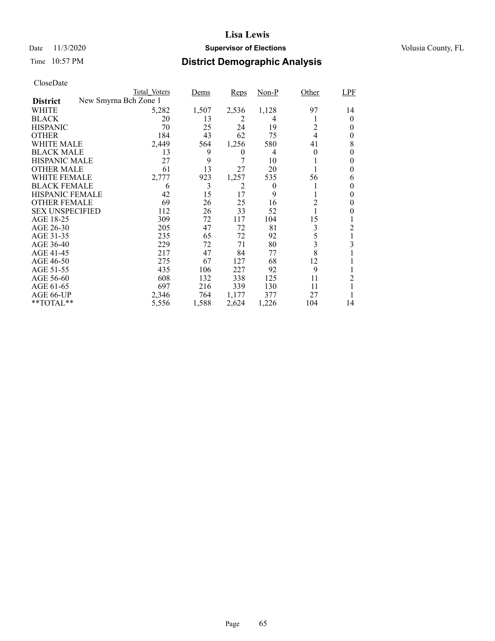### Date 11/3/2020 **Supervisor of Elections** Volusia County, FL

# Time 10:57 PM **District Demographic Analysis**

|                        |                       | Total Voters | Dems  | Reps           | $Non-P$  | Other    | <b>LPF</b> |
|------------------------|-----------------------|--------------|-------|----------------|----------|----------|------------|
| <b>District</b>        | New Smyrna Bch Zone 1 |              |       |                |          |          |            |
| WHITE                  |                       | 5,282        | 1,507 | 2,536          | 1,128    | 97       | 14         |
| <b>BLACK</b>           |                       | 20           | 13    | 2              | 4        |          | 0          |
| <b>HISPANIC</b>        |                       | 70           | 25    | 24             | 19       | 2        | 0          |
| <b>OTHER</b>           |                       | 184          | 43    | 62             | 75       | 4        | 0          |
| WHITE MALE             |                       | 2,449        | 564   | 1,256          | 580      | 41       | 8          |
| <b>BLACK MALE</b>      |                       | 13           | 9     | $\overline{0}$ | 4        | $\theta$ | 0          |
| <b>HISPANIC MALE</b>   |                       | 27           | 9     | 7              | 10       |          | 0          |
| <b>OTHER MALE</b>      |                       | 61           | 13    | 27             | 20       |          | 0          |
| WHITE FEMALE           |                       | 2,777        | 923   | 1,257          | 535      | 56       | 6          |
| <b>BLACK FEMALE</b>    |                       | 6            | 3     | 2              | $\theta$ |          | 0          |
| <b>HISPANIC FEMALE</b> |                       | 42           | 15    | 17             | 9        |          | 0          |
| <b>OTHER FEMALE</b>    |                       | 69           | 26    | 25             | 16       | 2        | 0          |
| <b>SEX UNSPECIFIED</b> |                       | 112          | 26    | 33             | 52       |          | 0          |
| AGE 18-25              |                       | 309          | 72    | 117            | 104      | 15       |            |
| AGE 26-30              |                       | 205          | 47    | 72             | 81       | 3        | 2          |
| AGE 31-35              |                       | 235          | 65    | 72             | 92       | 5        |            |
| AGE 36-40              |                       | 229          | 72    | 71             | 80       | 3        | 3          |
| AGE 41-45              |                       | 217          | 47    | 84             | 77       | 8        |            |
| AGE 46-50              |                       | 275          | 67    | 127            | 68       | 12       |            |
| AGE 51-55              |                       | 435          | 106   | 227            | 92       | 9        |            |
| AGE 56-60              |                       | 608          | 132   | 338            | 125      | 11       | 2          |
| AGE 61-65              |                       | 697          | 216   | 339            | 130      | 11       |            |
| AGE 66-UP              |                       | 2,346        | 764   | 1,177          | 377      | 27       |            |
| **TOTAL**              |                       | 5,556        | 1,588 | 2,624          | 1,226    | 104      | 14         |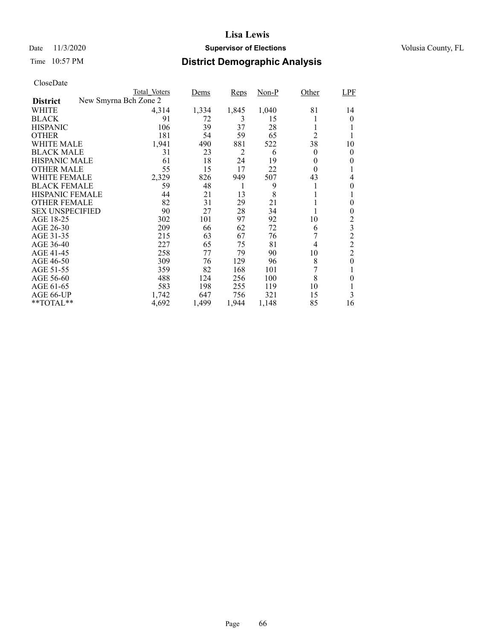### Date 11/3/2020 **Supervisor of Elections** Volusia County, FL

## Time 10:57 PM **District Demographic Analysis**

|                        | Total Voters          | Dems  | <b>Reps</b>    | $Non-P$ | Other          | LPF            |
|------------------------|-----------------------|-------|----------------|---------|----------------|----------------|
| <b>District</b>        | New Smyrna Bch Zone 2 |       |                |         |                |                |
| WHITE                  | 4,314                 | 1,334 | 1,845          | 1,040   | 81             | 14             |
| <b>BLACK</b>           | 91                    | 72    | 3              | 15      |                | 0              |
| <b>HISPANIC</b>        | 106                   | 39    | 37             | 28      | 1              |                |
| <b>OTHER</b>           | 181                   | 54    | 59             | 65      | $\overline{2}$ |                |
| WHITE MALE             | 1,941                 | 490   | 881            | 522     | 38             | 10             |
| <b>BLACK MALE</b>      | 31                    | 23    | $\overline{c}$ | 6       | 0              | $\theta$       |
| <b>HISPANIC MALE</b>   | 61                    | 18    | 24             | 19      | 0              | 0              |
| <b>OTHER MALE</b>      | 55                    | 15    | 17             | 22      | $\theta$       |                |
| WHITE FEMALE           | 2,329                 | 826   | 949            | 507     | 43             | 4              |
| <b>BLACK FEMALE</b>    | 59                    | 48    | 1              | 9       | 1              | 0              |
| <b>HISPANIC FEMALE</b> | 44                    | 21    | 13             | 8       |                |                |
| <b>OTHER FEMALE</b>    | 82                    | 31    | 29             | 21      |                | 0              |
| <b>SEX UNSPECIFIED</b> | 90                    | 27    | 28             | 34      | 1              | 0              |
| AGE 18-25              | 302                   | 101   | 97             | 92      | 10             | 2              |
| AGE 26-30              | 209                   | 66    | 62             | 72      | 6              | 3              |
| AGE 31-35              | 215                   | 63    | 67             | 76      |                | $\overline{c}$ |
| AGE 36-40              | 227                   | 65    | 75             | 81      | 4              | $\mathfrak 2$  |
| AGE 41-45              | 258                   | 77    | 79             | 90      | 10             | $\overline{2}$ |
| AGE 46-50              | 309                   | 76    | 129            | 96      | 8              | $\overline{0}$ |
| AGE 51-55              | 359                   | 82    | 168            | 101     | 7              | 1              |
| AGE 56-60              | 488                   | 124   | 256            | 100     | 8              | 0              |
| AGE 61-65              | 583                   | 198   | 255            | 119     | 10             |                |
| AGE 66-UP              | 1,742                 | 647   | 756            | 321     | 15             | 3              |
| $*$ $TOTAL**$          | 4,692                 | 1,499 | 1,944          | 1,148   | 85             | 16             |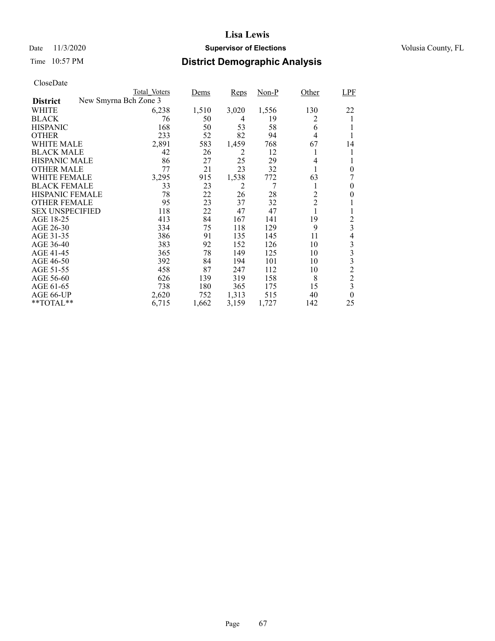### Date 11/3/2020 **Supervisor of Elections** Volusia County, FL

## Time 10:57 PM **District Demographic Analysis**

|                        | Total Voters          | Dems  | Reps           | Non-P | Other          | LPF            |
|------------------------|-----------------------|-------|----------------|-------|----------------|----------------|
| <b>District</b>        | New Smyrna Bch Zone 3 |       |                |       |                |                |
| WHITE                  | 6,238                 | 1,510 | 3,020          | 1,556 | 130            | 22             |
| <b>BLACK</b>           | 76                    | 50    | 4              | 19    | 2              |                |
| <b>HISPANIC</b>        | 168                   | 50    | 53             | 58    | 6              |                |
| <b>OTHER</b>           | 233                   | 52    | 82             | 94    | 4              |                |
| WHITE MALE             | 2,891                 | 583   | 1,459          | 768   | 67             | 14             |
| <b>BLACK MALE</b>      | 42                    | 26    | 2              | 12    | l              | 1              |
| <b>HISPANIC MALE</b>   | 86                    | 27    | 25             | 29    | 4              |                |
| <b>OTHER MALE</b>      | 77                    | 21    | 23             | 32    |                | $\theta$       |
| WHITE FEMALE           | 3,295                 | 915   | 1,538          | 772   | 63             | 7              |
| <b>BLACK FEMALE</b>    | 33                    | 23    | $\overline{2}$ | 7     | 1              | 0              |
| <b>HISPANIC FEMALE</b> | 78                    | 22    | 26             | 28    | $\overline{2}$ | 0              |
| <b>OTHER FEMALE</b>    | 95                    | 23    | 37             | 32    | $\overline{2}$ |                |
| <b>SEX UNSPECIFIED</b> | 118                   | 22    | 47             | 47    | 1              |                |
| AGE 18-25              | 413                   | 84    | 167            | 141   | 19             | 2              |
| AGE 26-30              | 334                   | 75    | 118            | 129   | 9              | 3              |
| AGE 31-35              | 386                   | 91    | 135            | 145   | 11             | 4              |
| AGE 36-40              | 383                   | 92    | 152            | 126   | 10             | 3              |
| AGE 41-45              | 365                   | 78    | 149            | 125   | 10             | 3              |
| AGE 46-50              | 392                   | 84    | 194            | 101   | 10             | 3              |
| AGE 51-55              | 458                   | 87    | 247            | 112   | 10             | $\overline{c}$ |
| AGE 56-60              | 626                   | 139   | 319            | 158   | 8              | $\overline{c}$ |
| AGE 61-65              | 738                   | 180   | 365            | 175   | 15             | 3              |
| AGE 66-UP              | 2,620                 | 752   | 1,313          | 515   | 40             | $\theta$       |
| $*$ $TOTAL**$          | 6,715                 | 1,662 | 3,159          | 1,727 | 142            | 25             |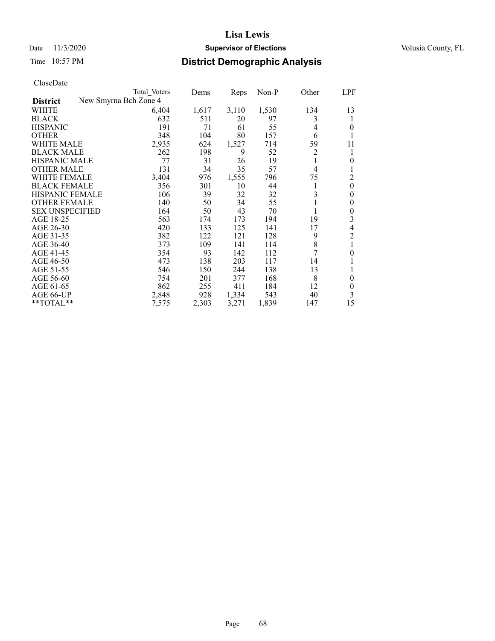### Date 11/3/2020 **Supervisor of Elections** Volusia County, FL

## Time 10:57 PM **District Demographic Analysis**

|                        |                       | Total Voters | Dems  | Reps  | $Non-P$ | Other        | LPF            |
|------------------------|-----------------------|--------------|-------|-------|---------|--------------|----------------|
| <b>District</b>        | New Smyrna Bch Zone 4 |              |       |       |         |              |                |
| WHITE                  |                       | 6,404        | 1,617 | 3,110 | 1,530   | 134          | 13             |
| <b>BLACK</b>           |                       | 632          | 511   | 20    | 97      | 3            |                |
| <b>HISPANIC</b>        |                       | 191          | 71    | 61    | 55      | 4            | $\theta$       |
| <b>OTHER</b>           |                       | 348          | 104   | 80    | 157     | 6            | 1              |
| WHITE MALE             |                       | 2,935        | 624   | 1,527 | 714     | 59           | 11             |
| <b>BLACK MALE</b>      |                       | 262          | 198   | 9     | 52      | 2            | 1              |
| <b>HISPANIC MALE</b>   |                       | 77           | 31    | 26    | 19      | 1            | 0              |
| <b>OTHER MALE</b>      |                       | 131          | 34    | 35    | 57      | 4            |                |
| WHITE FEMALE           |                       | 3,404        | 976   | 1,555 | 796     | 75           | 2              |
| <b>BLACK FEMALE</b>    |                       | 356          | 301   | 10    | 44      | 1            | $\theta$       |
| <b>HISPANIC FEMALE</b> |                       | 106          | 39    | 32    | 32      | 3            | $\theta$       |
| <b>OTHER FEMALE</b>    |                       | 140          | 50    | 34    | 55      | $\mathbf{I}$ | 0              |
| <b>SEX UNSPECIFIED</b> |                       | 164          | 50    | 43    | 70      | 1            | $\overline{0}$ |
| AGE 18-25              |                       | 563          | 174   | 173   | 194     | 19           | 3              |
| AGE 26-30              |                       | 420          | 133   | 125   | 141     | 17           | 4              |
| AGE 31-35              |                       | 382          | 122   | 121   | 128     | 9            | $\overline{2}$ |
| AGE 36-40              |                       | 373          | 109   | 141   | 114     | 8            |                |
| AGE 41-45              |                       | 354          | 93    | 142   | 112     | 7            | 0              |
| AGE 46-50              |                       | 473          | 138   | 203   | 117     | 14           |                |
| AGE 51-55              |                       | 546          | 150   | 244   | 138     | 13           |                |
| AGE 56-60              |                       | 754          | 201   | 377   | 168     | 8            | $\theta$       |
| AGE 61-65              |                       | 862          | 255   | 411   | 184     | 12           | 0              |
| AGE 66-UP              |                       | 2,848        | 928   | 1,334 | 543     | 40           | 3              |
| **TOTAL**              |                       | 7,575        | 2,303 | 3,271 | 1,839   | 147          | 15             |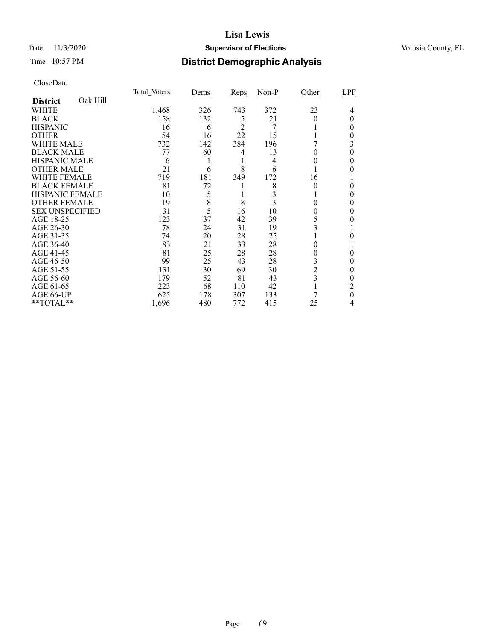### Date 11/3/2020 **Supervisor of Elections** Volusia County, FL

## Time 10:57 PM **District Demographic Analysis**

|                        |          | Total Voters | Dems | Reps           | $Non-P$ | Other          | LPF |
|------------------------|----------|--------------|------|----------------|---------|----------------|-----|
| <b>District</b>        | Oak Hill |              |      |                |         |                |     |
| WHITE                  |          | 1,468        | 326  | 743            | 372     | 23             | 4   |
| <b>BLACK</b>           |          | 158          | 132  | 5              | 21      | 0              | 0   |
| <b>HISPANIC</b>        |          | 16           | 6    | $\overline{2}$ | $\tau$  |                | 0   |
| <b>OTHER</b>           |          | 54           | 16   | 22             | 15      |                | 0   |
| WHITE MALE             |          | 732          | 142  | 384            | 196     |                | 3   |
| <b>BLACK MALE</b>      |          | 77           | 60   | 4              | 13      | 0              | 0   |
| <b>HISPANIC MALE</b>   |          | 6            |      |                | 4       | 0              | 0   |
| <b>OTHER MALE</b>      |          | 21           | 6    | 8              | 6       |                | 0   |
| WHITE FEMALE           |          | 719          | 181  | 349            | 172     | 16             |     |
| <b>BLACK FEMALE</b>    |          | 81           | 72   |                | 8       | 0              | 0   |
| <b>HISPANIC FEMALE</b> |          | 10           | 5    |                |         |                | 0   |
| <b>OTHER FEMALE</b>    |          | 19           | 8    | 8              | 3       | 0              | 0   |
| <b>SEX UNSPECIFIED</b> |          | 31           | 5    | 16             | 10      | 0              | 0   |
| AGE 18-25              |          | 123          | 37   | 42             | 39      | 5              |     |
| AGE 26-30              |          | 78           | 24   | 31             | 19      | 3              |     |
| AGE 31-35              |          | 74           | 20   | 28             | 25      |                | 0   |
| AGE 36-40              |          | 83           | 21   | 33             | 28      | 0              |     |
| AGE 41-45              |          | 81           | 25   | 28             | 28      | 0              | 0   |
| AGE 46-50              |          | 99           | 25   | 43             | 28      | 3              | 0   |
| AGE 51-55              |          | 131          | 30   | 69             | 30      | $\overline{c}$ | 0   |
| AGE 56-60              |          | 179          | 52   | 81             | 43      | 3              | 0   |
| AGE 61-65              |          | 223          | 68   | 110            | 42      |                | 2   |
| AGE 66-UP              |          | 625          | 178  | 307            | 133     |                | 0   |
| **TOTAL**              |          | 1,696        | 480  | 772            | 415     | 25             | 4   |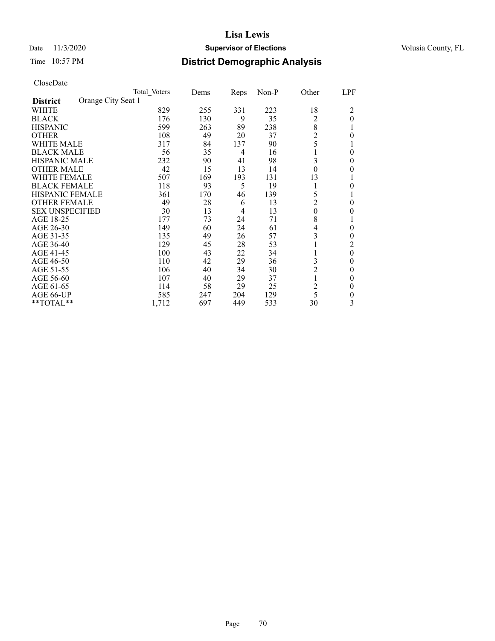### Date 11/3/2020 **Supervisor of Elections** Volusia County, FL

## Time 10:57 PM **District Demographic Analysis**

|                        |                    | Total Voters | Dems | <b>Reps</b> | $Non-P$ | Other            | LPF      |
|------------------------|--------------------|--------------|------|-------------|---------|------------------|----------|
| <b>District</b>        | Orange City Seat 1 |              |      |             |         |                  |          |
| WHITE                  |                    | 829          | 255  | 331         | 223     | 18               | 2        |
| <b>BLACK</b>           |                    | 176          | 130  | 9           | 35      | 2                | $\theta$ |
| <b>HISPANIC</b>        |                    | 599          | 263  | 89          | 238     | 8                |          |
| <b>OTHER</b>           |                    | 108          | 49   | 20          | 37      | $\overline{c}$   | $\Omega$ |
| WHITE MALE             |                    | 317          | 84   | 137         | 90      | 5                |          |
| <b>BLACK MALE</b>      |                    | 56           | 35   | 4           | 16      |                  | $\theta$ |
| <b>HISPANIC MALE</b>   |                    | 232          | 90   | 41          | 98      | 3                | 0        |
| <b>OTHER MALE</b>      |                    | 42           | 15   | 13          | 14      | $\boldsymbol{0}$ | 0        |
| WHITE FEMALE           |                    | 507          | 169  | 193         | 131     | 13               |          |
| <b>BLACK FEMALE</b>    |                    | 118          | 93   | 5           | 19      |                  | 0        |
| <b>HISPANIC FEMALE</b> |                    | 361          | 170  | 46          | 139     | 5                |          |
| <b>OTHER FEMALE</b>    |                    | 49           | 28   | 6           | 13      | $\overline{2}$   | 0        |
| <b>SEX UNSPECIFIED</b> |                    | 30           | 13   | 4           | 13      | $\theta$         | $_{0}$   |
| AGE 18-25              |                    | 177          | 73   | 24          | 71      | 8                |          |
| AGE 26-30              |                    | 149          | 60   | 24          | 61      | 4                | $\theta$ |
| AGE 31-35              |                    | 135          | 49   | 26          | 57      | 3                | 0        |
| AGE 36-40              |                    | 129          | 45   | 28          | 53      |                  | 2        |
| AGE 41-45              |                    | 100          | 43   | 22          | 34      |                  | $\theta$ |
| AGE 46-50              |                    | 110          | 42   | 29          | 36      | 3                | $\theta$ |
| AGE 51-55              |                    | 106          | 40   | 34          | 30      | $\overline{c}$   | 0        |
| AGE 56-60              |                    | 107          | 40   | 29          | 37      |                  | $\Omega$ |
| AGE 61-65              |                    | 114          | 58   | 29          | 25      | $\overline{2}$   | $\theta$ |
| AGE 66-UP              |                    | 585          | 247  | 204         | 129     | 5                | 0        |
| **TOTAL**              |                    | 1,712        | 697  | 449         | 533     | 30               | 3        |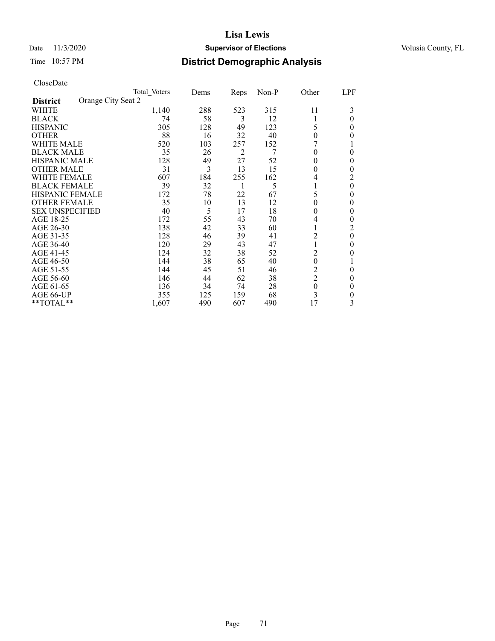### Date 11/3/2020 **Supervisor of Elections** Volusia County, FL

# Time 10:57 PM **District Demographic Analysis**

|                        |                    | Total Voters | Dems | <b>Reps</b> | $Non-P$ | Other            | LPF      |
|------------------------|--------------------|--------------|------|-------------|---------|------------------|----------|
| <b>District</b>        | Orange City Seat 2 |              |      |             |         |                  |          |
| WHITE                  |                    | 1,140        | 288  | 523         | 315     | 11               | 3        |
| <b>BLACK</b>           |                    | 74           | 58   | 3           | 12      |                  | $\Omega$ |
| <b>HISPANIC</b>        |                    | 305          | 128  | 49          | 123     | 5                | 0        |
| <b>OTHER</b>           |                    | 88           | 16   | 32          | 40      | $\theta$         | 0        |
| WHITE MALE             |                    | 520          | 103  | 257         | 152     |                  |          |
| <b>BLACK MALE</b>      |                    | 35           | 26   | 2           | 7       | 0                | $\theta$ |
| <b>HISPANIC MALE</b>   |                    | 128          | 49   | 27          | 52      | $^{(1)}$         | $\theta$ |
| <b>OTHER MALE</b>      |                    | 31           | 3    | 13          | 15      | 0                | 0        |
| WHITE FEMALE           |                    | 607          | 184  | 255         | 162     | 4                | 2        |
| <b>BLACK FEMALE</b>    |                    | 39           | 32   |             | 5       |                  | $\theta$ |
| <b>HISPANIC FEMALE</b> |                    | 172          | 78   | 22          | 67      | 5                | 0        |
| <b>OTHER FEMALE</b>    |                    | 35           | 10   | 13          | 12      | $\theta$         | $\theta$ |
| <b>SEX UNSPECIFIED</b> |                    | 40           | 5    | 17          | 18      | $^{(1)}$         | 0        |
| AGE 18-25              |                    | 172          | 55   | 43          | 70      | 4                | 0        |
| AGE 26-30              |                    | 138          | 42   | 33          | 60      |                  | 2        |
| AGE 31-35              |                    | 128          | 46   | 39          | 41      | 2                | $\theta$ |
| AGE 36-40              |                    | 120          | 29   | 43          | 47      |                  | 0        |
| AGE 41-45              |                    | 124          | 32   | 38          | 52      | $\overline{c}$   | 0        |
| AGE 46-50              |                    | 144          | 38   | 65          | 40      | $\boldsymbol{0}$ |          |
| AGE 51-55              |                    | 144          | 45   | 51          | 46      | $\overline{c}$   | 0        |
| AGE 56-60              |                    | 146          | 44   | 62          | 38      | $\overline{2}$   | 0        |
| AGE 61-65              |                    | 136          | 34   | 74          | 28      | $\boldsymbol{0}$ | $\theta$ |
| AGE 66-UP              |                    | 355          | 125  | 159         | 68      | 3                | 0        |
| **TOTAL**              |                    | 1,607        | 490  | 607         | 490     | 17               | 3        |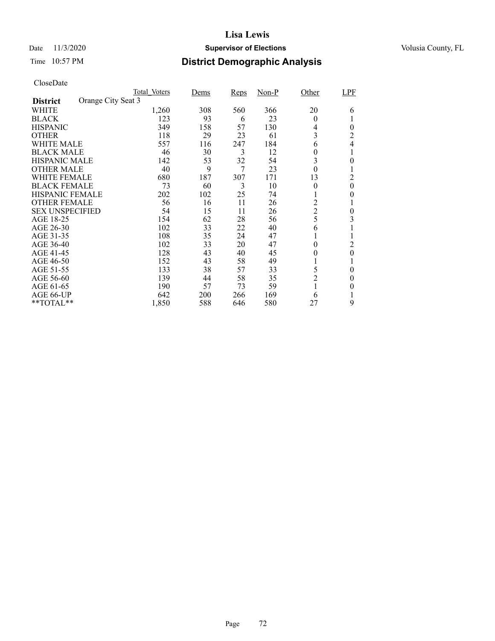### Date 11/3/2020 **Supervisor of Elections** Volusia County, FL

## Time 10:57 PM **District Demographic Analysis**

|                                       | Total Voters | Dems | <b>Reps</b> | $Non-P$ | Other            | LPF      |
|---------------------------------------|--------------|------|-------------|---------|------------------|----------|
| Orange City Seat 3<br><b>District</b> |              |      |             |         |                  |          |
| WHITE                                 | 1,260        | 308  | 560         | 366     | 20               | 6        |
| <b>BLACK</b>                          | 123          | 93   | 6           | 23      | $\theta$         |          |
| <b>HISPANIC</b>                       | 349          | 158  | 57          | 130     | 4                | $\theta$ |
| <b>OTHER</b>                          | 118          | 29   | 23          | 61      | 3                | 2        |
| WHITE MALE                            | 557          | 116  | 247         | 184     | 6                | 4        |
| <b>BLACK MALE</b>                     | 46           | 30   | 3           | 12      | 0                |          |
| <b>HISPANIC MALE</b>                  | 142          | 53   | 32          | 54      | 3                | 0        |
| <b>OTHER MALE</b>                     | 40           | 9    | 7           | 23      | $\boldsymbol{0}$ |          |
| WHITE FEMALE                          | 680          | 187  | 307         | 171     | 13               | 2        |
| <b>BLACK FEMALE</b>                   | 73           | 60   | 3           | 10      | $\theta$         | $\theta$ |
| <b>HISPANIC FEMALE</b>                | 202          | 102  | 25          | 74      |                  | 0        |
| <b>OTHER FEMALE</b>                   | 56           | 16   | 11          | 26      | 2                |          |
| <b>SEX UNSPECIFIED</b>                | 54           | 15   | 11          | 26      | $\overline{2}$   | 0        |
| AGE 18-25                             | 154          | 62   | 28          | 56      | 5                | 3        |
| AGE 26-30                             | 102          | 33   | 22          | 40      | 6                |          |
| AGE 31-35                             | 108          | 35   | 24          | 47      |                  |          |
| AGE 36-40                             | 102          | 33   | 20          | 47      | $\theta$         | 2        |
| AGE 41-45                             | 128          | 43   | 40          | 45      | $\theta$         | $\theta$ |
| AGE 46-50                             | 152          | 43   | 58          | 49      |                  |          |
| AGE 51-55                             | 133          | 38   | 57          | 33      | 5                | 0        |
| AGE 56-60                             | 139          | 44   | 58          | 35      | $\overline{c}$   | 0        |
| AGE 61-65                             | 190          | 57   | 73          | 59      | 1                | 0        |
| AGE 66-UP                             | 642          | 200  | 266         | 169     | 6                |          |
| **TOTAL**                             | 1,850        | 588  | 646         | 580     | 27               | 9        |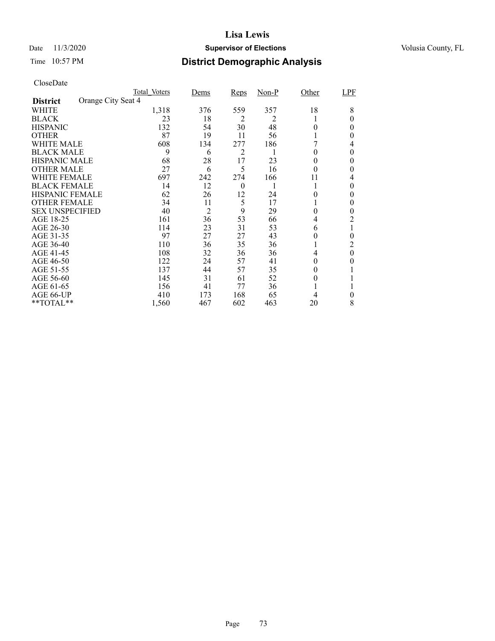### Date 11/3/2020 **Supervisor of Elections** Volusia County, FL

# Time 10:57 PM **District Demographic Analysis**

|                        |                    | Total Voters | Dems           | <b>Reps</b> | $Non-P$ | Other    | LPF      |
|------------------------|--------------------|--------------|----------------|-------------|---------|----------|----------|
| <b>District</b>        | Orange City Seat 4 |              |                |             |         |          |          |
| WHITE                  |                    | 1,318        | 376            | 559         | 357     | 18       | 8        |
| <b>BLACK</b>           |                    | 23           | 18             | 2           | 2       |          | 0        |
| <b>HISPANIC</b>        |                    | 132          | 54             | 30          | 48      | 0        | 0        |
| <b>OTHER</b>           |                    | 87           | 19             | 11          | 56      |          | 0        |
| WHITE MALE             |                    | 608          | 134            | 277         | 186     |          | 4        |
| <b>BLACK MALE</b>      |                    | 9            | 6              | 2           | 1       | 0        | 0        |
| <b>HISPANIC MALE</b>   |                    | 68           | 28             | 17          | 23      | 0        | $\theta$ |
| <b>OTHER MALE</b>      |                    | 27           | 6              | 5           | 16      | $\theta$ | 0        |
| <b>WHITE FEMALE</b>    |                    | 697          | 242            | 274         | 166     | 11       | 4        |
| <b>BLACK FEMALE</b>    |                    | 14           | 12             | $\theta$    |         |          | 0        |
| <b>HISPANIC FEMALE</b> |                    | 62           | 26             | 12          | 24      | 0        | 0        |
| <b>OTHER FEMALE</b>    |                    | 34           | 11             | 5           | 17      |          | 0        |
| <b>SEX UNSPECIFIED</b> |                    | 40           | $\overline{2}$ | 9           | 29      | 0        | 0        |
| AGE 18-25              |                    | 161          | 36             | 53          | 66      | 4        | 2        |
| AGE 26-30              |                    | 114          | 23             | 31          | 53      | 6        | 1        |
| AGE 31-35              |                    | 97           | 27             | 27          | 43      | 0        | 0        |
| AGE 36-40              |                    | 110          | 36             | 35          | 36      |          | 2        |
| AGE 41-45              |                    | 108          | 32             | 36          | 36      | 4        | $\theta$ |
| AGE 46-50              |                    | 122          | 24             | 57          | 41      | $\theta$ | 0        |
| AGE 51-55              |                    | 137          | 44             | 57          | 35      | $^{(1)}$ |          |
| AGE 56-60              |                    | 145          | 31             | 61          | 52      | 0        |          |
| AGE 61-65              |                    | 156          | 41             | 77          | 36      |          |          |
| AGE 66-UP              |                    | 410          | 173            | 168         | 65      |          | 0        |
| **TOTAL**              |                    | 1,560        | 467            | 602         | 463     | 20       | 8        |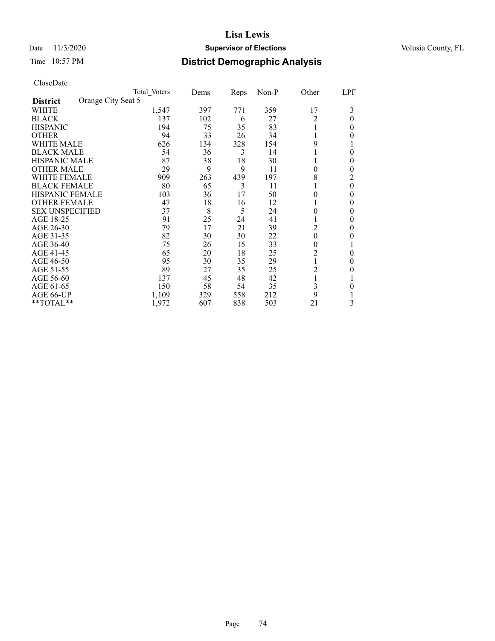### Date 11/3/2020 **Supervisor of Elections** Volusia County, FL

## Time 10:57 PM **District Demographic Analysis**

|                        |                    | Total Voters | Dems | <b>Reps</b> | $Non-P$ | Other          | LPF      |
|------------------------|--------------------|--------------|------|-------------|---------|----------------|----------|
| <b>District</b>        | Orange City Seat 5 |              |      |             |         |                |          |
| WHITE                  |                    | 1,547        | 397  | 771         | 359     | 17             | 3        |
| <b>BLACK</b>           |                    | 137          | 102  | 6           | 27      | $\overline{c}$ | 0        |
| <b>HISPANIC</b>        |                    | 194          | 75   | 35          | 83      |                | $_{0}$   |
| <b>OTHER</b>           |                    | 94           | 33   | 26          | 34      |                | 0        |
| WHITE MALE             |                    | 626          | 134  | 328         | 154     | 9              |          |
| <b>BLACK MALE</b>      |                    | 54           | 36   | 3           | 14      |                | 0        |
| <b>HISPANIC MALE</b>   |                    | 87           | 38   | 18          | 30      |                | 0        |
| <b>OTHER MALE</b>      |                    | 29           | 9    | 9           | 11      | 0              | 0        |
| WHITE FEMALE           |                    | 909          | 263  | 439         | 197     | 8              | 2        |
| <b>BLACK FEMALE</b>    |                    | 80           | 65   | 3           | 11      |                | $\theta$ |
| <b>HISPANIC FEMALE</b> |                    | 103          | 36   | 17          | 50      | 0              | 0        |
| <b>OTHER FEMALE</b>    |                    | 47           | 18   | 16          | 12      |                | 0        |
| <b>SEX UNSPECIFIED</b> |                    | 37           | 8    | 5           | 24      | 0              | $_{0}$   |
| AGE 18-25              |                    | 91           | 25   | 24          | 41      |                | $_{0}$   |
| AGE 26-30              |                    | 79           | 17   | 21          | 39      | 2              | 0        |
| AGE 31-35              |                    | 82           | 30   | 30          | 22      | 0              | 0        |
| AGE 36-40              |                    | 75           | 26   | 15          | 33      | 0              | 1        |
| AGE 41-45              |                    | 65           | 20   | 18          | 25      | $\overline{c}$ | 0        |
| AGE 46-50              |                    | 95           | 30   | 35          | 29      |                | $\theta$ |
| AGE 51-55              |                    | 89           | 27   | 35          | 25      | $\overline{c}$ | $_{0}$   |
| AGE 56-60              |                    | 137          | 45   | 48          | 42      |                |          |
| AGE 61-65              |                    | 150          | 58   | 54          | 35      | 3              | 0        |
| AGE 66-UP              |                    | 1,109        | 329  | 558         | 212     | 9              |          |
| **TOTAL**              |                    | 1,972        | 607  | 838         | 503     | 21             | 3        |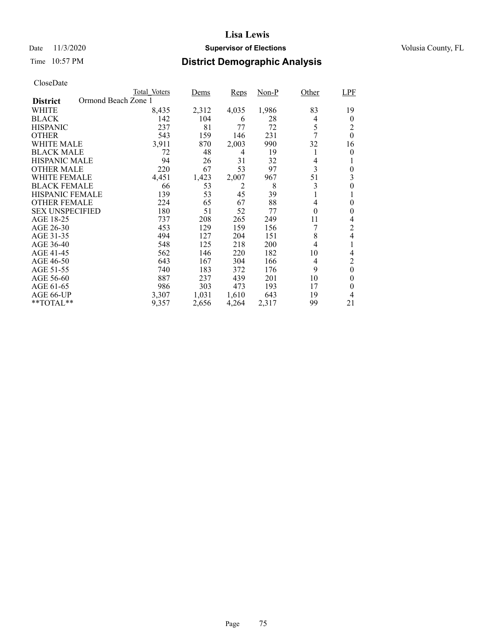## Date 11/3/2020 **Supervisor of Elections** Volusia County, FL

## Time 10:57 PM **District Demographic Analysis**

|                        | Total Voters        | Dems  | Reps  | Non-P | Other            | <b>LPF</b>     |
|------------------------|---------------------|-------|-------|-------|------------------|----------------|
| <b>District</b>        | Ormond Beach Zone 1 |       |       |       |                  |                |
| WHITE                  | 8,435               | 2,312 | 4,035 | 1,986 | 83               | 19             |
| <b>BLACK</b>           | 142                 | 104   | 6     | 28    | 4                | $\theta$       |
| <b>HISPANIC</b>        | 237                 | 81    | 77    | 72    | 5                | 2              |
| <b>OTHER</b>           | 543                 | 159   | 146   | 231   | 7                | $\theta$       |
| WHITE MALE             | 3,911               | 870   | 2,003 | 990   | 32               | 16             |
| <b>BLACK MALE</b>      | 72                  | 48    | 4     | 19    | 1                | $\theta$       |
| <b>HISPANIC MALE</b>   | 94                  | 26    | 31    | 32    | 4                |                |
| <b>OTHER MALE</b>      | 220                 | 67    | 53    | 97    | 3                | 0              |
| WHITE FEMALE           | 4,451               | 1,423 | 2,007 | 967   | 51               | 3              |
| <b>BLACK FEMALE</b>    | 66                  | 53    | 2     | 8     | 3                | $\theta$       |
| <b>HISPANIC FEMALE</b> | 139                 | 53    | 45    | 39    | 1                |                |
| <b>OTHER FEMALE</b>    | 224                 | 65    | 67    | 88    | 4                | 0              |
| <b>SEX UNSPECIFIED</b> | 180                 | 51    | 52    | 77    | $\boldsymbol{0}$ | 0              |
| AGE 18-25              | 737                 | 208   | 265   | 249   | 11               | 4              |
| AGE 26-30              | 453                 | 129   | 159   | 156   |                  | 2              |
| AGE 31-35              | 494                 | 127   | 204   | 151   | 8                | 4              |
| AGE 36-40              | 548                 | 125   | 218   | 200   | 4                |                |
| AGE 41-45              | 562                 | 146   | 220   | 182   | 10               | 4              |
| AGE 46-50              | 643                 | 167   | 304   | 166   | 4                | 2              |
| AGE 51-55              | 740                 | 183   | 372   | 176   | 9                | $\overline{0}$ |
| AGE 56-60              | 887                 | 237   | 439   | 201   | 10               | $\theta$       |
| AGE 61-65              | 986                 | 303   | 473   | 193   | 17               | 0              |
| AGE 66-UP              | 3,307               | 1,031 | 1,610 | 643   | 19               | 4              |
| $*$ $TOTAL**$          | 9,357               | 2,656 | 4,264 | 2,317 | 99               | 21             |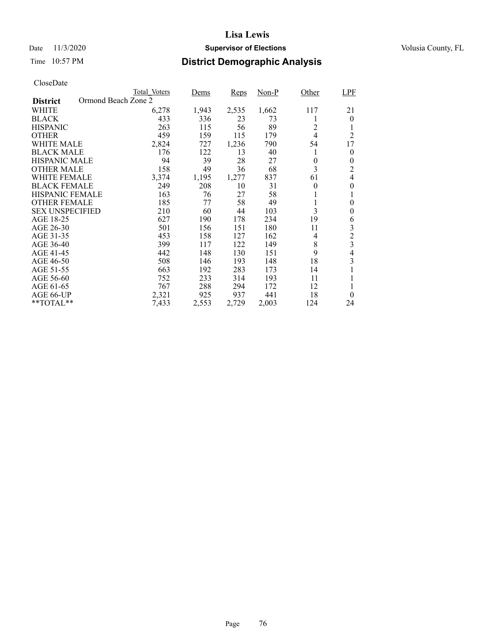## Time 10:57 PM **District Demographic Analysis**

|                        | Total Voters        | Dems  | Reps  | Non-P | Other          | LPF              |
|------------------------|---------------------|-------|-------|-------|----------------|------------------|
| <b>District</b>        | Ormond Beach Zone 2 |       |       |       |                |                  |
| WHITE                  | 6,278               | 1,943 | 2,535 | 1,662 | 117            | 21               |
| <b>BLACK</b>           | 433                 | 336   | 23    | 73    |                | $\theta$         |
| <b>HISPANIC</b>        | 263                 | 115   | 56    | 89    | $\overline{2}$ |                  |
| <b>OTHER</b>           | 459                 | 159   | 115   | 179   | $\overline{4}$ | $\overline{c}$   |
| WHITE MALE             | 2,824               | 727   | 1,236 | 790   | 54             | 17               |
| <b>BLACK MALE</b>      | 176                 | 122   | 13    | 40    | 1              | $\theta$         |
| <b>HISPANIC MALE</b>   | 94                  | 39    | 28    | 27    | 0              | 0                |
| <b>OTHER MALE</b>      | 158                 | 49    | 36    | 68    | 3              | 2                |
| WHITE FEMALE           | 3,374               | 1,195 | 1,277 | 837   | 61             | 4                |
| <b>BLACK FEMALE</b>    | 249                 | 208   | 10    | 31    | $\theta$       | $\overline{0}$   |
| <b>HISPANIC FEMALE</b> | 163                 | 76    | 27    | 58    |                | 1                |
| <b>OTHER FEMALE</b>    | 185                 | 77    | 58    | 49    | 1              | $\boldsymbol{0}$ |
| <b>SEX UNSPECIFIED</b> | 210                 | 60    | 44    | 103   | 3              | $\overline{0}$   |
| AGE 18-25              | 627                 | 190   | 178   | 234   | 19             | 6                |
| AGE 26-30              | 501                 | 156   | 151   | 180   | 11             | 3                |
| AGE 31-35              | 453                 | 158   | 127   | 162   | 4              | $\overline{c}$   |
| AGE 36-40              | 399                 | 117   | 122   | 149   | 8              | 3                |
| AGE 41-45              | 442                 | 148   | 130   | 151   | 9              | 4                |
| AGE 46-50              | 508                 | 146   | 193   | 148   | 18             | 3                |
| AGE 51-55              | 663                 | 192   | 283   | 173   | 14             |                  |
| AGE 56-60              | 752                 | 233   | 314   | 193   | 11             |                  |
| AGE 61-65              | 767                 | 288   | 294   | 172   | 12             | 1                |
| AGE 66-UP              | 2,321               | 925   | 937   | 441   | 18             | $\theta$         |
| **TOTAL**              | 7,433               | 2,553 | 2,729 | 2,003 | 124            | 24               |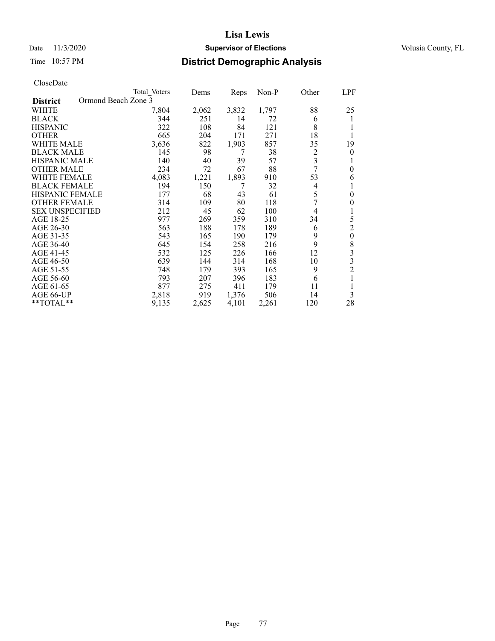## Date 11/3/2020 **Supervisor of Elections** Volusia County, FL

## Time 10:57 PM **District Demographic Analysis**

|                        | Total Voters        | Dems  | Reps  | Non-P | Other | <b>LPF</b>       |
|------------------------|---------------------|-------|-------|-------|-------|------------------|
| <b>District</b>        | Ormond Beach Zone 3 |       |       |       |       |                  |
| WHITE                  | 7,804               | 2,062 | 3,832 | 1,797 | 88    | 25               |
| <b>BLACK</b>           | 344                 | 251   | 14    | 72    | 6     | l                |
| <b>HISPANIC</b>        | 322                 | 108   | 84    | 121   | 8     |                  |
| <b>OTHER</b>           | 665                 | 204   | 171   | 271   | 18    |                  |
| WHITE MALE             | 3,636               | 822   | 1,903 | 857   | 35    | 19               |
| <b>BLACK MALE</b>      | 145                 | 98    | 7     | 38    | 2     | $\theta$         |
| <b>HISPANIC MALE</b>   | 140                 | 40    | 39    | 57    | 3     |                  |
| <b>OTHER MALE</b>      | 234                 | 72    | 67    | 88    | 7     | 0                |
| WHITE FEMALE           | 4,083               | 1,221 | 1,893 | 910   | 53    | 6                |
| <b>BLACK FEMALE</b>    | 194                 | 150   | 7     | 32    | 4     |                  |
| <b>HISPANIC FEMALE</b> | 177                 | 68    | 43    | 61    | 5     | $\theta$         |
| <b>OTHER FEMALE</b>    | 314                 | 109   | 80    | 118   | 7     | $\theta$         |
| <b>SEX UNSPECIFIED</b> | 212                 | 45    | 62    | 100   | 4     | 1                |
| AGE 18-25              | 977                 | 269   | 359   | 310   | 34    | 5                |
| AGE 26-30              | 563                 | 188   | 178   | 189   | 6     | $\overline{c}$   |
| AGE 31-35              | 543                 | 165   | 190   | 179   | 9     | $\boldsymbol{0}$ |
| AGE 36-40              | 645                 | 154   | 258   | 216   | 9     | 8                |
| AGE 41-45              | 532                 | 125   | 226   | 166   | 12    | 3                |
| AGE 46-50              | 639                 | 144   | 314   | 168   | 10    | 3                |
| AGE 51-55              | 748                 | 179   | 393   | 165   | 9     | $\overline{c}$   |
| AGE 56-60              | 793                 | 207   | 396   | 183   | 6     |                  |
| AGE 61-65              | 877                 | 275   | 411   | 179   | 11    |                  |
| AGE 66-UP              | 2,818               | 919   | 1,376 | 506   | 14    | 3                |
| $*$ TOTAL $*$          | 9,135               | 2,625 | 4,101 | 2,261 | 120   | 28               |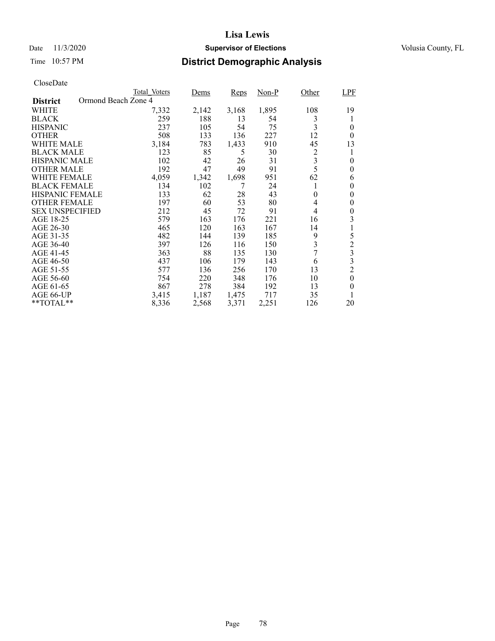### Date 11/3/2020 **Supervisor of Elections** Volusia County, FL

## Time 10:57 PM **District Demographic Analysis**

|                        |                     | <b>Total Voters</b> | Dems  | Reps  | Non-P | Other    | <b>LPF</b>       |
|------------------------|---------------------|---------------------|-------|-------|-------|----------|------------------|
| <b>District</b>        | Ormond Beach Zone 4 |                     |       |       |       |          |                  |
| WHITE                  |                     | 7,332               | 2,142 | 3,168 | 1,895 | 108      | 19               |
| <b>BLACK</b>           |                     | 259                 | 188   | 13    | 54    | 3        |                  |
| <b>HISPANIC</b>        |                     | 237                 | 105   | 54    | 75    | 3        | $\theta$         |
| <b>OTHER</b>           |                     | 508                 | 133   | 136   | 227   | 12       | $\theta$         |
| WHITE MALE             |                     | 3,184               | 783   | 1,433 | 910   | 45       | 13               |
| <b>BLACK MALE</b>      |                     | 123                 | 85    | 5     | 30    | 2        | 1                |
| <b>HISPANIC MALE</b>   |                     | 102                 | 42    | 26    | 31    | 3        | $\theta$         |
| <b>OTHER MALE</b>      |                     | 192                 | 47    | 49    | 91    | 5        | $\overline{0}$   |
| <b>WHITE FEMALE</b>    |                     | 4,059               | 1,342 | 1,698 | 951   | 62       | 6                |
| <b>BLACK FEMALE</b>    |                     | 134                 | 102   | 7     | 24    | 1        | $\theta$         |
| <b>HISPANIC FEMALE</b> |                     | 133                 | 62    | 28    | 43    | $\theta$ | $\theta$         |
| <b>OTHER FEMALE</b>    |                     | 197                 | 60    | 53    | 80    | 4        | $\theta$         |
| <b>SEX UNSPECIFIED</b> |                     | 212                 | 45    | 72    | 91    | 4        | $\overline{0}$   |
| AGE 18-25              |                     | 579                 | 163   | 176   | 221   | 16       | 3                |
| AGE 26-30              |                     | 465                 | 120   | 163   | 167   | 14       |                  |
| AGE 31-35              |                     | 482                 | 144   | 139   | 185   | 9        | 5                |
| AGE 36-40              |                     | 397                 | 126   | 116   | 150   | 3        | $\frac{2}{3}$    |
| AGE 41-45              |                     | 363                 | 88    | 135   | 130   | 7        |                  |
| AGE 46-50              |                     | 437                 | 106   | 179   | 143   | 6        | 3                |
| AGE 51-55              |                     | 577                 | 136   | 256   | 170   | 13       | $\overline{c}$   |
| AGE 56-60              |                     | 754                 | 220   | 348   | 176   | 10       | $\boldsymbol{0}$ |
| AGE 61-65              |                     | 867                 | 278   | 384   | 192   | 13       | $\theta$         |
| AGE 66-UP              |                     | 3,415               | 1,187 | 1,475 | 717   | 35       |                  |
| **TOTAL**              |                     | 8,336               | 2,568 | 3,371 | 2,251 | 126      | 20               |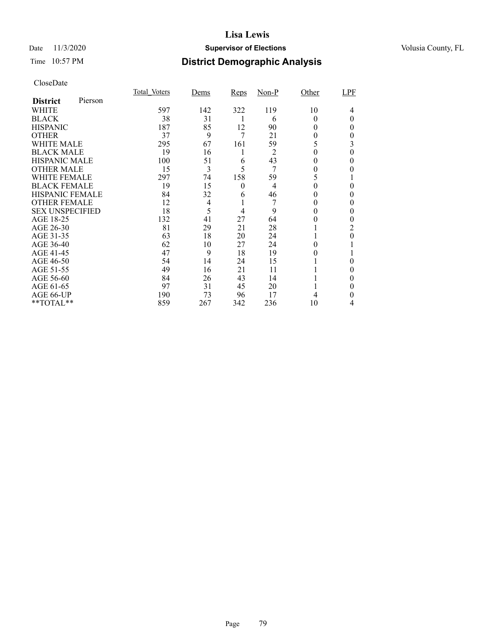### Date 11/3/2020 **Supervisor of Elections** Volusia County, FL

## Time 10:57 PM **District Demographic Analysis**

|                        |         | Total Voters | Dems | Reps     | $Non-P$        | Other | LPF |
|------------------------|---------|--------------|------|----------|----------------|-------|-----|
| <b>District</b>        | Pierson |              |      |          |                |       |     |
| WHITE                  |         | 597          | 142  | 322      | 119            | 10    | 4   |
| <b>BLACK</b>           |         | 38           | 31   | 1        | 6              | 0     | 0   |
| <b>HISPANIC</b>        |         | 187          | 85   | 12       | 90             | 0     | 0   |
| <b>OTHER</b>           |         | 37           | 9    | 7        | 21             | 0     | 0   |
| WHITE MALE             |         | 295          | 67   | 161      | 59             | 5     | 3   |
| <b>BLACK MALE</b>      |         | 19           | 16   | 1        | $\overline{2}$ | 0     | 0   |
| <b>HISPANIC MALE</b>   |         | 100          | 51   | 6        | 43             | 0     | 0   |
| <b>OTHER MALE</b>      |         | 15           | 3    | 5        | 7              | 0     | 0   |
| WHITE FEMALE           |         | 297          | 74   | 158      | 59             | 5     |     |
| <b>BLACK FEMALE</b>    |         | 19           | 15   | $\theta$ | $\overline{4}$ | 0     | 0   |
| <b>HISPANIC FEMALE</b> |         | 84           | 32   | 6        | 46             |       | 0   |
| <b>OTHER FEMALE</b>    |         | 12           | 4    |          |                | 0     | 0   |
| <b>SEX UNSPECIFIED</b> |         | 18           | 5    | 4        | 9              | 0     | 0   |
| AGE 18-25              |         | 132          | 41   | 27       | 64             | 0     |     |
| AGE 26-30              |         | 81           | 29   | 21       | 28             |       | 2   |
| AGE 31-35              |         | 63           | 18   | 20       | 24             |       | 0   |
| AGE 36-40              |         | 62           | 10   | 27       | 24             |       |     |
| AGE 41-45              |         | 47           | 9    | 18       | 19             |       |     |
| AGE 46-50              |         | 54           | 14   | 24       | 15             |       | 0   |
| AGE 51-55              |         | 49           | 16   | 21       | 11             |       | 0   |
| AGE 56-60              |         | 84           | 26   | 43       | 14             |       | 0   |
| AGE 61-65              |         | 97           | 31   | 45       | 20             |       | 0   |
| AGE 66-UP              |         | 190          | 73   | 96       | 17             |       | 0   |
| **TOTAL**              |         | 859          | 267  | 342      | 236            | 10    | 4   |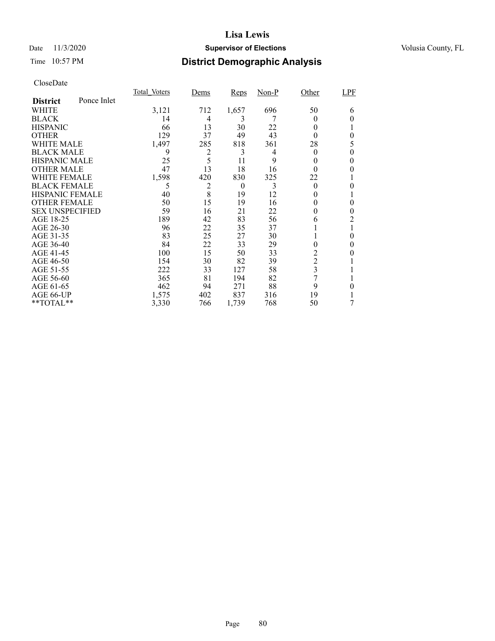### Date 11/3/2020 **Supervisor of Elections** Volusia County, FL

# Time 10:57 PM **District Demographic Analysis**

|                        |             | Total Voters | Dems           | <b>Reps</b> | Non-P | Other         | <b>LPF</b> |
|------------------------|-------------|--------------|----------------|-------------|-------|---------------|------------|
| <b>District</b>        | Ponce Inlet |              |                |             |       |               |            |
| WHITE                  |             | 3,121        | 712            | 1,657       | 696   | 50            | 6          |
| <b>BLACK</b>           |             | 14           | 4              | 3           |       | $_{0}$        | 0          |
| <b>HISPANIC</b>        |             | 66           | 13             | 30          | 22    | $_{0}$        |            |
| <b>OTHER</b>           |             | 129          | 37             | 49          | 43    | 0             | 0          |
| WHITE MALE             |             | 1,497        | 285            | 818         | 361   | 28            | 5          |
| <b>BLACK MALE</b>      |             | 9            | $\overline{c}$ | 3           | 4     | $_{0}$        | 0          |
| <b>HISPANIC MALE</b>   |             | 25           | 5              | 11          | 9     | 0             |            |
| <b>OTHER MALE</b>      |             | 47           | 13             | 18          | 16    | 0             | 0          |
| <b>WHITE FEMALE</b>    |             | 1,598        | 420            | 830         | 325   | 22            |            |
| <b>BLACK FEMALE</b>    |             | 5            | 2              | $\theta$    | 3     | $\theta$      | 0          |
| <b>HISPANIC FEMALE</b> |             | 40           | 8              | 19          | 12    | 0             |            |
| <b>OTHER FEMALE</b>    |             | 50           | 15             | 19          | 16    | $\theta$      | 0          |
| <b>SEX UNSPECIFIED</b> |             | 59           | 16             | 21          | 22    | 0             | 0          |
| AGE 18-25              |             | 189          | 42             | 83          | 56    | 6             | 2          |
| AGE 26-30              |             | 96           | 22             | 35          | 37    |               | 1          |
| AGE 31-35              |             | 83           | 25             | 27          | 30    |               | 0          |
| AGE 36-40              |             | 84           | 22             | 33          | 29    | 0             | 0          |
| AGE 41-45              |             | 100          | 15             | 50          | 33    | 2             |            |
| AGE 46-50              |             | 154          | 30             | 82          | 39    | $\mathfrak 2$ |            |
| AGE 51-55              |             | 222          | 33             | 127         | 58    | 3             |            |
| AGE 56-60              |             | 365          | 81             | 194         | 82    | 7             |            |
| AGE 61-65              |             | 462          | 94             | 271         | 88    | 9             | 0          |
| AGE 66-UP              |             | 1,575        | 402            | 837         | 316   | 19            |            |
| **TOTAL**              |             | 3,330        | 766            | 1,739       | 768   | 50            | 7          |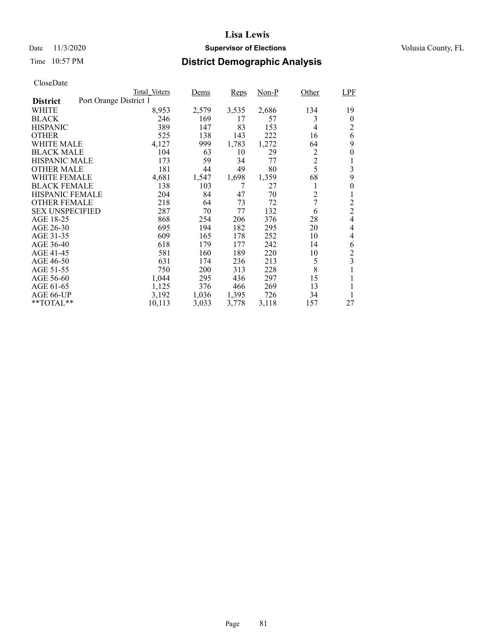### Date 11/3/2020 **Supervisor of Elections** Volusia County, FL

## Time 10:57 PM **District Demographic Analysis**

|                        | Total Voters           | Dems       | Reps  | $Non-P$ | Other          | <b>LPF</b>       |
|------------------------|------------------------|------------|-------|---------|----------------|------------------|
| <b>District</b>        | Port Orange District 1 |            |       |         |                |                  |
| WHITE                  | 8,953                  | 2,579      | 3,535 | 2,686   | 134            | 19               |
| <b>BLACK</b>           | 246                    | 169        | 17    | 57      | 3              | $\theta$         |
| <b>HISPANIC</b>        | 389                    | 147        | 83    | 153     | $\overline{4}$ | $\overline{2}$   |
| <b>OTHER</b>           | 525                    | 138        | 143   | 222     | 16             | 6                |
| WHITE MALE             | 4,127                  | 999        | 1,783 | 1,272   | 64             | 9                |
| <b>BLACK MALE</b>      | 104                    | 63         | 10    | 29      | 2              | $\boldsymbol{0}$ |
| <b>HISPANIC MALE</b>   | 173                    | 59         | 34    | 77      | $\overline{c}$ | 1                |
| <b>OTHER MALE</b>      | 181                    | 44         | 49    | 80      | 5              | 3                |
| WHITE FEMALE           | 4,681                  | 1,547      | 1,698 | 1,359   | 68             | 9                |
| <b>BLACK FEMALE</b>    | 138                    | 103        | 7     | 27      | 1              | 0                |
| <b>HISPANIC FEMALE</b> | 204                    | 84         | 47    | 70      | $\overline{c}$ | 1                |
| <b>OTHER FEMALE</b>    | 218                    | 64         | 73    | 72      | 7              | $\overline{c}$   |
| <b>SEX UNSPECIFIED</b> | 287                    | 70         | 77    | 132     | 6              | $\overline{2}$   |
| AGE 18-25              | 868                    | 254        | 206   | 376     | 28             | $\overline{4}$   |
| AGE 26-30              | 695                    | 194        | 182   | 295     | 20             | 4                |
| AGE 31-35              | 609                    | 165        | 178   | 252     | 10             | 4                |
| AGE 36-40              | 618                    | 179        | 177   | 242     | 14             | 6                |
| AGE 41-45              | 581                    | 160        | 189   | 220     | 10             | $\overline{c}$   |
| AGE 46-50              | 631                    | 174        | 236   | 213     | 5              | 3                |
| AGE 51-55              | 750                    | <b>200</b> | 313   | 228     | 8              |                  |
| AGE 56-60              | 1,044                  | 295        | 436   | 297     | 15             |                  |
| AGE 61-65              | 1,125                  | 376        | 466   | 269     | 13             | 1                |
| AGE 66-UP              | 3,192                  | 1,036      | 1,395 | 726     | 34             |                  |
| **TOTAL**              | 10,113                 | 3,033      | 3,778 | 3,118   | 157            | 27               |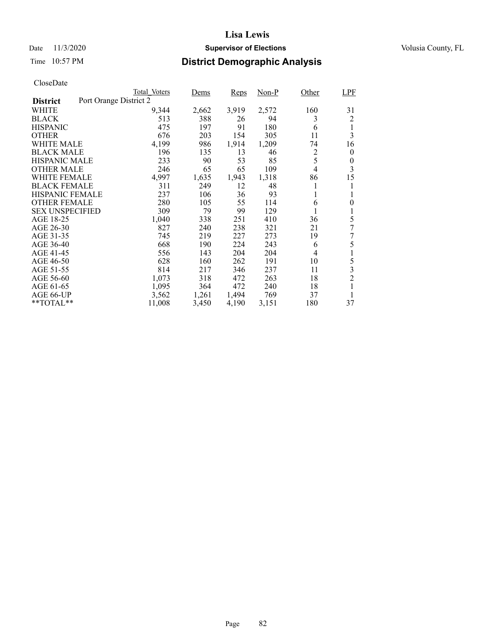### Date 11/3/2020 **Supervisor of Elections** Volusia County, FL

## Time 10:57 PM **District Demographic Analysis**

| Total Voters | Dems                                        | Reps         | Non-P               | Other          | LPF              |
|--------------|---------------------------------------------|--------------|---------------------|----------------|------------------|
|              |                                             |              |                     |                |                  |
| 9,344        | 2,662                                       | 3,919        | 2,572               | 160            | 31               |
| 513          | 388                                         | 26           | 94                  | 3              | 2                |
| 475          | 197                                         | 91           | 180                 | 6              | 1                |
| 676          | 203                                         | 154          | 305                 | 11             | 3                |
| 4,199        | 986                                         | 1,914        | 1,209               | 74             | 16               |
| 196          | 135                                         | 13           | 46                  | 2              | $\boldsymbol{0}$ |
| 233          | 90                                          | 53           | 85                  |                | $\boldsymbol{0}$ |
| 246          | 65                                          | 65           | 109                 | $\overline{4}$ | 3                |
| 4,997        | 1,635                                       | 1,943        | 1,318               | 86             | 15               |
| 311          | 249                                         | 12           | 48                  | 1              | 1                |
|              | 106                                         | 36           | 93                  | 1              | 1                |
| 280          | 105                                         | 55           | 114                 | 6              | $\overline{0}$   |
| 309          | 79                                          | 99           | 129                 |                |                  |
| 1,040        | 338                                         | 251          | 410                 | 36             | 5                |
| 827          | 240                                         | 238          | 321                 | 21             | 7                |
| 745          | 219                                         | 227          |                     | 19             | 7                |
|              | 190                                         |              | 243                 | 6              | 5                |
| 556          | 143                                         | 204          | 204                 | 4              | 1                |
| 628          | 160                                         | 262          | 191                 | 10             | 5                |
|              |                                             |              |                     |                | 3                |
| 1,073        | 318                                         | 472          | 263                 | 18             | $\overline{c}$   |
| 1,095        | 364                                         | 472          | 240                 | 18             | 1                |
| 3,562        |                                             |              | 769                 | 37             |                  |
| 11,008       | 3,450                                       | 4,190        | 3,151               | 180            | 37               |
|              | Port Orange District 2<br>237<br>668<br>814 | 217<br>1,261 | 224<br>346<br>1,494 | 273<br>237     | 5<br>11          |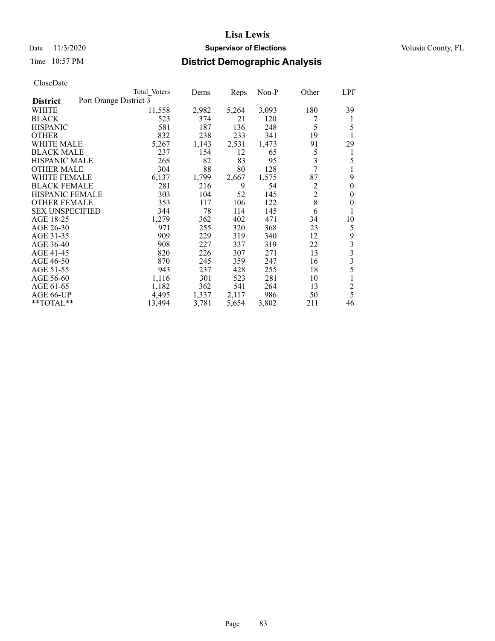### Date 11/3/2020 **Supervisor of Elections** Volusia County, FL

## Time 10:57 PM **District Demographic Analysis**

|                        | Total Voters           | Dems  | Reps  | $Non-P$ | Other          | LPF              |
|------------------------|------------------------|-------|-------|---------|----------------|------------------|
| <b>District</b>        | Port Orange District 3 |       |       |         |                |                  |
| WHITE                  | 11,558                 | 2,982 | 5,264 | 3,093   | 180            | 39               |
| <b>BLACK</b>           | 523                    | 374   | 21    | 120     |                | 1                |
| <b>HISPANIC</b>        | 581                    | 187   | 136   | 248     | 5              | 5                |
| <b>OTHER</b>           | 832                    | 238   | 233   | 341     | 19             | 1                |
| WHITE MALE             | 5,267                  | 1,143 | 2,531 | 1,473   | 91             | 29               |
| <b>BLACK MALE</b>      | 237                    | 154   | 12    | 65      | 5              | 1                |
| <b>HISPANIC MALE</b>   | 268                    | 82    | 83    | 95      | 3              | 5                |
| <b>OTHER MALE</b>      | 304                    | 88    | 80    | 128     | 7              |                  |
| WHITE FEMALE           | 6,137                  | 1,799 | 2,667 | 1,575   | 87             | 9                |
| <b>BLACK FEMALE</b>    | 281                    | 216   | 9     | 54      | $\overline{c}$ | $\overline{0}$   |
| <b>HISPANIC FEMALE</b> | 303                    | 104   | 52    | 145     | $\overline{c}$ | $\boldsymbol{0}$ |
| <b>OTHER FEMALE</b>    | 353                    | 117   | 106   | 122     | 8              | $\boldsymbol{0}$ |
| <b>SEX UNSPECIFIED</b> | 344                    | 78    | 114   | 145     | 6              | 1                |
| AGE 18-25              | 1,279                  | 362   | 402   | 471     | 34             | 10               |
| AGE 26-30              | 971                    | 255   | 320   | 368     | 23             | 5                |
| AGE 31-35              | 909                    | 229   | 319   | 340     | 12             | 9                |
| AGE 36-40              | 908                    | 227   | 337   | 319     | 22             | $\frac{3}{3}$    |
| AGE 41-45              | 820                    | 226   | 307   | 271     | 13             |                  |
| AGE 46-50              | 870                    | 245   | 359   | 247     | 16             | 3                |
| AGE 51-55              | 943                    | 237   | 428   | 255     | 18             | 5                |
| AGE 56-60              | 1,116                  | 301   | 523   | 281     | 10             |                  |
| AGE 61-65              | 1,182                  | 362   | 541   | 264     | 13             | $\overline{c}$   |
| AGE 66-UP              | 4,495                  | 1,337 | 2,117 | 986     | 50             | 5                |
| **TOTAL**              | 13,494                 | 3,781 | 5,654 | 3,802   | 211            | 46               |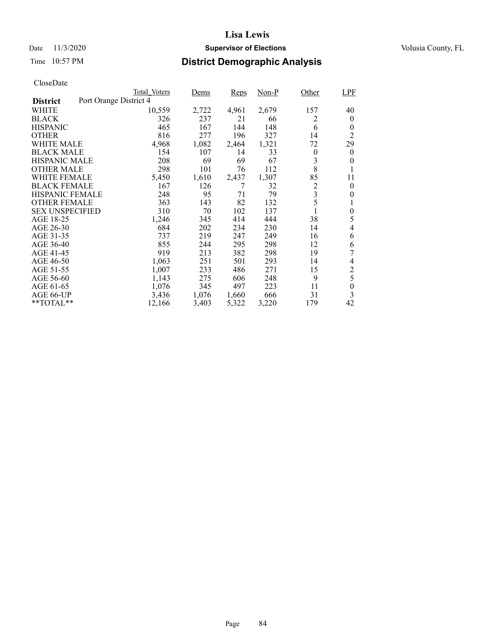### Date 11/3/2020 **Supervisor of Elections** Volusia County, FL

## Time 10:57 PM **District Demographic Analysis**

|                        |                        | Total Voters | Dems  | Reps  | Non-P | Other                   | <b>LPF</b>     |
|------------------------|------------------------|--------------|-------|-------|-------|-------------------------|----------------|
| <b>District</b>        | Port Orange District 4 |              |       |       |       |                         |                |
| WHITE                  |                        | 10,559       | 2,722 | 4,961 | 2,679 | 157                     | 40             |
| <b>BLACK</b>           |                        | 326          | 237   | 21    | 66    | 2                       | $\theta$       |
| <b>HISPANIC</b>        |                        | 465          | 167   | 144   | 148   | 6                       | $\theta$       |
| <b>OTHER</b>           |                        | 816          | 277   | 196   | 327   | 14                      | $\overline{c}$ |
| WHITE MALE             |                        | 4,968        | 1,082 | 2,464 | 1,321 | 72                      | 29             |
| <b>BLACK MALE</b>      |                        | 154          | 107   | 14    | 33    | $\boldsymbol{0}$        | $\theta$       |
| <b>HISPANIC MALE</b>   |                        | 208          | 69    | 69    | 67    | 3                       | 0              |
| <b>OTHER MALE</b>      |                        | 298          | 101   | 76    | 112   | 8                       |                |
| WHITE FEMALE           |                        | 5,450        | 1,610 | 2,437 | 1,307 | 85                      | 11             |
| <b>BLACK FEMALE</b>    |                        | 167          | 126   | 7     | 32    | $\overline{c}$          | $\theta$       |
| <b>HISPANIC FEMALE</b> |                        | 248          | 95    | 71    | 79    | $\overline{\mathbf{3}}$ | $\theta$       |
| <b>OTHER FEMALE</b>    |                        | 363          | 143   | 82    | 132   | 5                       |                |
| <b>SEX UNSPECIFIED</b> |                        | 310          | 70    | 102   | 137   |                         | $\overline{0}$ |
| AGE 18-25              |                        | 1,246        | 345   | 414   | 444   | 38                      | 5              |
| AGE 26-30              |                        | 684          | 202   | 234   | 230   | 14                      | 4              |
| AGE 31-35              |                        | 737          | 219   | 247   | 249   | 16                      | 6              |
| AGE 36-40              |                        | 855          | 244   | 295   | 298   | 12                      | 6              |
| AGE 41-45              |                        | 919          | 213   | 382   | 298   | 19                      | 7              |
| AGE 46-50              |                        | 1,063        | 251   | 501   | 293   | 14                      | 4              |
| AGE 51-55              |                        | 1,007        | 233   | 486   | 271   | 15                      | $\overline{c}$ |
| AGE 56-60              |                        | 1,143        | 275   | 606   | 248   | 9                       | 5              |
| AGE 61-65              |                        | 1,076        | 345   | 497   | 223   | 11                      | $\theta$       |
| AGE 66-UP              |                        | 3,436        | 1,076 | 1,660 | 666   | 31                      | 3              |
| **TOTAL**              |                        | 12,166       | 3,403 | 5,322 | 3,220 | 179                     | 42             |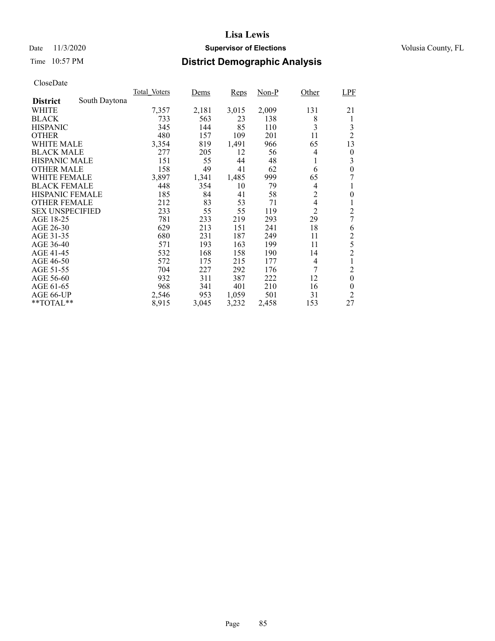### Date 11/3/2020 **Supervisor of Elections** Volusia County, FL

## Time 10:57 PM **District Demographic Analysis**

|                        |               | Total Voters | Dems  | Reps  | $Non-P$ | Other          | <b>LPF</b>       |
|------------------------|---------------|--------------|-------|-------|---------|----------------|------------------|
| <b>District</b>        | South Daytona |              |       |       |         |                |                  |
| WHITE                  |               | 7,357        | 2,181 | 3,015 | 2,009   | 131            | 21               |
| <b>BLACK</b>           |               | 733          | 563   | 23    | 138     | 8              | 1                |
| <b>HISPANIC</b>        |               | 345          | 144   | 85    | 110     | 3              | 3                |
| <b>OTHER</b>           |               | 480          | 157   | 109   | 201     | 11             | $\overline{2}$   |
| WHITE MALE             |               | 3,354        | 819   | 1,491 | 966     | 65             | 13               |
| <b>BLACK MALE</b>      |               | 277          | 205   | 12    | 56      | 4              | $\boldsymbol{0}$ |
| <b>HISPANIC MALE</b>   |               | 151          | 55    | 44    | 48      | 1              | 3                |
| <b>OTHER MALE</b>      |               | 158          | 49    | 41    | 62      | 6              | $\boldsymbol{0}$ |
| WHITE FEMALE           |               | 3,897        | 1,341 | 1,485 | 999     | 65             | 7                |
| <b>BLACK FEMALE</b>    |               | 448          | 354   | 10    | 79      | 4              |                  |
| <b>HISPANIC FEMALE</b> |               | 185          | 84    | 41    | 58      | $\overline{c}$ | $\overline{0}$   |
| <b>OTHER FEMALE</b>    |               | 212          | 83    | 53    | 71      | 4              |                  |
| <b>SEX UNSPECIFIED</b> |               | 233          | 55    | 55    | 119     | $\overline{2}$ | $\overline{c}$   |
| AGE 18-25              |               | 781          | 233   | 219   | 293     | 29             | 7                |
| AGE 26-30              |               | 629          | 213   | 151   | 241     | 18             | 6                |
| AGE 31-35              |               | 680          | 231   | 187   | 249     | 11             | $\overline{c}$   |
| AGE 36-40              |               | 571          | 193   | 163   | 199     | 11             | 5                |
| AGE 41-45              |               | 532          | 168   | 158   | 190     | 14             | $\overline{2}$   |
| AGE 46-50              |               | 572          | 175   | 215   | 177     | $\overline{4}$ |                  |
| AGE 51-55              |               | 704          | 227   | 292   | 176     | 7              | $\overline{c}$   |
| AGE 56-60              |               | 932          | 311   | 387   | 222     | 12             | $\boldsymbol{0}$ |
| AGE 61-65              |               | 968          | 341   | 401   | 210     | 16             | $\boldsymbol{0}$ |
| AGE 66-UP              |               | 2,546        | 953   | 1,059 | 501     | 31             | $\overline{c}$   |
| **TOTAL**              |               | 8,915        | 3,045 | 3,232 | 2,458   | 153            | 27               |